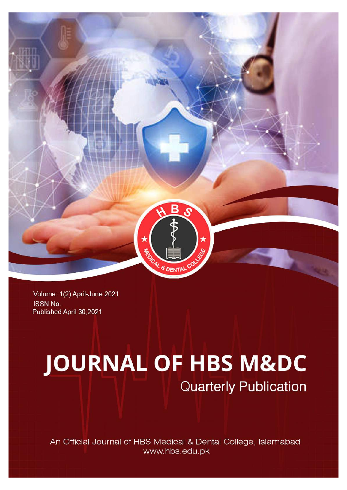

Volume: 1(2) April-June 2021 **ISSN No.** Published April 30,2021

# **JOURNAL OF HBS M&DC**

**Quarterly Publication** 

An Official Journal of HBS Medical & Dental College, Islamabad www.hbs.edu.pk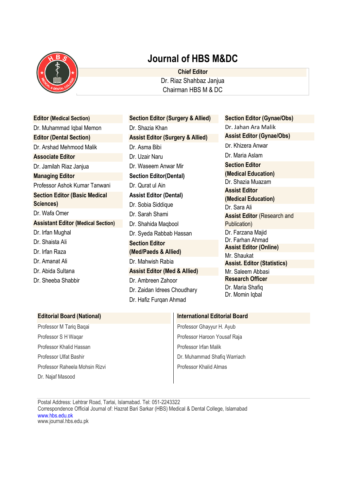

# **Journal of HBS M&DC**

**Chief Editor** Dr. Riaz Shahbaz Janjua Chairman HBS M & DC

**Editor (Medical Section)** Dr. Muhammad Iqbal Memon **Editor (Dental Section)** Dr. Arshad Mehmood Malik **Associate Editor** Dr. Jamilah Riaz Janjua **Managing Editor** Professor Ashok Kumar Tanwani **Section Editor (Basic Medical Sciences)** Dr. Wafa Omer **Assistant Editor (Medical Section)** Dr. Irfan Mughal Dr. Shaista Ali Dr. Irfan Raza Dr. Amanat Ali Dr. Abida Sultana Dr. Sheeba Shabbir

**Section Editor (Surgery & Allied)** Dr. Shazia Khan **Assist Editor (Surgery & Allied)** Dr. Asma Bibi Dr. Uzair Naru Dr. Waseem Anwar Mir **Section Editor(Dental)** Dr. Qurat ul Ain **Assist Editor (Dental)** Dr. Sobia Siddique Dr. Sarah Shami Dr. Shahida Maqbool Dr. Syeda Rabbab Hassan **Section Editor (Med/Paeds & Allied)** Dr. Mahwish Rabia **Assist Editor (Med & Allied)** Dr. Ambreen Zahoor Dr. Zaidan Idrees Choudhary Dr. Hafiz Furqan Ahmad

**Section Editor (Gynae/Obs)** Dr. Jahan Ara Malik **Assist Editor (Gynae/Obs)** Dr. Khizera Anwar Dr. Maria Aslam **Section Editor (Medical Education)** Dr. Shazia Muazam **Assist Editor (Medical Education)** Dr. Sara Ali **Assist Editor (Research and** Publication) Dr. Farzana Majid Dr. Farhan Ahmad **Assist Editor (Online)** Mr. Shaukat **Assist. Editor (Statistics)** Mr. Saleem Abbasi **Research Officer** Dr. Maria Shafiq Dr. Momin Iqbal

| <b>Editorial Board (National)</b> | <b>International Editorial Board</b> |
|-----------------------------------|--------------------------------------|
| Professor M Tariq Baqai           | Professor Ghayyur H. Ayub            |
| Professor S H Waqar               | Professor Haroon Yousaf Raja         |
| Professor Khalid Hassan           | Professor Irfan Malik                |
| Professor Ulfat Bashir            | Dr. Muhammad Shafiq Warriach         |
| Professor Raheela Mohsin Rizvi    | Professor Khalid Almas               |
| Dr. Najaf Masood                  |                                      |

Postal Address: Lehtrar Road, Tarlai, Islamabad. Tel: 051-2243322 Correspondence Official Journal of: Hazrat Bari Sarkar (HBS) Medical & Dental College, Islamabad [www.hbs.edu.pk](http://www.hbs.edu.pk/) www.journal.hbs.edu.pk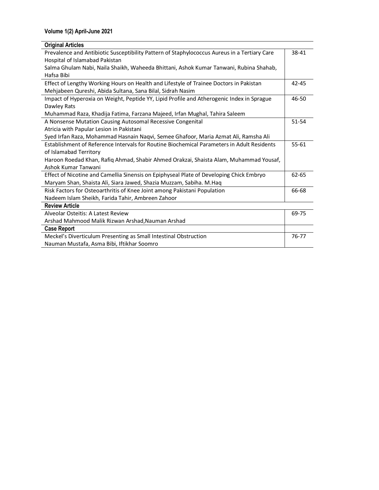| <b>Original Articles</b>                                                                     |           |
|----------------------------------------------------------------------------------------------|-----------|
| Prevalence and Antibiotic Susceptibility Pattern of Staphylococcus Aureus in a Tertiary Care | 38-41     |
| Hospital of Islamabad Pakistan                                                               |           |
| Salma Ghulam Nabi, Naila Shaikh, Waheeda Bhittani, Ashok Kumar Tanwani, Rubina Shahab,       |           |
| Hafsa Bibi                                                                                   |           |
| Effect of Lengthy Working Hours on Health and Lifestyle of Trainee Doctors in Pakistan       | 42-45     |
| Mehjabeen Qureshi, Abida Sultana, Sana Bilal, Sidrah Nasim                                   |           |
| Impact of Hyperoxia on Weight, Peptide YY, Lipid Profile and Atherogenic Index in Sprague    | 46-50     |
| Dawley Rats                                                                                  |           |
| Muhammad Raza, Khadija Fatima, Farzana Majeed, Irfan Mughal, Tahira Saleem                   |           |
| A Nonsense Mutation Causing Autosomal Recessive Congenital                                   | 51-54     |
| Atricia with Papular Lesion in Pakistani                                                     |           |
| Syed Irfan Raza, Mohammad Hasnain Naqvi, Semee Ghafoor, Maria Azmat Ali, Ramsha Ali          |           |
| Establishment of Reference Intervals for Routine Biochemical Parameters in Adult Residents   | $55 - 61$ |
| of Islamabad Territory                                                                       |           |
| Haroon Roedad Khan, Rafiq Ahmad, Shabir Ahmed Orakzai, Shaista Alam, Muhammad Yousaf,        |           |
| Ashok Kumar Tanwani                                                                          |           |
| Effect of Nicotine and Camellia Sinensis on Epiphyseal Plate of Developing Chick Embryo      | 62-65     |
| Maryam Shan, Shaista Ali, Siara Jawed, Shazia Muzzam, Sabiha. M.Haq                          |           |
| Risk Factors for Osteoarthritis of Knee Joint among Pakistani Population                     | 66-68     |
| Nadeem Islam Sheikh, Farida Tahir, Ambreen Zahoor                                            |           |
| <b>Review Article</b>                                                                        |           |
| Alveolar Osteitis: A Latest Review                                                           | 69-75     |
| Arshad Mahmood Malik Rizwan Arshad, Nauman Arshad                                            |           |
| <b>Case Report</b>                                                                           |           |
| Meckel's Diverticulum Presenting as Small Intestinal Obstruction                             | 76-77     |
| Nauman Mustafa, Asma Bibi, Iftikhar Soomro                                                   |           |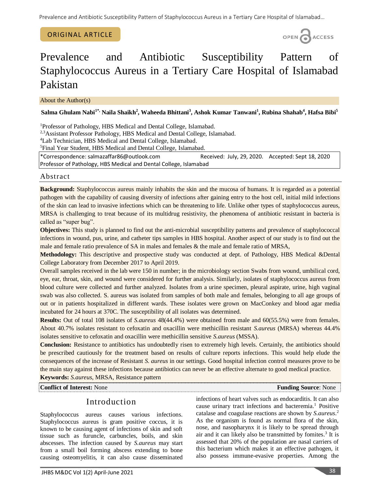### ORIGINAL ARTICLE



# Prevalence and Antibiotic Susceptibility Pattern of Staphylococcus Aureus in a Tertiary Care Hospital of Islamabad Pakistan

About the Author(s)

**Salma Ghulam Nabi1\*, Naila Shaikh<sup>2</sup> , Waheeda Bhittani<sup>3</sup> , Ashok Kumar Tanwani<sup>1</sup> , Rubina Shahab<sup>4</sup> , Hafsa Bibi<sup>5</sup>**

<sup>1</sup>Professor of Pathology, HBS Medical and Dental College, Islamabad.

<sup>2,3</sup>Assistant Professor Pathology, HBS Medical and Dental College, Islamabad.

<sup>4</sup>Lab Technician, HBS Medical and Dental College, Islamabad.

<sup>5</sup>Final Year Student, HBS Medical and Dental College, Islamabad.

\*Correspondence[: salmazaffar86@outlook.com](mailto:salmazaffar86@outlook.com) Received: July, 29, 2020. Accepted: Sept 18, 2020 Professor of Pathology, HBS Medical and Dental College, Islamabad

### Abstract

**Background:** Staphylococcus aureus mainly inhabits the skin and the mucosa of humans. It is regarded as a potential pathogen with the capability of causing diversity of infections after gaining entry to the host cell, initial mild infections of the skin can lead to invasive infections which can be threatening to life. Unlike other types of staphylococcus aureus, MRSA is challenging to treat because of its multidrug resistivity, the phenomena of antibiotic resistant in bacteria is called as "super bug".

**Objectives:** This study is planned to find out the anti-microbial susceptibility patterns and prevalence of staphylococcal infections in wound, pus, urine, and catheter tips samples in HBS hospital. Another aspect of our study is to find out the male and female ratio prevalence of SA in males and females & the male and female ratio of MRSA,

**Methodology:** This descriptive and prospective study was conducted at dept. of Pathology, HBS Medical &Dental College Laboratory from December 2017 to April 2019.

Overall samples received in the lab were 150 in number; in the microbiology section Swabs from wound, umbilical cord, eye, ear, throat, skin, and wound were considered for further analysis. Similarly, isolates of staphylococcus aureus from blood culture were collected and further analyzed. Isolates from a urine specimen, pleural aspirate, urine, high vaginal swab was also collected. S. aureus was isolated from samples of both male and females, belonging to all age groups of out or in patients hospitalized in different wards. These isolates were grown on MacConkey and blood agar media incubated for 24 hours at 370C. The susceptibility of all isolates was determined.

**Results:** Out of total 108 isolates of *S.aureus* 48(44.4%) were obtained from male and 60(55.5%) were from females. About 40.7% isolates resistant to cefoxatin and oxacillin were methicillin resistant *S.aureus* (MRSA) whereas 44.4% isolates sensitive to cefoxatin and oxacillin were methicillin sensitive *S.aureus* (MSSA).

**Conclusion:** Resistance to antibiotics has undoubtedly risen to extremely high levels. Certainly, the antibiotics should be prescribed cautiously for the treatment based on results of culture reports infections. This would help elude the consequences of the increase of Resistant *S. aureus* in our settings. Good hospital infection control measures prove to be the main stay against these infections because antibiotics can never be an effective alternate to good medical practice.

**Keywords:** *S.aureus*, MRSA, Resistance pattern

**Conflict of Interest:** None **Funding Source**: None **Funding Source**: None

# Introduction

Staphylococcus aureus causes various infections. Staphylococcus aureus is gram positive coccus, it is known to be causing agent of infections of skin and soft tissue such as furuncle, carbuncles, boils, and skin abscesses. The infection caused by *S.aureus* may start from a small boil forming abscess extending to bone causing osteomyelitis, it can also cause disseminated infections of heart valves such as endocarditis. It can also cause urinary tract infections and bacteremia. <sup>1</sup> Positive catalase and coagulase reactions are shown by *S.aureus*. 2 As the organism is found as normal flora of the skin, nose, and nasopharynx it is likely to be spread through air and it can likely also be transmitted by fomites. 3 It is assessed that 20% of the population are nasal carriers of this bacterium which makes it an effective pathogen, it also possess immune-evasive properties. Among the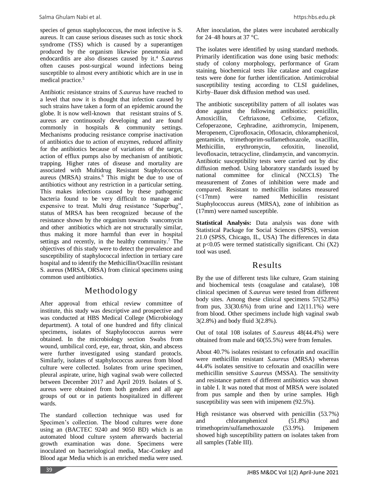species of genus staphylococcus, the most infective is S. aureus. It can cause serious diseases such as toxic shock syndrome (TSS) which is caused by a superantigen produced by the organism likewise pneumonia and endocarditis are also diseases caused by it. <sup>4</sup> *S.aureus* often causes post-surgical wound infections being susceptible to almost every antibiotic which are in use in medical practice. 5

Antibiotic resistance strains of *S.aureus* have reached to a level that now it is thought that infection caused by such strains have taken a form of an epidemic around the globe. It is now well-known that resistant strains of S. aureus are continuously developing and are found commonly in hospitals & community settings. Mechanisms producing resistance comprise inactivation of antibiotics due to action of enzymes, reduced affinity for the antibiotics because of variations of the target, action of efflux pumps also by mechanism of antibiotic trapping. Higher rates of disease and mortality are associated with Multidrug Resistant Staphylococcus aureus (MRSA) strains.<sup>6</sup> This might be due to use of antibiotics without any restriction in a particular setting. This makes infections caused by these pathogenic bacteria found to be very difficult to manage and expensive to treat. Multi drug resistance 'Superbug", status of MRSA has been recognized because of the resistance shown by the organism towards vancomycin and other antibiotics which are not structurally similar, thus making it more harmful than ever in hospital settings and recently, in the healthy community.<sup>7</sup> The objectives of this study were to detect the prevalence and susceptibility of staphylococcal infection in tertiary care hospital and to identify the Methicillin/Oxacillin resistant S. aureus (MRSA, ORSA) from clinical specimens using common used antibiotics.

# Methodology

After approval from ethical review committee of institute, this study was descriptive and prospective and was conducted at HBS Medical College (Microbiology department). A total of one hundred and fifty clinical specimens, isolates of Staphylococcus aureus were obtained. In the microbiology section Swabs from wound, umbilical cord, eye, ear, throat, skin, and abscess were further investigated using standard protocls. Similarly, isolates of staphylococcus aureus from blood culture were collected. Isolates from urine specimen, pleural aspirate, urine, high vaginal swab were collected between December 2017 and April 2019. Isolates of S. aureus were obtained from both genders and all age groups of out or in patients hospitalized in different wards.

The standard collection technique was used for Specimen's collection. The blood cultures were done using an (BACTEC 9240 and 9050 BD) which is an automated blood culture system afterwards bacterial growth examination was done. Specimens were inoculated on bacteriological media, Mac-Conkey and Blood agar Media which is an enriched media were used.

After inoculation, the plates were incubated aerobically for 24–48 hours at 37  $\degree$ C.

The isolates were identified by using standard methods. Primarily identification was done using basic methods: study of colony morphology, performance of Gram staining, biochemical tests like catalase and coagulase tests were done for further identification. Antimicrobial susceptibility testing according to CLSI guidelines, Kirby–Bauer disk diffusion method was used.

The antibiotic susceptibility pattern of all isolates was done against the following antibiotics: penicillin, Amoxicillin, Ceftriaxone, Cefixime, Cefizox, Cefoperazone, Cephradine, azithromycin, Imipenem, Meropenem, Ciprofloxacin, Ofloxacin, chloramphenicol, gentamicin, trimethoprim-sulfamethoxazole, oxacillin, Methicillin, erythromycin, cefoxitin, linezolid, levofloxacin, tetracycline, clindamycin, and vancomycin. Antibiotic susceptibility tests were carried out by disc diffusion method. Using laboratory standards issued by national committee for clinical (NCCLS) The measurement of Zones of inhibition were made and compared. Resistant to methicillin isolates measured (<17mm) were named Methicillin resistant Staphylococcus aureus (MRSA), zone of inhibition as (17mm) were named susceptible.

**Statistical Analysis:** Data analysis was done with Statistical Package for Social Sciences (SPSS), version 21.0 (SPSS, Chicago, IL, USA) The differences in data at  $p<0.05$  were termed statistically significant. Chi  $(X2)$ tool was used.

# Results

By the use of different tests like culture, Gram staining and biochemical tests (coagulase and catalase), 108 clinical specimen of *S.aureus* were tested from different body sites. Among these clinical specimens 57(52.8%) from pus,  $33(30.6%)$  from urine and  $12(11.1%)$  were from blood. Other specimens include high vaginal swab 3(2.8%) and body fluid 3(2.8%).

Out of total 108 isolates of *S.aureus* 48(44.4%) were obtained from male and 60(55.5%) were from females.

About 40.7% isolates resistant to cefoxatin and oxacillin were methicillin resistant *S.aureus* (MRSA) whereas 44.4% isolates sensitive to cefoxatin and oxacillin were methicillin sensitive *S.aureus* (MSSA). The sensitivity and resistance pattern of different antibiotics was shown in table I. It was noted that most of MRSA were isolated from pus sample and then by urine samples. High susceptibility was seen with imipenem (92.5%).

High resistance was observed with penicillin (53.7%) and chloramphenicol (51.8%) and trimethoprim/sulfamethoxazole (53.9%). Imipenem showed high susceptibility pattern on isolates taken from all samples (Table III).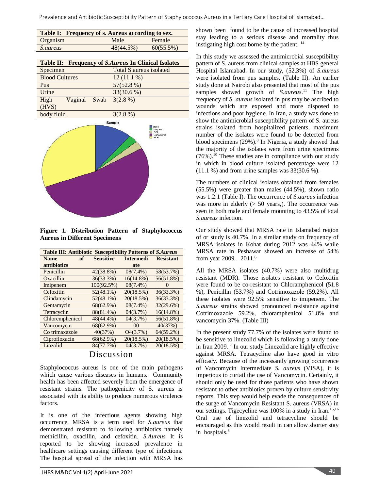Prevalence and Antibiotic Susceptibility Pattern of Staphylococcus Aureus in a Tertiary Care Hospital of Islamabad…

|                 | Table I: Frequency of s. Aureus according to sex. |              |
|-----------------|---------------------------------------------------|--------------|
| Organism        | Male                                              | Female       |
| <i>S.aureus</i> | $48(44.5\%)$                                      | $60(55.5\%)$ |
|                 |                                                   |              |

|                       | <b>Table II:</b> Frequency of <i>S.Aureus</i> In Clinical Isolates |
|-----------------------|--------------------------------------------------------------------|
| Specimen              | Total S.aureus isolated                                            |
| <b>Blood Cultures</b> | $12(11.1\%)$                                                       |
| Pus                   | 57(52.8 %)                                                         |
| Urine                 | $33(30.6\%)$                                                       |
| High<br>Vaginal Swab  | $3(2.8\%)$                                                         |
| (HVS)                 |                                                                    |
| body fluid            | $3(2.8\%)$                                                         |



**Figure 1. Distribution Pattern of Staphylococcus Aureus in Different Specimens**

| <b>Table III: Antibiotic Susceptibility Patterns of S.Aureus</b> |    |                  |                  |              |  |  |  |  |
|------------------------------------------------------------------|----|------------------|------------------|--------------|--|--|--|--|
| Name                                                             | оf | <b>Sensitive</b> | <b>Intermedi</b> |              |  |  |  |  |
| antibiotics                                                      |    |                  | ate              |              |  |  |  |  |
| Penicillin                                                       |    | 42(38.8%)        | $08(7.4\%)$      | 58(53.7%)    |  |  |  |  |
| Oxacillin                                                        |    | 36(33.3%)        | $16(14.8\%)$     | 56(51.8%)    |  |  |  |  |
| Imipenem                                                         |    | 100(92.5%)       | $08(7.4\%)$      | 0            |  |  |  |  |
| Cefoxitin                                                        |    | $52(48.1\%)$     | 20(18.5%)        | 36(33.3%)    |  |  |  |  |
| Clindamycin                                                      |    | $52(48.1\%)$     | 20(18.5%)        | 36(33.3%)    |  |  |  |  |
| Gentamycin                                                       |    | 68(62.9%)        | $08(7.4\%)$      | 32(29.6%)    |  |  |  |  |
| Tetracyclin                                                      |    | 88(81.4%)        | 04(3.7%)         | $16(14.8\%)$ |  |  |  |  |
| Chloremphenicol                                                  |    | 48(44.4%)        | 04(3.7%)         | 56(51.8%)    |  |  |  |  |
| Vancomycin                                                       |    | 68(62.9%)        | 0 <sup>0</sup>   | 40(37%)      |  |  |  |  |
| Co trimaxazole                                                   |    | 40(37%)          | O4(3.7%)         | $64(59.2\%)$ |  |  |  |  |
| Ciprofloxacin                                                    |    | 68(62.9%)        | 20(18.5%)        | 20(18.5%)    |  |  |  |  |
| Linzolid                                                         |    | 84(77.7%)        | 04(3.7%)         | 20(18.5%)    |  |  |  |  |
|                                                                  |    | Djaanaajan       |                  |              |  |  |  |  |

Discussion

Staphylococcus aureus is one of the main pathogens which cause various diseases in humans. Community health has been affected severely from the emergence of resistant strains. The pathogenicity of S. aureus is associated with its ability to produce numerous virulence factors.

It is one of the infectious agents showing high occurrence. MRSA is a term used for *S.aureus* that demonstrated resistant to following antibiotics namely methicillin, oxacillin, and cefoxitin. *S.Aureus* It is reported to be showing increased prevalence in healthcare settings causing different type of infections. The hospital spread of the infection with MRSA has

shown been found to be the cause of increased hospital stay leading to a serious disease and mortality thus instigating high cost borne by the patient. <sup>14</sup>

In this study we assessed the antimicrobial susceptibility pattern of S. aureus from clinical samples at HBS general Hospital Islamabad. In our study, (52.3%) of *S.aureus* were isolated from pus samples. (Table II). An earlier study done at Nairobi also presented that most of the pus samples showed growth of *S.aureus*. <sup>11</sup> The high frequency of *S. aureus* isolated in pus may be ascribed to wounds which are exposed and more disposed to infections and poor hygiene. In Iran, a study was done to show the antimicrobial susceptibility pattern of S. aureus strains isolated from hospitalized patients, maximum number of the isolates were found to be detected from blood specimens (29%). 8 In Nigeria, a study showed that the majority of the isolates were from urine specimens  $(76\%)$ .<sup>10</sup> These studies are in compliance with our study in which in blood culture isolated percentage were 12  $(11.1 \%)$  and from urine samples was  $33(30.6 \%)$ .

The numbers of clinical isolates obtained from females (55.5%) were greater than males (44.5%), shown ratio was 1.2:1 (Table I). The occurrence of *S.aureus* infection was more in elderly  $($  > 50 years,). The occurrence was seen in both male and female mounting to 43.5% of total *S.aureus* infection.

Our study showed that MRSA rate in Islamabad region of or study is 40.7%. In a similar study on frequency of MRSA isolates in Kohat during 2012 was 44% while MRSA rate in Peshawar showed an increase of 54% from year 2009 – 2011.<sup>6</sup>

All the MRSA isolates (40.7%) were also multidrug resistant (MDR). Those isolates resistant to Cefoxitin were found to be co-resistant to Chloramphenicol (51.8 %), Penicillin (53.7%) and Cotrimoxazole (59.2%). All these isolates were 92.5% sensitive to imipenem. The *S.aureus* strains showed pronounced resistance against Cotrimoxazole 59.2%, chloramphenicol 51.8% and vancomycin 37%. (Table III)

In the present study 77.7% of the isolates were found to be sensitive to linezolid which is following a study done in Iran 2009. <sup>7</sup> In our study Linezolid are highly effective against MRSA. Tetracycline also have good in vitro efficacy. Because of the incessantly growing occurrence of Vancomycin Intermediate *S. aureus* (VISA), it is imperious to curtail the use of Vancomycin. Certainly, it should only be used for those patients who have shown resistant to other antibiotics proven by culture sensitivity reports. This step would help evade the consequences of the surge of Vancomycin Resistant S. aureus (VRSA) in our settings. Tigecycline was 100% in a study in Iran.<sup>15,16</sup> Oral use of linezolid and tetracycline should be encouraged as this would result in can allow shorter stay in hospitals.<sup>8</sup>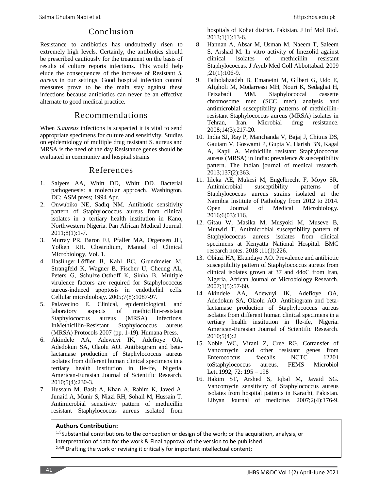# Conclusion

Resistance to antibiotics has undoubtedly risen to extremely high levels. Certainly, the antibiotics should be prescribed cautiously for the treatment on the basis of results of culture reports infections. This would help elude the consequences of the increase of Resistant *S. aureus* in our settings. Good hospital infection control measures prove to be the main stay against these infections because antibiotics can never be an effective alternate to good medical practice.

# Recommendations

When *S.aureus* infections is suspected it is vital to send appropriate specimens for culture and sensitivity. Studies on epidemiology of multiple drug resistant S. aureus and MRSA is the need of the day Resistance genes should be evaluated in community and hospital strains

### References

- 1. Salyers AA, Whitt DD, Whitt DD. Bacterial pathogenesis: a molecular approach. Washington, DC: ASM press; 1994 Apr.
- 2. Onwubiko NE, Sadiq NM. Antibiotic sensitivity pattern of Staphylococcus aureus from clinical isolates in a tertiary health institution in Kano, Northwestern Nigeria. Pan African Medical Journal. 2011;8(1):1-7.
- 3. Murray PR, Baron EJ, Pfaller MA, Orgensen JH, Yolken RH. Clostridium, Manual of Clinical Microbiology, Vol. 1.
- 4. Haslinger‐Löffler B, Kahl BC, Grundmeier M, Strangfeld K, Wagner B, Fischer U, Cheung AL, Peters G, Schulze‐Osthoff K, Sinha B. Multiple virulence factors are required for Staphylococcus aureus‐induced apoptosis in endothelial cells. Cellular microbiology. 2005;7(8):1087-97.
- 5. Palavecino E. Clinical, epidemiological, and laboratory aspects of methicillin-resistant Staphylococcus aureus (MRSA) infections. InMethicillin-Resistant Staphylococcus aureus (MRSA) Protocols 2007 (pp. 1-19). Humana Press.
- 6. Akindele AA, Adewuyi IK, Adefioye OA, Adedokun SA, Olaolu AO. Antibiogram and betalactamase production of Staphylococcus aureus isolates from different human clinical specimens in a tertiary health institution in Ile-ife, Nigeria. American-Eurasian Journal of Scientific Research. 2010;5(4):230-3.
- 7. Hussain M, Basit A, Khan A, Rahim K, Javed A, Junaid A, Munir S, Niazi RH, Sohail M, Hussain T. Antimicrobial sensitivity pattern of methicillin resistant Staphylococcus aureus isolated from

hospitals of Kohat district. Pakistan. J Inf Mol Biol. 2013;1(1):13-6.

- 8. Hannan A, Absar M, Usman M, Naeem T, Saleem S, Arshad M. In vitro activity of linezolid against clinical isolates of methicillin resistant Staphylococcus. J Ayub Med Coll Abbottabad. 2009 ;21(1):106-9.
- 9. Fatholahzadeh B, Emaneini M, Gilbert G, Udo E, Aligholi M, Modarressi MH, Nouri K, Sedaghat H, Feizabadi MM. Staphylococcal cassette chromosome mec (SCC mec) analysis and antimicrobial susceptibility patterns of methicillinresistant Staphylococcus aureus (MRSA) isolates in Tehran, Iran. Microbial drug resistance. 2008;14(3):217-20.
- 10. India SJ, Ray P, Manchanda V, Bajaj J, Chitnis DS, Gautam V, Goswami P, Gupta V, Harish BN, Kagal A, Kapil A. Methicillin resistant Staphylococcus aureus (MRSA) in India: prevalence & susceptibility pattern. The Indian journal of medical research. 2013;137(2):363.
- 11. Iileka AE, Mukesi M, Engelbrecht F, Moyo SR. Antimicrobial susceptibility patterns of Staphylococcus aureus strains isolated at the Namibia Institute of Pathology from 2012 to 2014. Open Journal of Medical Microbiology. 2016;6(03):116.
- 12. Gitau W, Masika M, Musyoki M, Museve B, Mutwiri T. Antimicrobial susceptibility pattern of Staphylococcus aureus isolates from clinical specimens at Kenyatta National Hospital. BMC research notes. 2018 ;11(1):226.
- 13. Obiazi HA, Ekundayo AO. Prevalence and antibiotic susceptibility pattern of Staphylococcus aureus from clinical isolates grown at 37 and 44oC from Iran, Nigeria. African Journal of Microbiology Research. 2007;1(5):57-60.
- 14. Akindele AA, Adewuyi IK, Adefioye OA, Adedokun SA, Olaolu AO. Antibiogram and betalactamase production of Staphylococcus aureus isolates from different human clinical specimens in a tertiary health institution in Ile-ife, Nigeria. American-Eurasian Journal of Scientific Research. 2010;5(4):2
- 15. Noble WC, Virani Z, Cree RG. Cotransfer of Vancomycin and other resistant genes from Enterococcus faecalis NCTC 12201 toStaphylococcus aureus. FEMS Microbiol Lett.1992; 72: 195 – 198
- 16. Hakim ST, Arshed S, Iqbal M, Javaid SG. Vancomycin sensitivity of Staphylococcus aureus isolates from hospital patients in Karachi, Pakistan. Libyan Journal of medicine. 2007;2(4):176-9.

### **Authors Contribution:**

<sup>1,3</sup>Substantial contributions to the conception or design of the work; or the acquisition, analysis, or interpretation of data for the work & Final approval of the version to be published <sup>2,4,5</sup> Drafting the work or revising it critically for important intellectual content;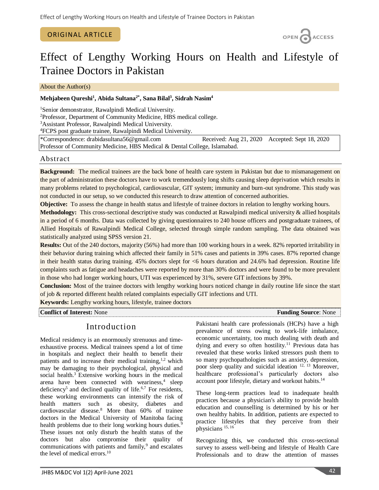### ORIGINAL ARTICLE

OPEN CACCESS

# Effect of Lengthy Working Hours on Health and Lifestyle of Trainee Doctors in Pakistan

About the Author(s)

### **Mehjabeen Qureshi<sup>1</sup> , Abida Sultana2\*, Sana Bilal<sup>3</sup> , Sidrah Nasim<sup>4</sup>**

<sup>1</sup>Senior demonstrator, Rawalpindi Medical University.

 ${}^{2}$ Professor, Department of Community Medicine, HBS medical college.

<sup>3</sup>Assistant Professor, Rawalpindi Medical University.

<sup>4</sup>FCPS post graduate trainee, Rawalpindi Medical University.

\*Correspondence: [drabidasultana56@gmail.com](mailto:drabidasultana56@gmail.com) Received: Aug 21, 2020 Accepted: Sept 18, 2020 Professor of Community Medicine, HBS Medical & Dental College, Islamabad.

### Abstract

**Background:** The medical trainees are the back bone of health care system in Pakistan but due to mismanagement on the part of administration these doctors have to work tremendously long shifts causing sleep deprivation which results in many problems related to psychological, cardiovascular, GIT system; immunity and burn-out syndrome. This study was not conducted in our setup, so we conducted this research to draw attention of concerned authorities.

**Objective:** To assess the change in health status and lifestyle of trainee doctors in relation to lengthy working hours.

**Methodology:** This cross-sectional descriptive study was conducted at Rawalpindi medical university & allied hospitals in a period of 6 months. Data was collected by giving questionnaires to 240 house officers and postgraduate trainees, of Allied Hospitals of Rawalpindi Medical College, selected through simple random sampling. The data obtained was statistically analyzed using SPSS version 21.

**Results:** Out of the 240 doctors, majority (56%) had more than 100 working hours in a week. 82% reported irritability in their behavior during training which affected their family in 51% cases and patients in 39% cases. 87% reported change in their health status during training. 45% doctors slept for <6 hours duration and 24.6% had depression. Routine life complaints such as fatigue and headaches were reported by more than 30% doctors and were found to be more prevalent in those who had longer working hours, UTI was experienced by 31%, severe GIT infections by 39%.

**Conclusion:** Most of the trainee doctors with lengthy working hours noticed change in daily routine life since the start of job & reported different health related complaints especially GIT infections and UTI.

**Keywords:** Lengthy working hours, lifestyle, trainee doctors

**Conflict of Interest:** None **Funding Source**: None

# Introduction

Medical residency is an enormously strenuous and timeexhaustive process. Medical trainees spend a lot of time in hospitals and neglect their health to benefit their patients and to increase their medical training, $1,2$  which may be damaging to their psychological, physical and social health.<sup>3</sup> Extensive working hours in the medical arena have been connected with weariness,<sup>4</sup> sleep deficiency<sup>5</sup> and declined quality of life.<sup>6,7</sup> For residents, these working environments can intensify the risk of health matters such as obesity, diabetes and cardiovascular disease.<sup>8</sup> More than 60% of trainee doctors in the Medical University of Manitoba facing health problems due to their long working hours duties.<sup>9</sup> These issues not only disturb the health status of the doctors but also compromise their quality of communications with patients and family,<sup>9</sup> and escalates the level of medical errors. $10$ 

Pakistani health care professionals (HCPs) have a high prevalence of stress owing to work-life imbalance, economic uncertainty, too much dealing with death and dying and every so often hostility.<sup>11</sup> Previous data has revealed that these works linked stressors push them to so many psychopathologies such as anxiety, depression, poor sleep quality and suicidal ideation 12, 13 Moreover, healthcare professional's particularly doctors also account poor lifestyle, dietary and workout habits. 14

These long-term practices lead to inadequate health practices because a physician's ability to provide health education and counselling is determined by his or her own healthy habits. In addition, patients are expected to practice lifestyles that they perceive from their physicians 15, 16

Recognizing this, we conducted this cross-sectional survey to assess well-being and lifestyle of Health Care Professionals and to draw the attention of masses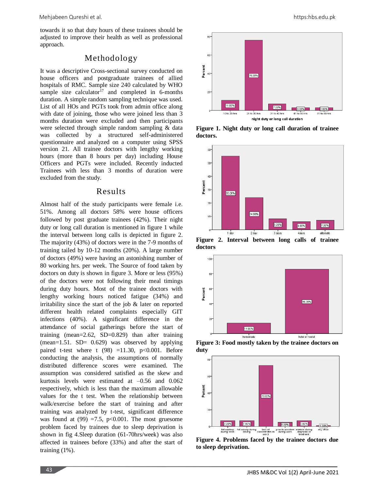towards it so that duty hours of these trainees should be adjusted to improve their health as well as professional approach.

# Methodology

It was a descriptive Cross-sectional survey conducted on house officers and postgraduate trainees of allied hospitals of RMC. Sample size 240 calculated by WHO sample size calculator<sup>17</sup> and completed in 6-months duration. A simple random sampling technique was used. List of all HOs and PGTs took from admin office along with date of joining, those who were joined less than 3 months duration were excluded and then participants were selected through simple random sampling & data was collected by a structured self-administered questionnaire and analyzed on a computer using SPSS version 21. All trainee doctors with lengthy working hours (more than 8 hours per day) including House Officers and PGTs were included. Recently inducted Trainees with less than 3 months of duration were excluded from the study.

### Results

Almost half of the study participants were female i.e. 51%. Among all doctors 58% were house officers followed by post graduate trainees (42%). Their night duty or long call duration is mentioned in figure 1 while the interval between long calls is depicted in figure 2. The majority (43%) of doctors were in the 7-9 months of training tailed by 10-12 months (20%). A large number of doctors (49%) were having an astonishing number of 80 working hrs. per week. The Source of food taken by doctors on duty is shown in figure 3. More or less (95%) of the doctors were not following their meal timings during duty hours. Most of the trainee doctors with lengthy working hours noticed fatigue (34%) and irritability since the start of the job & later on reported different health related complaints especially GIT infections (40%). A significant difference in the attendance of social gatherings before the start of training (mean=2.62, SD=0.829) than after training  $(mean=1.51. SD= 0.629)$  was observed by applying paired t-test where t  $(98)$  =11.30, p<0.001. Before conducting the analysis, the assumptions of normally distributed difference scores were examined. The assumption was considered satisfied as the skew and kurtosis levels were estimated at –0.56 and 0.062 respectively, which is less than the maximum allowable values for the t test. When the relationship between walk/exercise before the start of training and after training was analyzed by t-test, significant difference was found at  $(99) = 7.5$ ,  $p < 0.001$ . The most gruesome problem faced by trainees due to sleep deprivation is shown in fig 4.Sleep duration (61-70hrs/week) was also affected in trainees before (33%) and after the start of training (1%).



**Figure 1. Night duty or long call duration of trainee doctors.**



**Figure 2. Interval between long calls of trainee doctors**



**Figure 3: Food mostly taken by the trainee doctors on duty**



**Figure 4. Problems faced by the trainee doctors due to sleep deprivation.**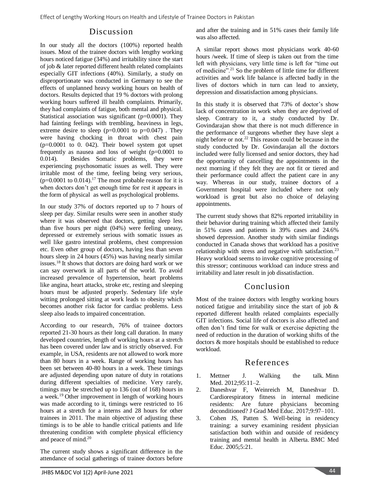# Discussion

In our study all the doctors (100%) reported health issues. Most of the trainee doctors with lengthy working hours noticed fatigue (34%) and irritability since the start of job & later reported different health related complaints especially GIT infections (40%). Similarly, a study on disproportionate was conducted in Germany to see the effects of unplanned heavy working hours on health of doctors. Results depicted that 19 % doctors with prolong working hours suffered ill health complaints. Primarily, they had complaints of fatigue, both mental and physical. Statistical association was significant (p=0.0001). They had fainting feelings with trembling, heaviness in legs, extreme desire to sleep  $(p=0.0001$  to  $p=0.047$ ). They were having chocking in throat with chest pain  $(p=0.0001$  to 0. 042). Their bowel system got upset frequently as nausea and loss of weight (p=0.0001 to 0.014). Besides Somatic problems, they were experiencing psychosomatic issues as well. They were irritable most of the time, feeling being very serious,  $(p=0.0001$  to  $0.014$ ).<sup>17</sup> The most probable reason for it is when doctors don't get enough time for rest it appears in the form of physical as well as psychological problems.

In our study 37% of doctors reported up to 7 hours of sleep per day. Similar results were seen in another study where it was observed that doctors, getting sleep less than five hours per night (04%) were feeling uneasy, depressed or extremely serious with somatic issues as well like gastro intestinal problems, chest compression etc. Even other group of doctors, having less than seven hours sleep in 24 hours (45%) was having nearly similar issues.<sup>18</sup> It shows that doctors are doing hard work or we can say overwork in all parts of the world. To avoid increased prevalence of hypertension, heart problems like angina, heart attacks, stroke etc, resting and sleeping hours must be adjusted properly. Sedentary life style witting prolonged sitting at work leads to obesity which becomes another risk factor for cardiac problems. Less sleep also leads to impaired concentration.

According to our research, 76% of trainee doctors reported 21-30 hours as their long call duration. In many developed countries, length of working hours at a stretch has been covered under law and is strictly observed. For example, in USA, residents are not allowed to work more than 80 hours in a week. Range of working hours has been set between 40-80 hours in a week. These timings are adjusted depending upon nature of duty in rotations during different specialties of medicine. Very rarely, timings may be stretched up to 136 (out of 168) hours in a week.<sup>19</sup> Other improvement in length of working hours was made according to it, timings were restricted to 16 hours at a stretch for a interns and 28 hours for other trainees in 2011. The main objective of adjusting these timings is to be able to handle critical patients and life threatening condition with complete physical efficiency and peace of mind. 20

The current study shows a significant difference in the attendance of social gatherings of trainee doctors before and after the training and in 51% cases their family life was also affected.

A similar report shows most physicians work 40-60 hours /week. If time of sleep is taken out from the time left with physicians, very little time is left for "time out of medicine".<sup>21</sup> So the problem of little time for different activities and work life balance is affected badly in the lives of doctors which in turn can lead to anxiety, depression and dissatisfaction among physicians.

In this study it is observed that 73% of doctor's show lack of concentration in work when they are deprived of sleep. Contrary to it, a study conducted by Dr. Govindarajan show that there is not much difference in the performance of surgeons whether they have slept a night before or not.<sup>22</sup> This reason could be because in the study conducted by Dr. Govindarajan all the doctors included were fully licensed and senior doctors, they had the opportunity of cancelling the appointments in the next morning if they felt they are not fit or tiered and their performance could affect the patient care in any way. Whereas in our study, trainee doctors of a Government hospital were included where not only workload is great but also no choice of delaying appointments.

The current study shows that 82% reported irritability in their behavior during training which affected their family in 51% cases and patients in 39% cases and 24.6% showed depression. Another study with similar findings conducted in Canada shows that workload has a positive relationship with stress and negative with satisfaction.<sup>23</sup> Heavy workload seems to invoke cognitive processing of this stressor; continuous workload can induce stress and irritability and later result in job dissatisfaction.

# Conclusion

Most of the trainee doctors with lengthy working hours noticed fatigue and irritability since the start of job & reported different health related complaints especially GIT infections. Social life of doctors is also affected and often don't find time for walk or exercise depicting the need of reduction in the duration of working shifts of the doctors & more hospitals should be established to reduce workload.

# References

- 1. Mettner J. Walking the talk. Minn Med. 2012;95:11–2.
- 2. Daneshvar F, Weinreich M, Daneshvar D. Cardiorespiratory fitness in internal medicine residents: Are future physicians becoming deconditioned? J Grad Med Educ. 2017;9:97–101.
- 3. Cohen JS, Patten S. Well-being in residency training: a survey examining resident physician satisfaction both within and outside of residency training and mental health in Alberta. BMC Med Educ. 2005;5:21.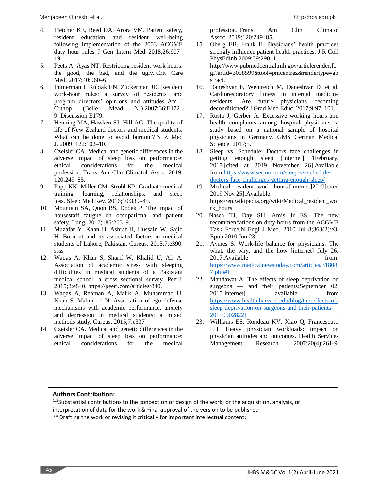- 4. Fletcher KE, Reed DA, Arora VM. Patient safety, resident education and resident well-being following implementation of the 2003 ACGME duty hour rules. J Gen Intern Med. 2018;26:907– 19.
- 5. Peets A, Ayas NT. Restricting resident work hours: the good, the bad, and the ugly. Crit Care Med. 2017;40:960–6.
- 6. Immerman I, Kubiak EN, Zuckerman JD. Resident work-hour rules: a survey of residents' and program directors' opinions and attitudes. Am J Orthop (Belle Mead NJ) 2007;36:E172– 9. Discussion E179.
- 7. Henning MA, Hawken SJ, Hill AG. The quality of life of New Zealand doctors and medical students: What can be done to avoid burnout? N Z Med J. 2009; 122:102–10.
- 8. Czeisler CA. Medical and genetic differences in the adverse impact of sleep loss on performance: ethical considerations for the medical profession. Trans Am Clin Climatol Assoc. 2019; 120:249–85.
- 9. Papp KK, Miller CM, Strohl KP. Graduate medical training, learning, relationships, and sleep loss. Sleep Med Rev. 2016;10:339–45.
- 10. Mountain SA, Quon BS, Dodek P. The impact of housestaff fatigue on occupational and patient safety. Lung. 2017;185:203–9.
- 11. Muzafar Y, Khan H, Ashraf H, Hussain W, Sajid H. Burnout and its associated factors in medical students of Lahore, Pakistan. Cureus. 2015;7:e390. ssss
- 12. Waqas A, Khan S, Sharif W, Khalid U, Ali A. Association of academic stress with sleeping difficulties in medical students of a Pakistani medical school: a cross sectional survey. PeerJ. 2015;3:e840. https://peerj.com/articles/840.
- 13. Waqas A, Rehman A, Malik A, Muhammad U, Khan S, Mahmood N. Association of ego defense mechanisms with academic performance, anxiety and depression in medical students: a mixed methods study. Cureus. 2015;7:e337
- 14. Czeisler CA. Medical and genetic differences in the adverse impact of sleep loss on performance: ethical considerations for the medical

profession. Trans Am Clin Climatol Assoc. 2019;120:249–85.

- 15. Oberg EB, Frank E. Physicians' health practices strongly influence patient health practices. J R Coll PhysEdinb,2009;39:290–1. http://www.pubmedcentral.nih.gov/articlerender.fc gi?artid=3058599&tool=pmcentrez&rendertype=ab stract.
- 16. Daneshvar F, Weinreich M, Daneshvar D, et al. Cardiorespiratory fitness in internal medicine residents: Are future physicians becoming deconditioned? J Grad Med Educ. 2017;9:97–101.
- 17. Rosta J, Gerber A. Excessive working hours and health complaints among hospital physicians: a study based on a national sample of hospital physicians in Germany. GMS German Medical Science. 2017;5.
- 18. Sleep vs. Schedule: Doctors face challenges in getting enough sleep [internet] 1February, 2017.[cited at 2019 November 26].Available from[:https://www.sermo.com/sleep-vs-schedule](https://www.sermo.com/sleep-vs-schedule-doctors-face-challenges-getting-enough-sleep/)[doctors-face-challenges-getting-enough-sleep/](https://www.sermo.com/sleep-vs-schedule-doctors-face-challenges-getting-enough-sleep/)
- 19. Medical resident work hours.[internet]2019[cited 2019 Nov 25].Available: https://en.wikipedia.org/wiki/Medical\_resident\_wo rk\_hours
- 20. Nasca TJ, Day SH, Amis Jr ES. The new recommendations on duty hours from the ACGME Task Force.N Engl J Med. 2010 Jul 8;363(2):e3. Epub 2010 Jun 23
- 21. Aymes S. Work-life balance for physicians: The what, the why, and the how [internet] July 26, 2017.Available from: [https://www.medicalnewstoday.com/articles/31808](https://www.medicalnewstoday.com/articles/318087.php#1) [7.php#1](https://www.medicalnewstoday.com/articles/318087.php#1)
- 22. Mandawat A. The effects of sleep deprivation on surgeons — and their patients: September 02, 2015[internet] available from [https://www.health.harvard.edu/blog/the-effects-of](https://www.health.harvard.edu/blog/the-effects-of-sleep-deprivation-on-surgeons-and-their-patients-201509028221)[sleep-deprivation-on-surgeons-and-their-patients-](https://www.health.harvard.edu/blog/the-effects-of-sleep-deprivation-on-surgeons-and-their-patients-201509028221)[201509028221](https://www.health.harvard.edu/blog/the-effects-of-sleep-deprivation-on-surgeons-and-their-patients-201509028221)
- 23. Williams ES, Rondeau KV, Xiao Q, Francescutti LH. Heavy physician workloads: impact on physician attitudes and outcomes. Health Services Management Research. 2007;20(4):261-9.

### **Authors Contribution:**

 $1.2$ Substantial contributions to the conception or design of the work; or the acquisition, analysis, or interpretation of data for the work & Final approval of the version to be published

<sup>3,4</sup> Drafting the work or revising it critically for important intellectual content;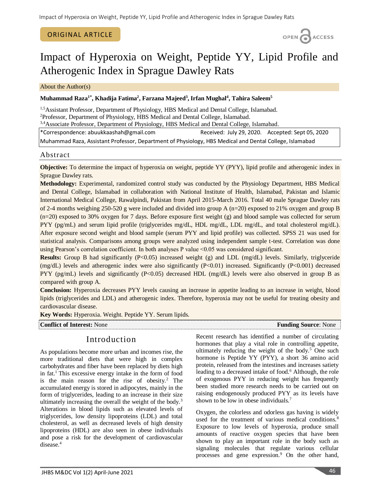### ORIGINAL ARTICLE

OPEN CACCESS

# Impact of Hyperoxia on Weight, Peptide YY, Lipid Profile and Atherogenic Index in Sprague Dawley Rats

About the Author(s)

### **Muhammad Raza1\* , Khadija Fatima<sup>2</sup> , Farzana Majeed<sup>3</sup> , Irfan Mughal<sup>4</sup> , Tahira Saleem<sup>5</sup>**

<sup>1,5</sup>Assistant Professor, Department of Physiology, HBS Medical and Dental College, Islamabad. <sup>2</sup>Professor, Department of Physiology, HBS Medical and Dental College, Islamabad.

3,4 Associate Professor, Department of Physiology, HBS Medical and Dental College, Islamabad.

\*Correspondence: abuukkaashah@gmail.com Received: July 29, 2020. Accepted: Sept 05, 2020 Muhammad Raza, Assistant Professor, Department of Physiology, HBS Medical and Dental College, Islamabad

### Abstract

**Objective:** To determine the impact of hyperoxia on weight, peptide YY (PYY), lipid profile and atherogenic index in Sprague Dawley rats.

**Methodology:** Experimental, randomized control study was conducted by the Physiology Department, HBS Medical and Dental College, Islamabad in collaboration with National Institute of Health, Islamabad, Pakistan and Islamic International Medical College, Rawalpindi, Pakistan from April 2015-March 2016. Total 40 male Sprague Dawley rats of 2-4 months weighing 250-520 g were included and divided into group A (n=20) exposed to 21% oxygen and group B (n=20) exposed to 30% oxygen for 7 days. Before exposure first weight (g) and blood sample was collected for serum PYY (pg/mL) and serum lipid profile (triglycerides mg/dL, HDL mg/dL, LDL mg/dL, and total cholesterol mg/dL). After exposure second weight and blood sample (serum PYY and lipid profile) was collected. SPSS 21 was used for statistical analysis. Comparisons among groups were analyzed using independent sample t-test. Correlation was done using Pearson's correlation coefficient. In both analyses P value <0.05 was considered significant.

**Results:** Group B had significantly (P<0.05) increased weight (g) and LDL (mg/dL) levels. Similarly, triglyceride (mg/dL) levels and atherogenic index were also significantly (P<0.01) increased. Significantly (P<0.001) decreased PYY (pg/mL) levels and significantly (P<0.05) decreased HDL (mg/dL) levels were also observed in group B as compared with group A.

**Conclusion:** Hyperoxia decreases PYY levels causing an increase in appetite leading to an increase in weight, blood lipids (triglycerides and LDL) and atherogenic index. Therefore, hyperoxia may not be useful for treating obesity and cardiovascular disease.

**Key Words:** Hyperoxia. Weight. Peptide YY. Serum lipids.

**Conflict of Interest:** None **Funding Source**: None **Funding Source**: None

# Introduction

As populations become more urban and incomes rise, the more traditional diets that were high in complex carbohydrates and fiber have been replaced by diets high in fat.<sup>1</sup> This excessive energy intake in the form of food is the main reason for the rise of obesity.<sup>2</sup> The accumulated energy is stored in adipocytes, mainly in the form of triglycerides, leading to an increase in their size ultimately increasing the overall the weight of the body.<sup>3</sup> Alterations in blood lipids such as elevated levels of triglycerides, low density lipoproteins (LDL) and total cholesterol, as well as decreased levels of high density lipoproteins (HDL) are also seen in obese individuals and pose a risk for the development of cardiovascular disease.<sup>4</sup>

Recent research has identified a number of circulating hormones that play a vital role in controlling appetite, ultimately reducing the weight of the body. $5$  One such hormone is Peptide YY (PYY), a short 36 amino acid protein, released from the intestines and increases satiety leading to a decreased intake of food.<sup>6</sup> Although, the role of exogenous PYY in reducing weight has frequently been studied more research needs to be carried out on raising endogenously produced PYY as its levels have shown to be low in obese individuals.<sup>7</sup>

Oxygen, the colorless and odorless gas having is widely used for the treatment of various medical conditions.<sup>8</sup> Exposure to low levels of hyperoxia, produce small amounts of reactive oxygen species that have been shown to play an important role in the body such as signaling molecules that regulate various cellular processes and gene expression.<sup>9</sup> On the other hand,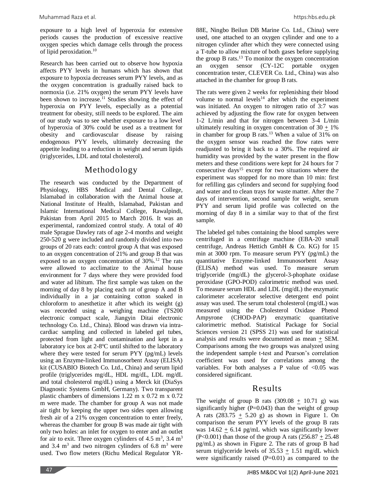exposure to a high level of hyperoxia for extensive periods causes the production of excessive reactive oxygen species which damage cells through the process of lipid peroxidation.<sup>10</sup>

Research has been carried out to observe how hypoxia affects PYY levels in humans which has shown that exposure to hypoxia decreases serum PYY levels, and as the oxygen concentration is gradually raised back to normoxia (i.e. 21% oxygen) the serum PYY levels have been shown to increase.<sup>11</sup> Studies showing the effect of hyperoxia on PYY levels, especially as a potential treatment for obesity, still needs to be explored. The aim of our study was to see whether exposure to a low level of hyperoxia of 30% could be used as a treatment for obesity and cardiovascular disease by raising endogenous PYY levels, ultimately decreasing the appetite leading to a reduction in weight and serum lipids (triglycerides, LDL and total cholesterol).

# Methodology

The research was conducted by the Department of Physiology, HBS Medical and Dental College, Islamabad in collaboration with the Animal house at National Institute of Health, Islamabad, Pakistan and Islamic International Medical College, Rawalpindi, Pakistan from April 2015 to March 2016. It was an experimental, randomized control study. A total of 40 male Sprague Dawley rats of age 2-4 months and weight 250-520 g were included and randomly divided into two groups of 20 rats each: control group A that was exposed to an oxygen concentration of 21% and group B that was exposed to an oxygen concentration of  $30\%$ .<sup>12</sup> The rats were allowed to acclimatize to the Animal house environment for 7 days where they were provided food and water ad libitum. The first sample was taken on the morning of day 8 by placing each rat of group A and B individually in a jar containing cotton soaked in chloroform to anesthetize it after which its weight (g) was recorded using a weighing machine (TS200 electronic compact scale, Jiangyin Ditai electronic technology Co. Ltd., China). Blood was drawn via intracardiac sampling and collected in labeled gel tubes, protected from light and contamination and kept in a laboratory ice box at 2-8°C until shifted to the laboratory where they were tested for serum PYY (pg/mL) levels using an Enzyme-linked Immunosorbent Assay (ELISA) kit (CUSABIO Biotech Co. Ltd., China) and serum lipid profile (triglycerides mg/dL, HDL mg/dL, LDL mg/dL and total cholesterol mg/dL) using a Merck kit (DiaSys Diagnostic Systems GmbH, Germany). Two transparent plastic chambers of dimensions 1.22 m x 0.72 m x 0.72 m were made. The chamber for group A was not made air tight by keeping the upper two sides open allowing fresh air of a 21% oxygen concentration to enter freely, whereas the chamber for group B was made air tight with only two holes: an inlet for oxygen to enter and an outlet for air to exit. Three oxygen cylinders of  $4.5 \text{ m}^3$ ,  $3.4 \text{ m}^3$ and 3.4  $m<sup>3</sup>$  and two nitrogen cylinders of 6.8  $m<sup>3</sup>$  were used. Two flow meters (Richu Medical Regulator YR-

88E, Ningbo Beilun DB Marine Co. Ltd., China) were used, one attached to an oxygen cylinder and one to a nitrogen cylinder after which they were connected using a T-tube to allow mixture of both gases before supplying the group B rats.<sup>13</sup> To monitor the oxygen concentration an oxygen sensor (CY-12C portable oxygen concentration tester, CLEVER Co. Ltd., China) was also attached in the chamber for group B rats.

The rats were given 2 weeks for replenishing their blood volume to normal levels<sup>14</sup> after which the experiment was initiated. An oxygen to nitrogen ratio of 3:7 was achieved by adjusting the flow rate for oxygen between 1-2 L/min and that for nitrogen between 3-4 L/min ultimately resulting in oxygen concentration of  $30 + 1\%$ in chamber for group B rats.<sup>13</sup> When a value of 31% on the oxygen sensor was reached the flow rates were readjusted to bring it back to a 30%. The required air humidity was provided by the water present in the flow meters and these conditions were kept for 24 hours for 7 consecutive days<sup>15</sup> except for two situations where the experiment was stopped for no more than 10 min: first for refilling gas cylinders and second for supplying food and water and to clean trays for waste matter. After the 7 days of intervention, second sample for weight, serum PYY and serum lipid profile was collected on the morning of day 8 in a similar way to that of the first sample.

The labeled gel tubes containing the blood samples were centrifuged in a centrifuge machine (EBA-20 small centrifuge, Andreas Hettich GmbH & Co. KG) for 15 min at 3000 rpm. To measure serum PYY (pg/mL) the quantitative Enzyme-linked Immunosorbent Assay (ELISA) method was used. To measure serum triglyceride (mg/dL) the glycerol-3-phophate oxidase peroxidase (GPO-POD) calorimetric method was used. To measure serum HDL and LDL (mg/dL) the enzymatic calorimeter accelerator selective detergent end point assay was used. The serum total cholesterol (mg/dL) was measured using the Cholesterol Oxidase Phenol Ampyrone (CHOD-PAP) enzymatic quantitative calorimetric method. Statistical Package for Social Sciences version 21 (SPSS 21) was used for statistical analysis and results were documented as mean  $+$  SEM. Comparisons among the two groups was analyzed using the independent sample t-test and Pearson's correlation coefficient was used for correlations among the variables. For both analyses a P value of  $< 0.05$  was considered significant.

# Results

The weight of group B rats  $(309.08 + 10.71)$  g) was significantly higher  $(P=0.043)$  than the weight of group A rats  $(283.75 \pm 5.20 \text{ g})$  as shown in Figure 1. On comparison the serum PYY levels of the group B rats was  $14.62 + 6.14$  pg/mL which was significantly lower  $(P<0.001)$  than those of the group A rats  $(256.87 + 25.48)$ pg/mL) as shown in Figure 2. The rats of group B had serum triglyceride levels of  $35.53 \pm 1.51$  mg/dL which were significantly raised  $(P=0.01)$  as compared to the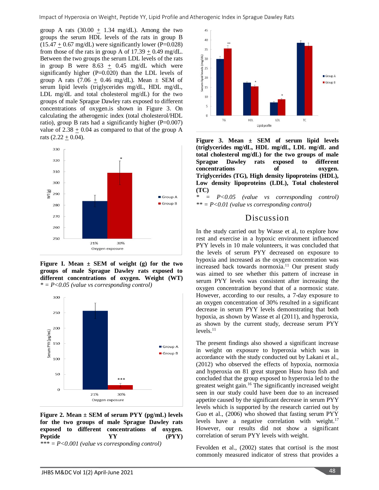group A rats (30.00  $\pm$  1.34 mg/dL). Among the two groups the serum HDL levels of the rats in group B  $(15.47 + 0.67 \text{ mg/dL})$  were significantly lower (P=0.028) from those of the rats in group A of  $17.39 + 0.49$  mg/dL. Between the two groups the serum LDL levels of the rats in group B were  $8.63 \pm 0.45$  mg/dL which were significantly higher (P=0.020) than the LDL levels of group A rats  $(7.06 + 0.46 \text{ mg/dL})$ . Mean  $\pm$  SEM of serum lipid levels (triglycerides mg/dL, HDL mg/dL, LDL mg/dL and total cholesterol mg/dL) for the two groups of male Sprague Dawley rats exposed to different concentrations of oxygen.is shown in Figure 3. On calculating the atherogenic index (total cholesterol/HDL ratio), group B rats had a significantly higher  $(P=0.007)$ value of  $2.38 \pm 0.04$  as compared to that of the group A rats  $(2.22 + 0.04)$ .



**Figure I. Mean ± SEM of weight (g) for the two groups of male Sprague Dawley rats exposed to different concentrations of oxygen. Weight (WT)** *\* = P<0.05 (value vs corresponding control)*



**Figure 2. Mean ± SEM of serum PYY (pg/mL) levels for the two groups of male Sprague Dawley rats exposed to different concentrations of oxygen.** Peptide  $YY$  (PYY) *\*\*\* = P<0.001 (value vs corresponding control)*



**Figure 3. Mean ± SEM of serum lipid levels (triglycerides mg/dL, HDL mg/dL, LDL mg/dL and total cholesterol mg/dL) for the two groups of male Sprague Dawley rats exposed to different concentrations of oxygen. Triglycerides (TG), High density lipoproteins (HDL), Low density lipoproteins (LDL), Total cholesterol (TC)**

*\* = P<0.05 (value vs corresponding control) \*\* = P<0.01 (value vs corresponding control)*

### Discussion

In the study carried out by Wasse et al, to explore how rest and exercise in a hypoxic environment influenced PYY levels in 10 male volunteers, it was concluded that the levels of serum PYY decreased on exposure to hypoxia and increased as the oxygen concentration was increased back towards normoxia.<sup>11</sup> Our present study was aimed to see whether this pattern of increase in serum PYY levels was consistent after increasing the oxygen concentration beyond that of a normoxic state. However, according to our results, a 7-day exposure to an oxygen concentration of 30% resulted in a significant decrease in serum PYY levels demonstrating that both hypoxia, as shown by Wasse et al (2011), and hyperoxia, as shown by the current study, decrease serum PYY levels.<sup>11</sup>

The present findings also showed a significant increase in weight on exposure to hyperoxia which was in accordance with the study conducted out by Lakani et al., (2012) who observed the effects of hypoxia, normoxia and hyperoxia on 81 great sturgeon Huso huso fish and concluded that the group exposed to hyperoxia led to the greatest weight gain.<sup>16</sup> The significantly increased weight seen in our study could have been due to an increased appetite caused by the significant decrease in serum PYY levels which is supported by the research carried out by Guo et al., (2006) who showed that fasting serum PYY levels have a negative correlation with weight. $17$ However, our results did not show a significant correlation of serum PYY levels with weight.

Fevolden et al., (2002) states that cortisol is the most commonly measured indicator of stress that provides a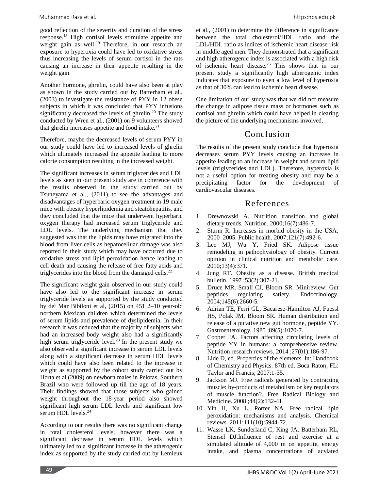good reflection of the severity and duration of the stress response.<sup>18</sup> High cortisol levels stimulate appetite and weight gain as well.<sup>19</sup> Therefore, in our research an exposure to hyperoxia could have led to oxidative stress thus increasing the levels of serum cortisol in the rats causing an increase in their appetite resulting in the weight gain.

Another hormone, ghrelin, could have also been at play as shown in the study carried out by Batterham et al., (2003) to investigate the resistance of PYY in 12 obese subjects in which it was concluded that PYY infusions significantly decreased the levels of ghrelin.<sup>20</sup> The study conducted by Wren et al., (2001) on 9 volunteers showed that ghrelin increases appetite and food intake.<sup>21</sup>

Therefore, maybe the decreased levels of serum PYY in our study could have led to increased levels of ghrelin which ultimately increased the appetite leading to more calorie consumption resulting in the increased weight.

The significant increases in serum triglycerides and LDL levels as seen in our present study are in coherence with the results observed in the study carried out by Tsuneyama et al., (2011) to see the advantages and disadvantages of hyperbaric oxygen treatment in 19 male mice with obesity hyperlipidemia and steatohepatitis, and they concluded that the mice that underwent hyperbaric oxygen therapy had increased serum triglyceride and LDL levels. The underlying mechanism that they suggested was that the lipids may have migrated into the blood from liver cells as hepatocelluar damage was also reported in their study which may have occurred due to oxidative stress and lipid peroxidation hence leading to cell death and causing the release of free fatty acids and triglycerides into the blood from the damaged cells. $^{22}$ 

The significant weight gain observed in our study could have also led to the significant increase in serum triglyceride levels as supported by the study conducted by del Mar Bibiloni et al, (2015) on 451 2–10 year-old northern Mexican children which determined the levels of serum lipids and prevalence of dyslipidemia. In their research it was deduced that the majority of subjects who had an increased body weight also had a significantly high serum triglyceride level.<sup>23</sup> In the present study we also observed a significant increase in serum LDL levels along with a significant decrease in serum HDL levels which could have also been related to the increase in weight as supported by the cohort study carried out by Horta et al (2009) on newborn males in Pelotas, Southern Brazil who were followed up till the age of 18 years. Their findings showed that those subjects who gained weight throughout the 18-year period also showed significant high serum LDL levels and significant low serum HDL levels.<sup>24</sup>

According to our results there was no significant change in total cholesterol levels, however there was a significant decrease in serum HDL levels which ultimately led to a significant increase in the atherogenic index as supported by the study carried out by Lemieux

et al., (2001) to determine the difference in significance between the total cholesterol/HDL ratio and the LDL/HDL ratio as indices of ischemic heart disease risk in middle aged men. They demonstrated that a significant and high atherogenic index is associated with a high risk of ischemic heart disease.<sup>25</sup> This shows that in our present study a significantly high atherogenic index indicates that exposure to even a low level of hyperoxia as that of 30% can lead to ischemic heart disease.

One limitation of our study was that we did not measure the change in adipose tissue mass or hormones such as cortisol and ghrelin which could have helped in clearing the picture of the underlying mechanisms involved.

# Conclusion

The results of the present study conclude that hyperoxia decreases serum PYY levels causing an increase in appetite leading to an increase in weight and serum lipid levels (triglycerides and LDL). Therefore, hyperoxia is not a useful option for treating obesity and may be a precipitating factor for the development of cardiovascular diseases.

# References

- 1. Drewnowski A. Nutrition transition and global dietary trends. Nutrition. 2000;16(7):486-7.
- 2. Sturm R. Increases in morbid obesity in the USA: 2000–2005. Public health. 2007;121(7):492-6.
- 3. Lee MJ, Wu Y, Fried SK. Adipose tissue remodeling in pathophysiology of obesity. Current opinion in clinical nutrition and metabolic care. 2010;13(4):371.
- 4. Jung RT. Obesity as a disease. British medical bulletin. 1997 ;53(2):307-21.
- 5. Druce MR, Small CJ, Bloom SR. Minireview: Gut peptides regulating satiety. Endocrinology. 2004;145(6):2660-5.
- 6. Adrian TE, Ferri GL, Bacarese-Hamilton AJ, Fuessl HS, Polak JM, Bloom SR. Human distribution and release of a putative new gut hormone, peptide YY. Gastroenterology. 1985 ;89(5):1070-7.
- 7. Cooper JA. Factors affecting circulating levels of peptide YY in humans: a comprehensive review. Nutrition research reviews. 2014 ;27(01):186-97.
- 8. Lide D, ed. Properties of the elements. In: Handbook of Chemistry and Physics. 87th ed. Boca Raton, FL: Taylor and Francis; 2007:1-35.
- 9. Jackson MJ. Free radicals generated by contracting muscle: by-products of metabolism or key regulators of muscle function?. Free Radical Biology and Medicine. 2008 ;44(2):132-41.
- 10. Yin H, Xu L, Porter NA. Free radical lipid peroxidation: mechanisms and analysis. Chemical reviews. 2011;111(10):5944-72.
- 11. Wasse LK, Sunderland C, King JA, Batterham RL, Stensel DJ.Influence of rest and exercise at a simulated altitude of 4,000 m on appetite, energy intake, and plasma concentrations of acylated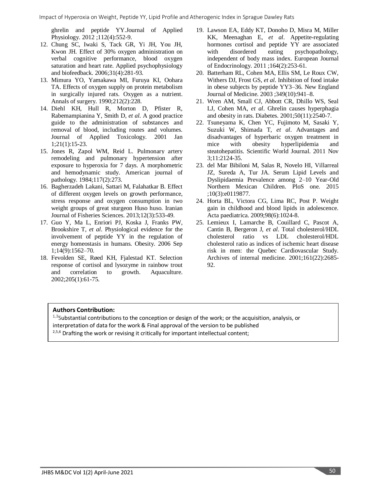ghrelin and peptide YY.Journal of Applied Physiology. 2012 ;112(4):552-9.

- 12. Chung SC, Iwaki S, Tack GR, Yi JH, You JH, Kwon JH. Effect of 30% oxygen administration on verbal cognitive performance, blood oxygen saturation and heart rate. Applied psychophysiology and biofeedback. 2006;31(4):281-93.
- 13. Mimura YO, Yamakawa MI, Furuya KI, Oohara TA. Effects of oxygen supply on protein metabolism in surgically injured rats. Oxygen as a nutrient. Annals of surgery. 1990;212(2):228.
- 14. Diehl KH, Hull R, Morton D, Pfister R, Rabemampianina Y, Smith D, *et al*. A good practice guide to the administration of substances and removal of blood, including routes and volumes. Journal of Applied Toxicology. 2001 Jan 1;21(1):15-23.
- 15. Jones R, Zapol WM, Reid L. Pulmonary artery remodeling and pulmonary hypertension after exposure to hyperoxia for 7 days. A morphometric and hemodynamic study. American journal of pathology. 1984;117(2):273.
- 16. Bagherzadeh Lakani, Sattari M, Falahatkar B. Effect of different oxygen levels on growth performance, stress response and oxygen consumption in two weight groups of great sturgeon Huso huso. Iranian Journal of Fisheries Sciences. 2013;12(3):533-49.
- 17. Guo Y, Ma L, Enriori PJ, Koska J, Franks PW, Brookshire T, *et al*. Physiological evidence for the involvement of peptide YY in the regulation of energy homeostasis in humans. Obesity. 2006 Sep 1;14(9):1562–70.
- 18. Fevolden SE, Røed KH, Fjalestad KT. Selection response of cortisol and lysozyme in rainbow trout and correlation to growth. Aquaculture. 2002;205(1):61-75.
- 19. Lawson EA, Eddy KT, Donoho D, Misra M, Miller KK, Meenaghan E, *et al*. Appetite-regulating hormones cortisol and peptide YY are associated with disordered eating psychopathology, independent of body mass index. European Journal of Endocrinology. 2011 ;164(2):253-61.
- 20. Batterham RL, Cohen MA, Ellis SM, Le Roux CW, Withers DJ, Frost GS, *et al*. Inhibition of food intake in obese subjects by peptide YY3–36. New England Journal of Medicine. 2003 ;349(10):941–8.
- 21. Wren AM, Small CJ, Abbott CR, Dhillo WS, Seal LJ, Cohen MA, *et al*. Ghrelin causes hyperphagia and obesity in rats. Diabetes. 2001;50(11):2540-7.
- 22. Tsuneyama K, Chen YC, Fujimoto M, Sasaki Y, Suzuki W, Shimada T, *et al*. Advantages and disadvantages of hyperbaric oxygen treatment in mice with obesity hyperlipidemia and steatohepatitis. Scientific World Journal. 2011 Nov 3;11:2124-35.
- 23. del Mar Bibiloni M, Salas R, Novelo HI, Villarreal JZ, Sureda A, Tur JA. Serum Lipid Levels and Dyslipidaemia Prevalence among 2–10 Year-Old Northern Mexican Children. PloS one. 2015 ;10(3):e0119877.
- 24. Horta BL, Victora CG, Lima RC, Post P. Weight gain in childhood and blood lipids in adolescence. Acta paediatrica. 2009;98(6):1024-8.
- 25. Lemieux I, Lamarche B, Couillard C, Pascot A, Cantin B, Bergeron J, *et al*. Total cholesterol/HDL cholesterol ratio vs LDL cholesterol/HDL cholesterol ratio as indices of ischemic heart disease risk in men: the Quebec Cardiovascular Study. Archives of internal medicine. 2001;161(22):2685- 92.

### **Authors Contribution:**

 $1,3$ Substantial contributions to the conception or design of the work; or the acquisition, analysis, or interpretation of data for the work & Final approval of the version to be published <sup>2,5,6</sup> Drafting the work or revising it critically for important intellectual content;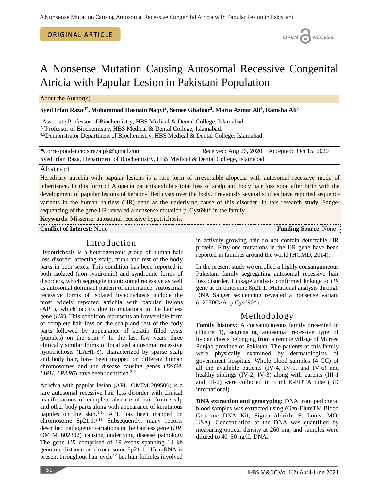#### ORIGINAL ARTICLE

# A Nonsense Mutation Causing Autosomal Recessive Congenital Atricia with Papular Lesion in Pakistani Population

About the Author(s)

### **Syed Irfan Raza 1\* , Mohammad Hasnain Naqvi<sup>2</sup> , Semee Ghafoor<sup>3</sup> , Maria Azmat Ali<sup>4</sup> , Ramsha Ali<sup>5</sup>**

<sup>1</sup> Associate Professor of Biochemistry, HBS Medical & Dental College, Islamabad.

<sup>2,3</sup>Professor of Biochemistry, HBS Medical & Dental College, Islamabad.

4,5Demonstrator Department of Biochemistry, HBS Medical & Dental College, Islamabad.

\*Correspondence: [siraza.pk@gmail.com](mailto:siraza.pk@gmail.com) Received: Aug 26, 2020 Accepted: Oct 15, 2020 Syed irfan Raza, Department of Biochemistry, HBS Medical & Dental College, Islamabad.

### Abstract

Hereditary atrichia with papular lesions is a rare form of irreversible alopecia with autosomal recessive mode of inheritance. In this form of Alopecia patients exhibits total loss of scalp and body hair loss soon after birth with the development of papular lesions of keratin-filled cysts over the body. Previously several studies have reported sequence variants in the human hairless (HR) gene as the underlying cause of this disorder. In this research study, Sanger sequencing of the gene HR revealed a nonsense mutation p. Cys690<sup>\*</sup> in the family.

**Keywords**: [Missense,](https://meshb.nlm.nih.gov/record/ui?ui=D020125) autosomal recessive hypotrichosis.

**Conflict of Interest:** None **Funding Source**: None

in actively growing hair do not contain detectable HR protein. Fifty-one mutations in the HR gene have been reported in families around the world (HGMD, 2014).

In the present study we enrolled a highly consanguineous Pakistani family segregating autosomal recessive hair loss disorder. Linkage analysis confirmed linkage to *HR* gene at chromosome 8p21.1. Mutational analysis through DNA Sanger sequencing revealed a nonsense variant (c.2070C>A; p.Cys690\*).

# Methodology

**Family history:** A consanguineous family presented in (Figure 1), segregating autosomal recessive type of hypotrichosis belonging from a remote village of Murree Punjab province of Pakistan. The patients of this family were physically examined by dermatologists of government hospitals. Whole blood samples (4 CC) of all the available patients (IV-4, IV-5, and IV-6) and healthy siblings (IV-2, IV-3) along with parents (III-1 and III-2) were collected in 5 ml K-EDTA tube (BD international).

**DNA extraction and genotyping:** DNA from peripheral blood samples was extracted using (Gen-EluteTM Blood Genomic DNA Kit; Sigma–Aldrich, St Louis, MO, USA). Concentration of the DNA was quantified by measuring optical density at 260 nm, and samples were diluted to 40–50 ng/lL DNA.

# Introduction

Hypotrichosis is a heterogeneous group of human hair loss disorder affecting scalp, trunk and rest of the body parts in both sexes. This condition has been reported in both isolated (non-syndromic) and syndromic forms of disorders, which segregate in autosomal recessive as well as autosomal dominant pattern of inheritance. Autosomal recessive forms of isolated hypotrichosis include the most widely reported atrichia with papular lesions (APL), which occurs due to mutations in the hairless gene (*HR*). This condition represents an irreversible form of complete hair loss on the scalp and rest of the body parts followed by appearance of keratin filled cysts (papules) on the skin.<sup>1,2</sup> In the last few years three clinically similar forms of localized autosomal recessive hypotrichosis (LAH1-3), characterized by sparse scalp and body hair, have been mapped on different human chromosomes and the disease causing genes (*DSG4*, *LIPH*, *LPAR6*) have been identified. 3-9

Atrichia with papular lesion (APL, OMIM 209500) is a rare autosomal recessive hair loss disorder with clinical manifestations of complete absence of hair from scalp and other body parts along with appearance of keratinous papules on the skin.<sup>1,10</sup> APL has been mapped on chromosome  $8p21.1.^{2,11}$  Subsequently, many reports described pathogenic variations in the hairless gene (*HR*, OMIM 602302) causing underlying disease pathology The gene *HR* comprised of 19 exons spanning 14 kb genomic distance on chromosome 8p21.1. <sup>2</sup> Hr mRNA is present throughout hair cycle<sup>12</sup> but hair follicles involved



OPEN CACCESS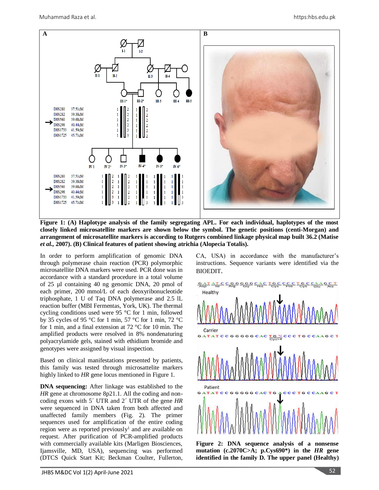

**Figure 1: (A) Haplotype analysis of the family segregating APL. For each individual, haplotypes of the most closely linked microsatellite markers are shown below the symbol. The genetic positions (centi-Morgan) and arrangement of microsatellite markers is according to Rutgers combined linkage physical map built 36.2 (Matise**  *et al.,* **2007). (B) Clinical features of patient showing atrichia (Alopecia Totalis).**

In order to perform amplification of genomic DNA through polymerase chain reaction (PCR) polymorphic microsatellite DNA markers were used. PCR done was in accordance with a standard procedure in a total volume of 25 µl containing 40 ng genomic DNA, 20 pmol of each primer, 200 mmol/L of each deoxyribonucleotide triphosphate, 1 U of Taq DNA polymerase and 2.5 lL reaction buffer (MBI Fermentas, York, UK). The thermal cycling conditions used were 95 °C for 1 min, followed by 35 cycles of 95 °C for 1 min, 57 °C for 1 min, 72 °C for 1 min, and a final extension at 72 °C for 10 min. The amplified products were resolved in 8% nondenaturing polyacrylamide gels, stained with ethidium bromide and genotypes were assigned by visual inspection.

Based on clinical manifestations presented by patients, this family was tested through microsattelite markers highly linked to *HR* gene locus mentioned in Figure 1.

**DNA sequencing:** After linkage was established to the *HR* gene at chromosome 8p21.1. All the coding and noncoding exons with 5´ UTR and 2´ UTR of the gene *HR* were sequenced in DNA taken from both affected and unaffected family members (Fig. 2). The primer sequences used for amplification of the entire coding region were as reported previously<sup>1</sup> and are available on request. After purification of PCR-amplified products with commercially available kits (Marligen Biosciences, Ijamsville, MD, USA), sequencing was performed (DTCS Quick Start Kit; Beckman Coulter, Fullerton,

CA, USA) in accordance with the manufacturer's instructions. Sequence variants were identified via the BIOEDIT.



**Figure 2: DNA sequence analysis of a nonsense mutation (c.2070C>A; p.Cys690\*) in the** *HR* **gene identified in the family D. The upper panel (Healthy)**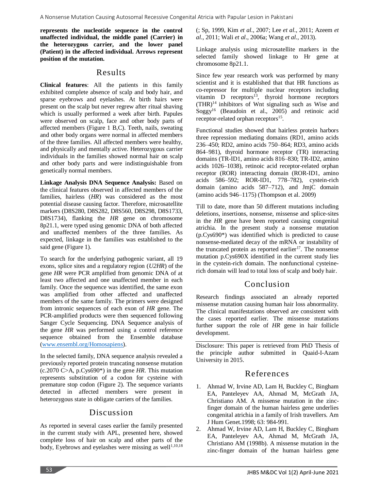**represents the nucleotide sequence in the control unaffected individual, the middle panel (Carrier) in the heterozygous carrier, and the lower panel (Patient) in the affected individual. Arrows represent position of the mutation.**

### Results

**Clinical features**: All the patients in this family exhibited complete absence of scalp and body hair, and sparse eyebrows and eyelashes. At birth hairs were present on the scalp but never regrew after ritual shaving which is usually performed a week after birth. Papules were observed on scalp, face and other body parts of affected members (Figure 1 B,C). Teeth, nails, sweating and other body organs were normal in affected members of the three families. All affected members were healthy, and physically and mentally active. Heterozygous carrier individuals in the families showed normal hair on scalp and other body parts and were indistinguishable from genetically normal members.

**Linkage Analysis DNA Sequence Analysis:** Based on the clinical features observed in affected members of the families, hairless (*HR*) was considered as the most potential disease causing factor. Therefore, microsatellite markers (D8S280, D8S282, D8S560, D8S298, D8S1733, D8S1734), flanking the *HR* gene on chromosome 8p21.1, were typed using genomic DNA of both affected and unaffected members of the three families. As expected, linkage in the families was established to the said gene (Figure 1).

To search for the underlying pathogenic variant, all 19 exons, splice sites and a regulatory region (*U2HR*) of the gene *HR* were PCR amplified from genomic DNA of at least two affected and one unaffected member in each family. Once the sequence was identified, the same exon was amplified from other affected and unaffected members of the same family. The primers were designed from intronic sequences of each exon of *HR* gene. The PCR-amplified products were then sequenced following Sanger Cycle Sequencing. DNA Sequence analysis of the gene *HR* was performed using a control reference sequence obtained from the Ensemble database [\(www.ensembl.org/Homosapiens\)](http://www.ensembl.org/Homosapiens).

In the selected family, DNA sequence analysis revealed a previously reported protein truncating nonsense mutation (c.2070 C>A, p.Cys690\*) in the gene *HR*. This mutation represents substitution of a codon for cysteine with premature stop codon (Figure 2). The sequence variants detected in affected members were present in heterozygous state in obligate carriers of the families.

# Discussion

As reported in several cases earlier the family presented in the current study with APL, presented here, showed complete loss of hair on scalp and other parts of the body, Eyebrows and eyelashes were missing as well<sup>1,10,18</sup>

(; Sp, 1999, Kim *et al*., 2007; Lee *et al*., 2011; Azeem *et al*., 2011; Wali *et al*., 2006a; Wang *et al*., 2013).

Linkage analysis using microsatellite markers in the selected family showed linkage to Hr gene at chromosome 8p21.1.

Since few year research work was performed by many scientist and it is established that that HR functions as co-repressor for multiple nuclear receptors including vitamin D receptors<sup>13</sup>, thyroid hormone receptors  $(THR)<sup>14</sup>$  inhibitors of Wnt signaling such as Wise and  $Soggy<sup>16</sup>$  (Beaudoin et al., 2005) and retinoic acid receptor-related orphan receptors<sup>15</sup>.

Functional studies showed that hairless protein harbors three repression mediating domains (RD1, amino acids 236–450; RD2, amino acids 750–864; RD3, amino acids 864–981), thyroid hormone receptor (TR) interacting domains (TR-ID1, amino acids 816–830; TR-ID2, amino acids 1026–1038), retinoic acid receptor-related orphan receptor (ROR) interacting domain (ROR-ID1, amino acids 586–592; ROR-ID1, 778–782), cystein-rich domain (amino acids 587–712), and JmjC domain (amino acids 946–1175) (Thompson et al. 2009)

Till to date, more than 50 different mutations including deletions, insertions, nonsense, missense and splice-sites in the *HR* gene have been reported causing congenital atrichia. In the present study a nonsense mutation (p.Cys690\*) was identified which is predicted to cause nonsense-mediated decay of the mRNA or instability of the truncated protein as reported earlier<sup>17</sup>. The nonsense mutation p.Cys690X identified in the current study lies in the cystein-rich domain. The nonfunctional cysteinerich domain will lead to total loss of scalp and body hair.

# Conclusion

Research findings associated an already reported missense mutation causing human hair loss abnormality. The clinical manifestations observed are consistent with the cases reported earlier. The missense mutations further support the role of *HR* gene in hair follicle development.

Disclosure: This paper is retrieved from PhD Thesis of the principle author submitted in Quaid-I-Azam University in 2015.

# References

- 1. Ahmad W, Irvine AD, Lam H, Buckley C, Bingham EA, Panteleyev AA, Ahmad M, McGrath JA, Christiano AM. A missense mutation in the zincfinger domain of the human hairless gene underlies congenital atrichia in a family of Irish travellers. Am J Hum Genet.1998; 63: 984-991.
- 2. Ahmad W, Irvine AD, Lam H, Buckley C, Bingham EA, Panteleyev AA, Ahmad M, McGrath JA, Christiano AM (1998b). A missense mutation in the zinc-finger domain of the human hairless gene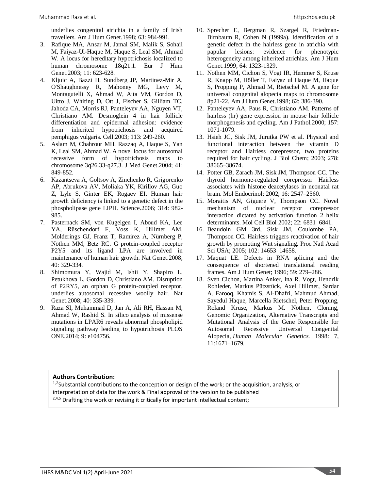underlies congenital atrichia in a family of Irish travellers. Am J Hum Genet.1998; 63: 984-991.

- 3. Rafique MA, Ansar M, Jamal SM, Malik S, Sohail M, Faiyaz-Ul-Haque M, Haque S, Leal SM, Ahmad W. A locus for hereditary hypotrichosis localized to human chromosome 18q21.1. Eur J Hum Genet.2003; 11: 623-628.
- 4. Kljuic A, Bazzi H, Sundberg JP, Martinez-Mir A, O'Shaughnessy R, Mahoney MG, Levy M, Montagutelli X, Ahmad W, Aita VM, Gordon D, Uitto J, Whiting D, Ott J, Fischer S, Gilliam TC, Jahoda CA, Morris RJ, Panteleyev AA, Nguyen VT, Christiano AM. Desmoglein 4 in hair follicle differentiation and epidermal adhesion: evidence from inherited hypotrichosis and acquired pemphigus vulgaris. Cell.2003; 113: 249-260.
- 5. Aslam M, Chahrour MH, Razzaq A, Haque S, Yan K, Leal SM, Ahmad W. A novel locus for autosomal recessive form of hypotrichosis maps to chromosome 3q26.33-q27.3. J Med Genet.2004; 41: 849-852.
- 6. Kazantseva A, Goltsov A, Zinchenko R, Grigorenko AP, Abrukova AV, Moliaka YK, Kirillov AG, Guo Z, Lyle S, Ginter EK, Rogaev EI. Human hair growth deficiency is linked to a genetic defect in the phospholipase gene LIPH. Science.2006; 314: 982- 985.
- 7. Pasternack SM, von Kugelgen I, Aboud KA, Lee YA, Rüschendorf F, Voss K, Hillmer AM, Molderings GJ, Franz T, Ramirez A, Nürnberg P, Nöthen MM, Betz RC. G protein-coupled receptor P2Y5 and its ligand LPA are involved in maintenance of human hair growth. Nat Genet.2008; 40: 329-334.
- 8. Shimomura Y, Wajid M, Ishii Y, Shapiro L, Petukhova L, Gordon D, Christiano AM. Disruption of P2RY5, an orphan G protein-coupled receptor, underlies autosomal recessive woolly hair. Nat Genet.2008; 40: 335-339.
- 9. Raza SI, Muhammad D, Jan A, Ali RH, Hassan M, Ahmad W, Rashid S. In silico analysis of missense mutations in LPAR6 reveals abnormal phospholipid signaling pathway leading to hypotrichosis PLOS ONE.2014; 9: e104756.
- 10. Sprecher E, Bergman R, Szargel R, Friedman-Birnbaum R, Cohen N (1999a). Identification of a genetic defect in the hairless gene in atrichia with papular lesions: evidence for phenotypic heterogeneity among inherited atrichias. Am J Hum Genet.1999; 64: 1323-1329.
- 11. Nothen MM, Cichon S, Vogt IR, Hemmer S, Kruse R, Knapp M, Höller T, Faiyaz ul Haque M, Haque S, Propping P, Ahmad M, Rietschel M. A gene for universal congenital alopecia maps to chromosome 8p21-22. Am J Hum Genet.1998; 62: 386-390.
- 12. Panteleyev AA, Paus R, Christiano AM. Patterns of hairless (hr) gene expression in mouse hair follicle morphogenesis and cycling. Am J Pathol.2000; 157: 1071-1079.
- 13. Hsieh JC, Sisk JM, Jurutka PW et al. Physical and functional interaction between the vitamin D receptor and Hairless corepressor, two proteins required for hair cycling. J Biol Chem; 2003; 278: 38665–38674.
- 14. Potter GB, Zarach JM, Sisk JM, Thompson CC. The thyroid hormone-regulated corepressor Hairless associates with histone deacetylases in neonatal rat brain. Mol Endocrinol; 2002; 16: 2547–2560.
- 15. Moraitis AN, Giguere V, Thompson CC. Novel mechanism of nuclear receptor corepressor interaction dictated by activation function 2 helix determinants. Mol Cell Biol 2002; 22: 6831–6841.
- 16. Beaudoin GM 3rd, Sisk JM, Coulombe PA, Thompson CC. Hairless triggers reactivation of hair growth by promoting Wnt signaling. Proc Natl Acad Sci USA; 2005; 102: 14653–14658.
- 17. Maquat LE. Defects in RNA splicing and the consequence of shortened translational reading frames. Am J Hum Genet; 1996; 59: 279–286.
- 18. Sven Cichon, Martina Anker, Ina R. Vogt, Hendrik Rohleder, Markus Pützstück, Axel Hillmer, Sardar A. Farooq, Khamis S. Al-Dhafri, Mahmud Ahmad, Sayedul Haque, Marcella Rietschel, Peter Propping, Roland Kruse, Markus M. Nöthen, Cloning, Genomic Organization, Alternative Transcripts and Mutational Analysis of the Gene Responsible for Autosomal Recessive Universal Congenital Alopecia, *Human Molecular Genetics*. 1998: 7, 11:1671–1679.

#### **Authors Contribution:**

<sup>1,3</sup>Substantial contributions to the conception or design of the work; or the acquisition, analysis, or interpretation of data for the work & Final approval of the version to be published <sup>2,4,5</sup> Drafting the work or revising it critically for important intellectual content;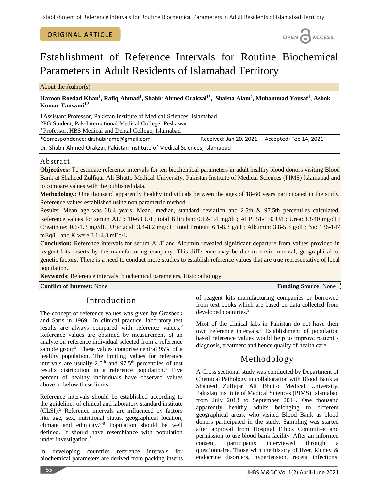### ORIGINAL ARTICLE



# Establishment of Reference Intervals for Routine Biochemical Parameters in Adult Residents of Islamabad Territory

About the Author(s)

### **Haroon Roedad Khan<sup>1</sup> , Rafiq Ahmad<sup>1</sup> , Shabir Ahmed Orakzai1\* , Shaista Alam<sup>2</sup> , Muhammad Yousaf<sup>1</sup> , Ashok Kumar Tanwani1,3**

1Assistant Professor, Pakistan Institute of Medical Sciences, Islamabad 2PG Student, Pak-International Medical College, Peshawar <sup>3</sup> Professor, HBS Medical and Dental College, Islamabad

\*Correspondence: drshabiramc@gmail.com Received: Jan 20, 2021. Accepted: Feb 14, 2021

Dr. Shabir Ahmed Orakzai, Pakistan Institute of Medical Sciences, Islamabad

### Abstract

**Objectives:** To estimate reference intervals for ten biochemical parameters in adult healthy blood donors visiting Blood Bank at Shaheed Zulfiqar Ali Bhutto Medical University, Pakistan Institute of Medical Sciences (PIMS) Islamabad and to compare values with the published data.

**Methodology:** One thousand apparently healthy individuals between the ages of 18-60 years participated in the study. Reference values established using non parametric method.

Results: Mean age was 28.4 years. Mean, median, standard deviation and 2.5th & 97.5th percentiles calculated. Reference values for serum ALT: 10-68 U/L; total Bilirubin: 0.12-1.4 mg/dL; ALP: 51-150 U/L; Urea: 13-40 mg/dL; Creatinine: 0.6-1.3 mg/dL; Uric acid: 3.4-8.2 mg/dL; total Protein: 6.1-8.3 g/dL; Albumin: 3.8-5.3 g/dL; Na: 136-147 mEq/L; and K were 3.1-4.8 mEq/L.

**Conclusion:** Reference intervals for serum ALT and Albumin revealed significant departure from values provided in reagent kits inserts by the manufacturing company. This difference may be due to environmental, geographical or genetic factors. There is a need to conduct more studies to establish reference values that are true representative of local population.

**Keywords**: Reference intervals, biochemical parameters, Histopathology.

**Conflict of Interest:** None **Funding Source**: None **Funding Source**: None

# Introduction

The concept of reference values was given by Grasbeck and Saris in 1969.<sup>1</sup> In clinical practice, laboratory test results are always compared with reference values.<sup>2</sup> Reference values are obtained by measurement of an analyte on reference individual selected from a reference sample group<sup>3</sup>. These values comprise central 95% of a healthy population. The limiting values for reference intervals are usually  $2.5<sup>th</sup>$  and  $97.5<sup>th</sup>$  percentiles of test results distribution in a reference population.<sup>4</sup> Five percent of healthy individuals have observed values above or below these limits.<sup>4</sup>

Reference intervals should be established according to the guidelines of clinical and laboratory standard institute (CLSI).<sup>5</sup> Reference intervals are influenced by factors like age, sex, nutritional status, geographical location, climate and ethnicity. 6-8 Population should be well defined. It should have resemblance with population under investigation. 5

In developing countries reference intervals for biochemical parameters are derived from packing inserts

of reagent kits manufacturing companies or borrowed from text books which are based on data collected from developed countries.<sup>9</sup>

Most of the clinical labs in Pakistan do not have their own reference intervals.<sup>8</sup> Establishment of population based reference values would help to improve patient's diagnosis, treatment and hence quality of health care.

# Methodology

A Cross sectional study was conducted by Department of Chemical Pathology in collaboration with Blood Bank at Shaheed Zulfiqar Ali Bhutto Medical University, Pakistan Institute of Medical Sciences (PIMS) Islamabad from July 2013 to September 2014. One thousand apparently healthy adults belonging to different geographical areas, who visited Blood Bank as blood donors participated in the study. Sampling was started after approval from Hospital Ethics Committee and permission to use blood bank facility. After an informed consent, participants interviewed through questionnaire. Those with the history of liver, kidney & endocrine disorders, hypertension, recent infections,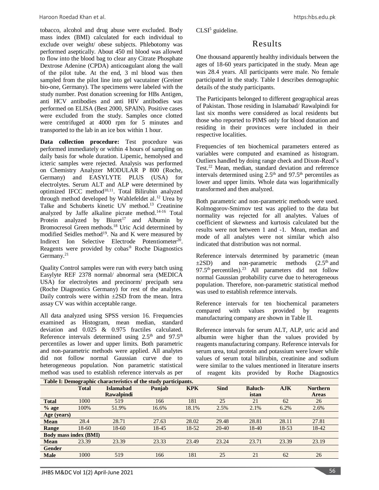Haroon Roedad Khan et al. https:hbs.edu.pk

tobacco, alcohol and drug abuse were excluded. Body mass index (BMI) calculated for each individual to exclude over weight/ obese subjects. Phlebotomy was performed aseptically. About 450 ml blood was allowed to flow into the blood bag to clear any Citrate Phosphate Dextrose Adenine (CPDA) anticoagulant along the wall of the pilot tube. At the end, 3 ml blood was then sampled from the pilot line into gel vacutainer (Greiner bio-one, Germany). The specimens were labeled with the study number. Post donation screening for HBs Antigen, anti HCV antibodies and anti HIV antibodies was performed on ELISA (Best 2000, SPAIN). Positive cases were excluded from the study. Samples once clotted were centrifuged at 4000 rpm for 5 minutes and transported to the lab in an ice box within 1 hour.

**Data collection procedure:** Test procedure was performed immediately or within 4 hours of sampling on daily basis for whole duration. Lipemic, hemolysed and icteric samples were rejected. Analysis was performed on Chemistry Analyzer MODULAR P 800 (Roche, Germany) and EASYLYTE PLUS (USA) for electrolytes. Serum ALT and ALP were determined by optimized IFCC method $10,11$ . Total Bilirubin analyzed through method developed by Wahlefeldet al. <sup>12</sup> Urea by Talke and Schuberts kinetic UV method. <sup>13</sup> Creatinine analyzed by Jaffe alkaline picrate method. 14-16 Total Protein analyzed by Biuret<sup>17</sup> and Albumin by Bromocresol Green methods. <sup>18</sup> Uric Acid determined by modified Seidles method<sup>19</sup>. Na and K were measured by Indirect Ion Selective Electrode Potentiometer<sup>20</sup>. Reagents were provided by cobas® Roche Diagnostics Germany.<sup>21</sup>

Quality Control samples were run with every batch using Easylyte REF 2378 normal/ abnormal sera (MEDICA USA) for electrolytes and precinorm/ precipath sera (Roche Diagnostics Germany) for rest of the analytes. Daily controls were within  $\pm 2SD$  from the mean. Intra assay CV was within acceptable range.

All data analyzed using SPSS version 16. Frequencies examined as Histogram, mean median, standard deviation and 0.025 & 0.975 fractiles calculated. Reference intervals determined using  $2.5<sup>th</sup>$  and  $97.5<sup>th</sup>$ percentiles as lower and upper limits. Both parametric and non-parametric methods were applied. All analytes did not follow normal Gaussian curve due to heterogeneous population. Non parametric statistical method was used to establish reference intervals as per

 $CLSI<sup>5</sup>$  guideline.

# Results

One thousand apparently healthy individuals between the ages of 18-60 years participated in the study. Mean age was 28.4 years. All participants were male. No female participated in the study. Table I describes demographic details of the study participants.

The Participants belonged to different geographical areas of Pakistan. Those residing in Islamabad/ Rawalpindi for last six months were considered as local residents but those who reported to PIMS only for blood donation and residing in their provinces were included in their respective localities.

Frequencies of ten biochemical parameters entered as variables were computed and examined as histogram. Outliers handled by doing range check and Dixon-Reed's Test.<sup>22</sup> Mean, median, standard deviation and reference intervals determined using  $2.5<sup>th</sup>$  and  $97.5<sup>th</sup>$  percentiles as lower and upper limits. Whole data was logarithmically transformed and then analyzed.

Both parametric and non-parametric methods were used. Kolmogorov-Smirnov test was applied to the data but normality was rejected for all analytes. Values of coefficient of skewness and kurtosis calculated but the results were not between 1 and -1. Mean, median and mode of all analytes were not similar which also indicated that distribution was not normal.

Reference intervals determined by parametric (mean  $\pm 2SD$ ) and non-parametric methods (2.5<sup>th</sup> and 97.5<sup>th</sup> percentiles).<sup>23</sup> All parameters did not follow normal Gaussian probability curve due to heterogeneous population. Therefore, non-parametric statistical method was used to establish reference intervals.

Reference intervals for ten biochemical parameters compared with values provided by reagents manufacturing company are shown in Table II.

Reference intervals for serum ALT, ALP, uric acid and albumin were higher than the values provided by reagents manufacturing company. Reference intervals for serum urea, total protein and potassium were lower while values of serum total bilirubin, creatinine and sodium were similar to the values mentioned in literature inserts of reagent kits provided by Roche Diagnostics

|               |                              | Table I: Demographic characteristics of the study participants. |        |            |             |                |       |                 |
|---------------|------------------------------|-----------------------------------------------------------------|--------|------------|-------------|----------------|-------|-----------------|
|               | <b>Total</b>                 | <b>Islamabad</b>                                                | Punjab | <b>KPK</b> | <b>Sind</b> | <b>Baluch-</b> | AJK   | <b>Northern</b> |
|               |                              | <b>Rawalpindi</b>                                               |        |            |             | istan          |       | <b>Areas</b>    |
| <b>Total</b>  | 1000                         | 519                                                             | 166    | 181        | 25          | 21             | 62    | 26              |
| $%$ age       | 100%                         | 51.9%                                                           | 16.6%  | 18.1%      | 2.5%        | 2.1%           | 6.2%  | 2.6%            |
| Age (years)   |                              |                                                                 |        |            |             |                |       |                 |
| <b>Mean</b>   | 28.4                         | 28.71                                                           | 27.63  | 28.02      | 29.48       | 28.81          | 28.11 | 27.81           |
| Range         | 18-60                        | $18-60$                                                         | 18-45  | 18-52      | 20-40       | 18-40          | 18-53 | 18-42           |
|               | <b>Body mass index (BMI)</b> |                                                                 |        |            |             |                |       |                 |
| <b>Mean</b>   | 23.39                        | 23.39                                                           | 23.33  | 23.49      | 23.24       | 23.71          | 23.39 | 23.19           |
| <b>Gender</b> |                              |                                                                 |        |            |             |                |       |                 |
| <b>Male</b>   | 1000                         | 519                                                             | 166    | 181        | 25          | 21             | 62    | 26              |
|               |                              |                                                                 |        |            |             |                |       |                 |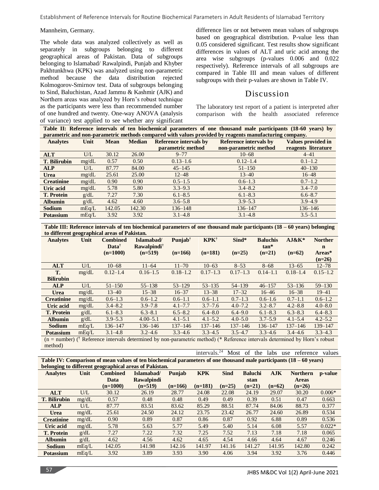#### Mannheim, Germany.

The whole data was analyzed collectively as well as separately in subgroups belonging to different geographical areas of Pakistan. Data of subgroups belonging to Islamabad/ Rawalpindi, Punjab and Khyber Pakhtunkhwa (KPK) was analyzed using non-parametric method because the data distribution rejected Kolmogorov-Smirnov test. Data of subgroups belonging to Sind, Baluchistan, Azad Jammu & Kashmir (AJK) and Northern areas was analyzed by Horn's robust technique as the participants were less than recommended number of one hundred and twenty. One-way ANOVA (analysis of variance) test applied to see whether any significant

difference lies or not between mean values of subgroups based on geographical distribution. P-value less than 0.05 considered significant. Test results show significant differences in values of ALT and uric acid among the area wise subgroups (p-values 0.006 and 0.022 respectively). Reference intervals of all subgroups are compared in Table III and mean values of different subgroups with their p-values are shown in Table IV.

### Discussion

The laboratory test report of a patient is interpreted after comparison with the health associated reference

**Table II: Reference intervals of ten biochemical parameters of one thousand male participants (18-60 years) by parametric and non-parametric methods compared with values provided by reagents manufacturing company.**

| <b>Analytes</b>     | Unit  | <b>Mean</b> | <b>Median</b> | <b>Reference intervals by</b> | <b>Reference intervals by</b> | <b>Values provided in</b> |
|---------------------|-------|-------------|---------------|-------------------------------|-------------------------------|---------------------------|
|                     |       |             |               | parametric method             | non-parametric method         | reagents literature       |
| <b>ALT</b>          | U/L   | 30.12       | 26.00         | $9 - 77$                      | $10 - 68$                     | $4 - 41$                  |
| <b>T. Bilirubin</b> | mg/dL | 0.57        | 0.50          | $0.13 - 1.6$                  | $0.12 - 1.4$                  | $0.1 - 1.2$               |
| <b>ALP</b>          | U/L   | 87.77       | 84.00         | $45 - 145$                    | $51 - 150$                    | $40 - 130$                |
| <b>Urea</b>         | mg/dL | 25.61       | 25.00         | $12 - 48$                     | $13 - 40$                     | $16 - 48$                 |
| <b>Creatinine</b>   | mg/dL | 0.90        | 0.90          | $0.5 - 1.5$                   | $0.6 - 1.3$                   | $0.7 - 1.2$               |
| Uric acid           | mg/dL | 5.78        | 5.80          | $3.3 - 9.3$                   | $3.4 - 8.2$                   | $3.4 - 7.0$               |
| <b>T. Protein</b>   | g/dL  | 7.27        | 7.30          | $6.1 - 8.5$                   | $6.1 - 8.3$                   | $6.6 - 8.7$               |
| <b>Albumin</b>      | g/dL  | 4.62        | 4.60          | $3.6 - 5.8$                   | $3.9 - 5.3$                   | $3.9 - 4.9$               |
| Sodium              | mEq/L | 142.05      | 142.30        | $136 - 148$                   | 136–147                       | 136–146                   |
| <b>Potassium</b>    | mEq/L | 3.92        | 3.92          | $3.1 - 4.8$                   | $3.1 - 4.8$                   | $3.5 - 5.1$               |

**Table III: Reference intervals of ten biochemical parameters of one thousand male participants (18 – 60 years) belonging to different geographical areas of Pakistan.**

|                                                                                                                               |       | to unter ent geographieur areas or i unistant |                     |                     |                 |              |                 |              |                |
|-------------------------------------------------------------------------------------------------------------------------------|-------|-----------------------------------------------|---------------------|---------------------|-----------------|--------------|-----------------|--------------|----------------|
| <b>Analytes</b>                                                                                                               | Unit  | <b>Combined</b>                               | Islamabad/          | Punjab <sup>†</sup> | $KPK^{\dagger}$ | Sind*        | <b>Baluchis</b> | $AJ&K^*$     | <b>Norther</b> |
|                                                                                                                               |       | Data <sup>†</sup>                             | <b>Rawalpindi</b> † |                     |                 |              | $tan*$          |              | $\mathbf n$    |
|                                                                                                                               |       | $(n=1000)$                                    | $(n=519)$           | $(n=166)$           | $(n=181)$       | $(n=25)$     | $(n=21)$        | $(n=62)$     | Areas*         |
|                                                                                                                               |       |                                               |                     |                     |                 |              |                 |              | $(n=26)$       |
| <b>ALT</b>                                                                                                                    | U/L   | $10 - 68$                                     | $11 - 64$           | $11 - 70$           | $10 - 63$       | $8 - 53$     | $8 - 68$        | $13 - 65$    | $12 - 78$      |
| T.                                                                                                                            | mg/dL | $0.12 - 1.4$                                  | $0.16 - 1.5$        | $0.18 - 1.2$        | $0.17 - 1.3$    | $0.17 - 1.3$ | $0.14 - 1.1$    | $0.18 - 1.4$ | $0.15 - 1.2$   |
| <b>Bilirubin</b>                                                                                                              |       |                                               |                     |                     |                 |              |                 |              |                |
| <b>ALP</b>                                                                                                                    | U/L   | $51 - 150$                                    | $55 - 138$          | $53 - 129$          | $53 - 135$      | $54 - 139$   | $46 - 157$      | $53 - 136$   | $59 - 130$     |
| Urea                                                                                                                          | mg/dL | $13 - 40$                                     | $15 - 38$           | $16 - 37$           | $13 - 38$       | $17 - 32$    | $16 - 46$       | $16 - 38$    | $19 - 41$      |
| <b>Creatinine</b>                                                                                                             | mg/dL | $0.6 - 1.3$                                   | $0.6 - 1.2$         | $0.6 - 1.1$         | $0.6 - 1.1$     | $0.7 - 1.3$  | $0.6 - 1.6$     | $0.7 - 1.1$  | $0.6 - 1.2$    |
| Uric acid                                                                                                                     | mg/dL | $3.4 - 8.2$                                   | $3.9 - 7.8$         | $4.1 - 7.7$         | $3.7 - 7.6$     | $4.0 - 7.2$  | $3.2 - 8.7$     | $4.2 - 8.8$  | $4.0 - 8.0$    |
| <b>T. Protein</b>                                                                                                             | g/dL  | $6.1 - 8.3$                                   | $6.3 - 8.1$         | $6.5 - 8.2$         | $6.4 - 8.0$     | $6.4 - 9.0$  | $6.1 - 8.3$     | $6.3 - 8.3$  | $6.4 - 8.3$    |
| <b>Albumin</b>                                                                                                                | g/dL  | $3.9 - 5.3$                                   | $4.00 - 5.1$        | $4.1 - 5.1$         | $4.1 - 5.2$     | $4.0 - 5.0$  | $3.7 - 5.9$     | $4.1 - 5.4$  | $4.2 - 5.2$    |
| Sodium                                                                                                                        | mEq/L | $136 - 147$                                   | 136-146             | $137 - 146$         | $137 - 146$     | $137 - 146$  | $136 - 147$     | $137 - 146$  | 139-147        |
| <b>Potassium</b>                                                                                                              | mEq/L | $3.1 - 4.8$                                   | $3.2 - 4.6$         | $3.3 - 4.6$         | $3.3 - 4.5$     | $3.5 - 4.7$  | $3.3 - 4.6$     | $3.4 - 4.6$  | $3.3 - 4.3$    |
| $(n = number)$ († Reference intervals determined by non-parametric method) (* Reference intervals determined by Horn's robust |       |                                               |                     |                     |                 |              |                 |              |                |

method)

|                                                                                                                               | intervals. <sup>24</sup> Most of the labs use reference values |  |  |  |  |
|-------------------------------------------------------------------------------------------------------------------------------|----------------------------------------------------------------|--|--|--|--|
| Table IV: Comparison of mean values of ten biochemical parameters of one thousand male participants $(18 - 60 \text{ years})$ |                                                                |  |  |  |  |
| belonging to different geographical areas of Pakistan.                                                                        |                                                                |  |  |  |  |

|                     |       |                 | befoliging to unferent geographical areas of Fakistan. |           |            |             |                |          |                 |          |
|---------------------|-------|-----------------|--------------------------------------------------------|-----------|------------|-------------|----------------|----------|-----------------|----------|
| <b>Analytes</b>     | Unit  | <b>Combined</b> | Islamabad/                                             | Punjab    | <b>KPK</b> | <b>Sind</b> | <b>Baluchi</b> | AJK      | <b>Northern</b> | p-value  |
|                     |       | Data            | <b>Rawalpindi</b>                                      |           |            |             | stan           |          | <b>Areas</b>    |          |
|                     |       | $(n=1000)$      | $(n=519)$                                              | $(n=166)$ | $(n=181)$  | $(n=25)$    | $(n=21)$       | $(n=62)$ | $(n=26)$        |          |
| <b>ALT</b>          | U/L   | 30.12           | 26.19                                                  | 28.77     | 24.08      | 22.08       | 24.19          | 29.07    | 30.20           | $0.006*$ |
| <b>T. Bilirubin</b> | mg/dL | 0.57            | 0.48                                                   | 0.48      | 0.49       | 0.49        | 0.39           | 0.51     | 0.47            | 0.663    |
| <b>ALP</b>          | U/L   | 87.77           | 83.51                                                  | 83.62     | 85.29      | 88.51       | 87.74          | 84.06    | 88.73           | 0.377    |
| <b>Urea</b>         | mg/dL | 25.61           | 24.50                                                  | 24.12     | 23.75      | 23.42       | 26.77          | 24.60    | 26.89           | 0.534    |
| <b>Creatinine</b>   | mg/dL | 0.90            | 0.89                                                   | 0.87      | 0.86       | 0.87        | 0.92           | 6.88     | 0.89            | 0.536    |
| Uric acid           | mg/dL | 5.78            | 5.63                                                   | 5.77      | 5.49       | 5.40        | 5.14           | 6.08     | 5.57            | $0.022*$ |
| <b>T. Protein</b>   | g/dL  | 7.27            | 7.22                                                   | 7.32      | 7.25       | 7.52        | 7.13           | 7.18     | 7.18            | 0.065    |
| <b>Albumin</b>      | g/dL  | 4.62            | 4.56                                                   | 4.62      | 4.65       | 4.54        | 4.66           | 4.64     | 4.67            | 0.246    |
| <b>Sodium</b>       | mEq/L | 142.05          | 141.98                                                 | 142.16    | 141.97     | 141.16      | 141.27         | 141.95   | 142.80          | 0.242    |
| <b>Potassium</b>    | mEq/L | 3.92            | 3.89                                                   | 3.93      | 3.90       | 4.06        | 3.94           | 3.92     | 3.76            | 0.446    |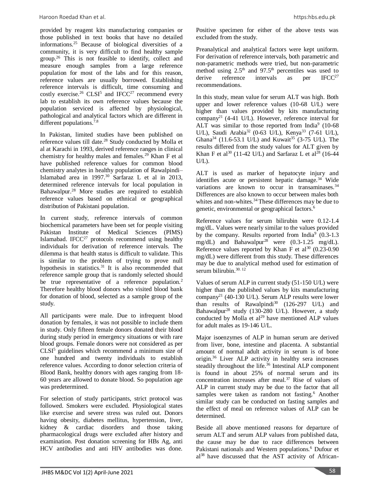provided by reagent kits manufacturing companies or those published in text books that have no detailed informations.<sup>25</sup> Because of biological diversities of a community, it is very difficult to find healthy sample group.<sup>26</sup> This is not feasible to identify, collect and measure enough samples from a large reference population for most of the labs and for this reason, reference values are usually borrowed. Establishing reference intervals is difficult, time consuming and costly exercise.<sup>26</sup> CLSI<sup>5</sup> and IFCC<sup>27</sup> recommend every lab to establish its own reference values because the population serviced is affected by physiological, pathological and analytical factors which are different in different populations.<sup>7.8</sup>

In Pakistan, limited studies have been published on reference values till date.<sup>28</sup> Study conducted by Molla et al at Karachi in 1993, derived reference ranges in clinical chemistry for healthy males and females.<sup>29</sup> Khan F et al have published reference values for common blood chemistry analytes in healthy population of Rawalpindi– Islamabad area in 1997.<sup>30</sup> Sarfaraz L et al in 2013, determined reference intervals for local population in Bahawalpur.<sup>28</sup> More studies are required to establish reference values based on ethnical or geographical distribution of Pakistani population.

In current study, reference intervals of common biochemical parameters have been set for people visiting Pakistan Institute of Medical Sciences (PIMS) Islamabad. IFCC<sup>27</sup> protocols recommend using healthy individuals for derivation of reference intervals. The dilemma is that health status is difficult to validate. This is similar to the problem of trying to prove null hypothesis in statistics.<sup>31</sup> It is also recommended that reference sample group that is randomly selected should be true representative of a reference population.<sup>2</sup> Therefore healthy blood donors who visited blood bank for donation of blood, selected as a sample group of the study.

All participants were male. Due to infrequent blood donation by females, it was not possible to include them in study. Only fifteen female donors donated their blood during study period in emergency situations or with rare blood groups. Female donors were not considered as per  $CLSI<sup>5</sup>$  guidelines which recommend a minimum size of one hundred and twenty individuals to establish reference values. According to donor selection criteria of Blood Bank, healthy donors with ages ranging from 18- 60 years are allowed to donate blood. So population age was predetermined.

For selection of study participants, strict protocol was followed. Smokers were excluded. Physiological states like exercise and severe stress was ruled out. Donors having obesity, diabetes mellitus, hypertension, liver, kidney & cardiac disorders and those taking pharmacological drugs were excluded after history and examination. Post donation screening for HBs Ag, anti HCV antibodies and anti HIV antibodies was done.

Positive specimen for either of the above tests was excluded from the study.

Preanalytical and analytical factors were kept uniform. For derivation of reference intervals, both parametric and non-parametric methods were tried, but non-parametric method using  $2.5<sup>th</sup>$  and  $97.5<sup>th</sup>$  percentiles was used to derive reference intervals as per  $IFCC<sup>27</sup>$ recommendations.

In this study, mean value for serum ALT was high. Both upper and lower reference values (10-68 U/L) were higher than values provided by kits manufacturing company<sup>21</sup> (4-41 U/L). However, reference interval for ALT was similar to those reported from India $9(10-68)$ U/L), Saudi Arabia<sup>32</sup> (0-63 U/L), Kenya<sup>33</sup> (7-61 U/L), Ghana<sup>34</sup> (11.6-53.1 U/L) and Kuwait<sup>35</sup> (3-75 U/L). The results differed from the study values for ALT given by Khan F et al<sup>30</sup> (11-42 U/L) and Sarfaraz L et al<sup>28</sup> (16-44  $U/L$ ).

ALT is used as marker of hepatocyte injury and identifies acute or persistent hepatic damage.<sup>34</sup> Wide variations are known to occur in transaminases.<sup>34</sup> Differences are also known to occur between males both whites and non-whites.<sup>34</sup> These differences may be due to genetic, environmental or geographical factors.<sup>6</sup>

Reference values for serum bilirubin were 0.12-1.4 mg/dL. Values were nearly similar to the values provided by the company. Results reported from India $9(0.3-1.3)$ mg/dL) and Bahawalpur<sup>28</sup> were  $(0.3-1.25 \text{ mg/dL})$ . Reference values reported by Khan F et al<sup>30</sup> (0.23-0.90) mg/dL) were different from this study. These differences may be due to analytical method used for estimation of serum bilirubin. $30.12$ 

Values of serum ALP in current study (51-150 U/L) were higher than the published values by kits manufacturing company<sup>21</sup> (40-130 U/L). Serum ALP results were lower than results of Rawalpindi<sup>30</sup> (126-297 U/L) and Bahawalpur<sup>28</sup> study (130-280 U/L). However, a study conducted by Molla et al<sup>29</sup> have mentioned ALP values for adult males as 19-146 U/L.

Major isoenzymes of ALP in human serum are derived from liver, bone, intestine and placenta. A substantial amount of normal adult activity in serum is of bone origin.<sup>36</sup> Liver ALP activity in healthy sera increases steadily throughout the life.<sup>36</sup> Intestinal ALP component is found in about 25% of normal serum and its concentration increases after meal.<sup>37</sup> Rise of values of ALP in current study may be due to the factor that all samples were taken as random not fasting.<sup>6</sup> Another similar study can be conducted on fasting samples and the effect of meal on reference values of ALP can be determined.

Beside all above mentioned reasons for departure of serum ALT and serum ALP values from published data, the cause may be due to race differences between Pakistani nationals and Western populations.<sup>6</sup> Dufour et al<sup>38</sup> have discussed that the AST activity of African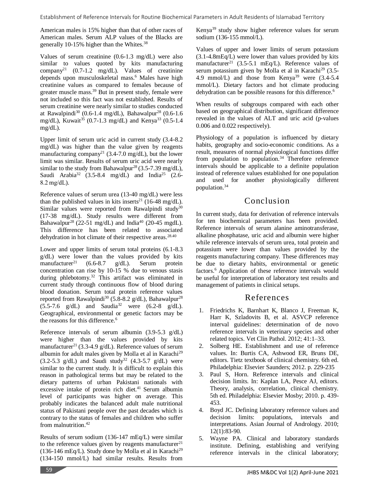American males is 15% higher than that of other races of American males. Serum ALP values of the Blacks are generally 10-15% higher than the Whites.<sup>38</sup>

Values of serum creatinine (0.6-1.3 mg/dL) were also similar to values quoted by kits manufacturing company<sup>21</sup> (0.7-1.2 mg/dL). Values of creatinine depends upon musculoskeletal mass.<sup>6</sup> Males have high creatinine values as compared to females because of greater muscle mass.<sup>39</sup> But in present study, female were not included so this fact was not established. Results of serum creatinine were nearly similar to studies conducted at Rawalpindi<sup>30</sup> (0.6-1.4 mg/dL), Bahawalpur<sup>28</sup> (0.6-1.6 mg/dL), Kuwait<sup>35</sup> (0.7-1.3 mg/dL) and Kenya<sup>33</sup> (0.5-1.4 mg/dL).

Upper limit of serum uric acid in current study (3.4-8.2 mg/dL) was higher than the value given by reagents manufacturing company<sup>21</sup> (3.4-7.0 mg/dL), but the lower limit was similar. Results of serum uric acid were nearly similar to the study from Bahawalpur<sup>28</sup> (3.5-7.39 mg/dL), Saudi Arabia<sup>32</sup> (3.5-8.4 mg/dL) and India<sup>25</sup> (2.6-8.2 mg/dL).

Reference values of serum urea (13-40 mg/dL) were less than the published values in kits inserts<sup>21</sup> (16-48 mg/dL). Similar values were reported from Rawalpindi study<sup>30</sup> (17-38 mg/dL). Study results were different from Bahawalpur<sup>28</sup> (22-51 mg/dL) and India<sup>40</sup> (20-45 mgdL). This difference has been related to associated dehydration in hot climate of their respective areas.<sup>28.40</sup>

Lower and upper limits of serum total proteins (6.1-8.3 g/dL) were lower than the values provided by kits manufacturer<sup>21</sup> (6.6-8.7 g/dL). Serum protein concentration can rise by 10-15 % due to venous stasis during phlebotomy.<sup>32</sup> This artifact was eliminated in current study through continuous flow of blood during blood donation. Serum total protein reference values reported from Rawalpindi<sup>30</sup> (5.8-8.2 g/dL), Bahawalpur<sup>28</sup>  $(5.5-7.6 \text{ g/dL})$  and Saudia<sup>32</sup> were  $(6.2-8 \text{ g/dL})$ . Geographical, environmental or genetic factors may be the reasons for this difference.<sup>6</sup>

Reference intervals of serum albumin (3.9-5.3 g/dL) were higher than the values provided by kits manufacturer<sup>21</sup> (3.3-4.9 g/dL). Reference values of serum albumin for adult males given by Molla et al in Karachi<sup>29</sup>  $(3.2-5.3 \text{ g/dL})$  and Saudi study<sup>32</sup>  $(4.3-5.7 \text{ g/dL})$  were similar to the current study. It is difficult to explain this reason in pathological terms but may be related to the dietary patterns of urban Pakistani nationals with excessive intake of protein rich diet. $41$  Serum albumin level of participants was higher on average. This probably indicates the balanced adult male nutritional status of Pakistani people over the past decades which is contrary to the status of females and children who suffer from malnutrition.<sup>42</sup>

Results of serum sodium (136-147 mEq/L) were similar to the reference values given by reagents manufacturer<sup>21</sup> (136-146 mEq/L). Study done by Molla et al in Karachi<sup>29</sup> (134-150 mmol/L) had similar results. Results from Kenya<sup>39</sup> study show higher reference values for serum sodium (136-155 mmol/L).

Values of upper and lower limits of serum potassium (3.1-4.8mEq/L) were lower than values provided by kits manufacturer<sup>21</sup> (3.5-5.1 mEq/L). Reference values of serum potassium given by Molla et al in Karachi<sup>29</sup> (3.5-4.9 mmol/L) and those from Kenya<sup>39</sup> were  $(3.4-5.4)$ mmol/L). Dietary factors and hot climate producing dehydration can be possible reasons for this difference.<sup>6</sup>

When results of subgroups compared with each other based on geographical distribution, significant difference revealed in the values of ALT and uric acid (p-values 0.006 and 0.022 respectively).

Physiology of a population is influenced by dietary habits, geography and socio-economic conditions. As a result, measures of normal physiological functions differ from population to population. $34$  Therefore reference intervals should be applicable to a definite population instead of reference values established for one population and used for another physiologically different population.<sup>34</sup>

# Conclusion

In current study, data for derivation of reference intervals for ten biochemical parameters has been provided. Reference intervals of serum alanine aminotransferase, alkaline phosphatase, uric acid and albumin were higher while reference intervals of serum urea, total protein and potassium were lower than values provided by the reagents manufacturing company. These differences may be due to dietary habits, environmental or genetic factors.<sup>6</sup> Application of these reference intervals would be useful for interpretation of laboratory test results and management of patients in clinical setups.

# References

- 1. Friedrichs K, Barnhart K, Blanco J, Freeman K, Harr K, Szladovits B, et al. ASVCP reference interval guidelines: determination of de novo reference intervals in veterinary species and other related topics. Vet Clin Pathol. 2012; 41:1–33.
- 2. Solberg HE. Establishment and use of reference values. In: Burtis CA, Ashwood ER, Bruns DE, editors. Tietz textbook of clinical chemistry. 6th ed. Philadelphia: Elsevier Saunders; 2012. p. 229-235
- 3. Paul S, Horn. Reference intervals and clinical decision limits. In: Kaplan LA, Pesce AJ, editors. Theory, analysis, correlation, clinical chemistry. 5th ed. Philadelphia: Elsevier Mosby; 2010. p. 439- 453.
- 4. Boyd JC. Defining laboratory reference values and decision limits: populations, intervals and interpretations. Asian Journal of Andrology. 2010; 12(1):83-90.
- 5. Wayne PA. Clinical and laboratory standards institute. Defining, establishing and verifying reference intervals in the clinical laboratory;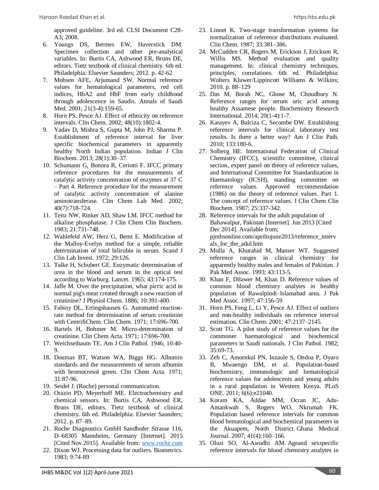approved guideline. 3rd ed. CLSI Document C28- A3; 2008.

- 6. Youngs DS, Bermes EW, Haverstick DM. Specimen collection and other pre-analytical variables. In: Burtis CA, Ashwood ER, Bruns DE, editors. Tietz textbook of clinical chemistry. 6th ed. Philadelphia: Elsevier Saunders; 2012. p. 42-62
- 7. Mohsen AFE, Arjumand SW. Normal reference values for hematological parameters, red cell indices, HbA2 and HbF from early childhood through adolescence in Saudis. Annals of Saudi Med. 2001; 21(3-4):159-65.
- 8. Horn PS. Pesce AJ. Effect of ethnicity on reference intervals. Clin Chem. 2002; 48(10):1802-4.
- 9. Yadav D, Mishra S, Gupta M, John PJ, Sharma P. Establishment of reference interval for liver specific biochemical parameters in apparently healthy North Indian population. Indian J Clin Biochem. 2013; 28(1):30–37.
- 10. Schumann G, Bonora R, Ceriotti F. IFCC primary reference procedures for the measurements of catalytic activity concentration of enzymes at 37 C – Part 4. Reference procedure for the measurement of catalytic activity concentration of alanine aminotransferase. Clin Chem Lab Med. 2002; 40(7):718-724.
- 11. Teitz NW, Rinker AD, Shaw LM. IFCC method for alkaline phosphatase. J Clin Chem Clin Biochem. 1983; 21:731-748.
- 12. Wahlefeld AW, Herz G, Bemt E. Modification of the Malloy-Evelyn method for a simple, reliable determination of total bilirubin in serum. Scand J Clin Lab Invest. 1972; 29:126.
- 13. Talke H, Schubert GE. Enzymatic determination of urea in the blood and serum in the optical test according to Warburg. Lancet. 1965; 43:174-175.
- 14. Jaffe M. Over the precipitation, what picric acid in normal pig's meat created through a new reaction of creatinine? J Physiol Chem. 1886; 10:391-400.
- 15. Fabiny DL, Ertingshausen G. Automated reactionrate method for determination of serum creatinine with CentrifiChem. Clin Chem. 1971; 17:696-700.
- 16. Bartels H, Bohmer M. Micro-determination of creatinine. Clin Chem Acta. 1971; 17:696-700.
- 17. Weichseibaum TE. Am J Clin Pathol. 1946; 10:40- 9.
- 18. Doumas BT, Watson WA, Biggs HG. Albumin standards and the measurements of serum albumin with bromocresol green. Clin Chem Acta. 1971; 31:87-96.
- 19. Seidel J. (Roche) personal communication.
- 20. Orazio PD, Meyerhoff ME. Electrochemistry and chemical sensors. In: Burtis CA, Ashwood ER, Bruns DE, editors. Tietz textbook of clinical chemistry. 6th ed. Philadelphia: Elsevier Saunders; 2012. p. 87–89.
- 21. Roche Diagnostics GmbH Sandhofer Strasse 116, D–68305 Mannheim, Germany [Internet]. 2015 [Cited Nov.2015]. Available from: [www.roche.com](http://www.roche.com/)
- 22. Dixon WJ. Processing data for outliers. Biometrics. 1983; 9:74-89
- 23. Linnet K. Two-stage transformation systems for normalization of reference distributions evaluated. Clin Chem. 1987; 33:381–386.
- 24. McCudden CR, Rogers M, Erickson J, Erickson R, Willis MS. Method evaluation and quality management. In: clinical chemistry techniques, principles, correlations. 6th ed. Philadelphia: Wolters Kluwer/Lippincott Williams & Wilkins; 2010. p. 88–129
- 25. Das M, Borah NC, Ghose M, Choudhury N. Reference ranges for serum uric acid among healthy Assamese people. Biochemistry Research International. 2014; 20(1-4):1-7.
- 26. Katayev A, Balciza C, Secombe DW. Establishing reference intervals for clinical laboratory test results. Is there a better way? Am J Clin Path. 2010; 133:180-6.
- 27. Solberg HE. International Federation of Clinical Chemistry (IFCC), scientific committee, clinical section, expert panel on theory of reference values, and International Committee for Standardization in Haematology (ICSH), standing committee on reference values. Approved recommendation (1986) on the theory of reference values. Part 1. The concept of reference values. J Clin Chem Clin Biochem. 1987; 25:337-342.
- 28. Reference intervals for the adult population of Bahawalpur, Pakistan [Internet]. Jun 2013 [Cited Dec 2014]. Available from; pjmhsonline.com/apriltojune2013/reference\_interv als\_for\_the\_adul.htm
- 29. Molla A, Khurahid M, Manser WT. Suggested reference ranges in clinical chemistry for apparently healthy males and females of Pakistan. J Pak Med Assoc. 1993; 43:113-5.
- 30. Khan F, Dilawer M, Khan D. Reference values of common blood chemistry analytes in healthy population of Rawalpindi–Islamabad area. J Pak Med Assoc. 1997; 47:156-59
- 31. Horn PS, Feng L, Li Y, Pesce AJ. Effect of outliers and non-healthy individuals on reference interval estimation. Clin Chem. 2001; 47:2137–2145.
- 32. Scott TG. A pilot study of reference values for the commoner haematological and biochemical parameters in Saudi nationals. J Clin Pathol. 1982; 35:69-73.
- 33. Zeh C, Amornkul PN, Inzaule S, Ondoa P, Oyaro B, Mwaengo DM, et al. Population-based biochemistry, immunologic and hematological reference values for adolescents and young adults in a rural population in Western Kenya. PLoS ONE. 2011; 6(6):e21040.
- 34. Koram KA, Addae MM, Ocran JC, Adu-Amankwah S, Rogers WO, Nkrumah FK. Population based reference intervals for common blood hematological and biochemical parameters in the Akuapem, North District. Ghana Medical Journal. 2007; 41(4):160–166.
- 35. Olusi SO, Al-Awodhi AM. Ageand sexspecific reference intervals for blood chemistry analytes in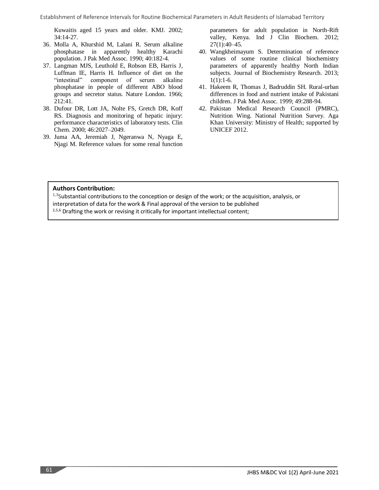Kuwaitis aged 15 years and older. KMJ. 2002; 34:14-27.

- 36. Molla A, Khurshid M, Lalani R. Serum alkaline phosphatase in apparently healthy Karachi population. J Pak Med Assoc. 1990; 40:182-4.
- 37. Langman MJS, Leuthold E, Robson EB, Harris J, Luffman IE, Harris H. Influence of diet on the "intestinal" component of serum alkaline phosphatase in people of different ABO blood groups and secretor status. Nature London. 1966; 212:41.
- 38. Dufour DR, Lott JA, Nolte FS, Gretch DR, Koff RS. Diagnosis and monitoring of hepatic injury: performance characteristics of laboratory tests. Clin Chem. 2000; 46:2027–2049.
- 39. Juma AA, Jeremiah J, Ngeranwa N, Nyaga E, Njagi M. Reference values for some renal function

parameters for adult population in North-Rift valley, Kenya. Ind J Clin Biochem. 2012; 27(1):40–45.

- 40. Wangkheimayum S. Determination of reference values of some routine clinical biochemistry parameters of apparently healthy North Indian subjects. Journal of Biochemistry Research. 2013;  $1(1):1-6.$
- 41. Hakeem R, Thomas J, Badruddin SH. Rural-urban differences in food and nutrient intake of Pakistani children. J Pak Med Assoc. 1999; 49:288-94.
- 42. Pakistan Medical Research Council (PMRC), Nutrition Wing. National Nutrition Survey. Aga Khan University: Ministry of Health; supported by UNICEF 2012.

### **Authors Contribution:**

<sup>1,3</sup>Substantial contributions to the conception or design of the work; or the acquisition, analysis, or

interpretation of data for the work & Final approval of the version to be published

<sup>2,5,6</sup> Drafting the work or revising it critically for important intellectual content;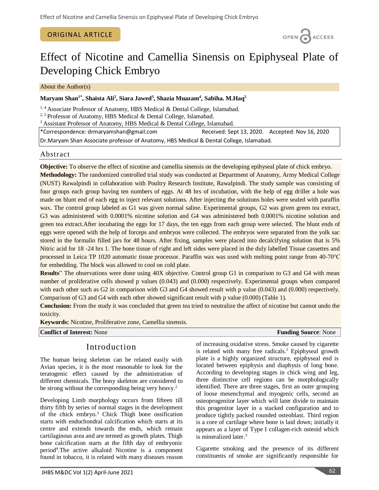### ORIGINAL ARTICLE

OPEN CACCESS

# Effect of Nicotine and Camellia Sinensis on Epiphyseal Plate of Developing Chick Embryo

About the Author(s)

### **Maryam Shan1\* , Shaista Ali<sup>2</sup> , Siara Jawed<sup>3</sup> , Shazia Muazam<sup>4</sup> , Sabiha. M.Haq<sup>5</sup>**

<sup>1, 4</sup> Associate Professor of Anatomy, HBS Medical & Dental College, Islamabad.

<sup>2, 5</sup> Professor of Anatomy, HBS Medical & Dental College, Islamabad.

<sup>3</sup> Assistant Professor of Anatomy, HBS Medical & Dental College, Islamabad.

\*Correspondence: drmaryamshan@gmail.com Received: Sept 13, 2020. Accepted: Nov 16, 2020

Dr.Maryam Shan Associate professor of Anatomy, HBS Medical & Dental College, Islamabad.

### Abstract

**Objective:** To observe the effect of nicotine and camellia sinensis on the developing epihyseal plate of chick embryo. **Methodology:** The randomized controlled trial study was conducted at Department of Anatomy, Army Medical College (NUST) Rawalpindi in collaboration with Poultry Research Institute, Rawalpindi. The study sample was consisting of four groups each group having ten numbers of eggs. At 48 hrs of incubation, with the help of egg driller a hole was made on blunt end of each egg to inject relevant solutions. After injecting the solutions holes were sealed with paraffin wax. The control group labeled as G1 was given normal saline. Experimental groups, G2 was given green tea extract, G3 was administered with 0.0001% nicotine solution and G4 was administered both 0.0001% nicotine solution and green tea extract.After incubating the eggs for 17 days, the ten eggs from each group were selected. The blunt ends of eggs were opened with the help of forceps and embryos were collected. The embryos were separated from the yolk sac stored in the formalin filled jars for 48 hours. After fixing, samples were placed into decalcifying solution that is 5% Nitric acid for 18 -24 hrs 1. The bone tissue of right and left sides were placed in the duly labelled Tissue cassettes and processed in Leica TP 1020 automatic tissue processor. Paraffin wax was used with melting point range from 40-70℃ for embedding. The block was allowed to cool on cold plate.

**Results**" The observations were done using 40X objective. Control group G1 in comparison to G3 and G4 with mean number of proliferative cells showed p values (0.043) and (0.000) respectively. Experimental groups when compared with each other such as G2 in comparison with G3 and G4 showed result with p value (0.043) and (0.000) respectively. Comparison of G3 and G4 with each other showed significant result with p value (0.000) (Table 1).

**Conclusion:** From the study it was concluded that green tea tried to neutralize the affect of nicotine but cannot undo the toxicity.

**Keywords:** Nicotine, Proliferative zone, Camellia sinensis.

**Conflict of Interest:** None **Funding Source**: None **Funding Source**: None

# Introduction

The human being skeleton can be related easily with Avian species, it is the most reasonable to look for the teratogenic effect caused by the administration of different chemicals. The bony skeleton are considered to be strong without the corresponding being very heavy.<sup>2</sup>

Developing Limb morphology occurs from fifteen till thirty fifth by series of normal stages in the development of the chick embryo. <sup>3</sup> Chick Thigh bone ossification starts with endochondral calcification which starts at its centre and extends towards the ends, which remain cartilaginous area and are termed as growth plates. Thigh bone calcification starts at the fifth day of embryonic period<sup>4</sup>. The active alkaloid Nicotine is a component found in tobacco, it is related with many diseases reason of increasing oxidative stress. Smoke caused by cigarette is related with many free radicals.<sup>1</sup> Epiphyseal growth plate is a highly organized structure, epiphyseal end is located between epiphysis and diaphysis of long bone. According to developing stages in chick wing and leg, three distinctive cell regions can be morphologically identified. There are three stages, first an outer grouping of loose mesenchymal and myogenic cells, second an osteoprogenitor layer which will later divide to maintain this progenitor layer in a stacked configuration and to produce tightly packed rounded osteoblast. Third region is a core of cartilage where bone is laid down; initially it appears as a layer of Type I collagen-rich osteoid which is mineralized later. 3

Cigarette smoking and the presence of its different constituents of smoke are significantly responsible for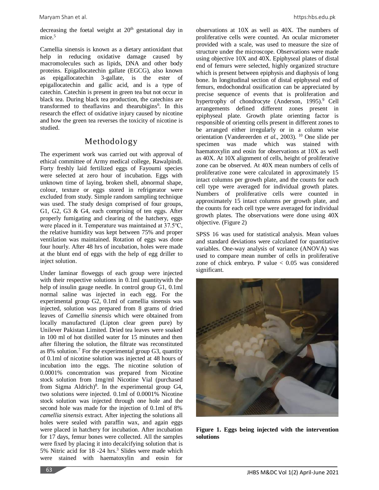decreasing the foetal weight at  $20<sup>th</sup>$  gestational day in mice. 5

Camellia sinensis is known as a dietary antioxidant that help in reducing oxidative damage caused by macromolecules such as lipids, DNA and other body proteins. Epigallocatechin gallate (EGCG), also known as epigallocatechin 3-gallate, is the [ester](http://en.wikipedia.org/wiki/Ester) of [epigallocatechin](http://en.wikipedia.org/wiki/Epigallocatechin) and [gallic acid,](http://en.wikipedia.org/wiki/Gallic_acid) and is a type of [catechin.](http://en.wikipedia.org/wiki/Flavan-3ol) Catechin is present in green tea but not occur in black tea. During black tea production, the catechins are transformed to theaflavins and thearubigins<sup>6</sup>. In this research the effect of oxidative injury caused by nicotine and how the green tea reverses the toxicity of nicotine is studied.

# Methodology

The experiment work was carried out with approval of ethical committee of Army medical college, Rawalpindi. Forty freshly laid fertilized eggs of Fayoumi species were selected at zero hour of incubation. Eggs with unknown time of laying, broken shell, abnormal shape, colour, texture or eggs stored in refrigerator were excluded from study. Simple random sampling technique was used. The study design comprised of four groups, G1, G2, G3 & G4, each comprising of ten eggs. After properly fumigating and clearing of the hatchery, eggs were placed in it. Temperature was maintained at 37.5℃, the relative humidity was kept between 75% and proper ventilation was maintained. Rotation of eggs was done four hourly. After 48 hrs of incubation, holes were made at the blunt end of eggs with the help of egg driller to inject solution.

Under laminar floweggs of each group were injected with their respective solutions in 0.1ml quantitywith the help of insulin gauge needle. In control group G1, 0.1ml normal saline was injected in each egg. For the experimental group G2, 0.1ml of camellia sinensis was injected, solution was prepared from 8 grams of dried leaves of *Camellia sinensis* which were obtained from locally manufactured (Lipton clear green pure) by Unilever Pakistan Limited. Dried tea leaves were soaked in 100 ml of hot distilled water for 15 minutes and then after filtering the solution, the filtrate was reconstituted as 8% solution. <sup>7</sup> For the experimental group G3, quantity of 0.1ml of nicotine solution was injected at 48 hours of incubation into the eggs. The nicotine solution of 0.0001% concentration was prepared from Nicotine stock solution from 1mg/ml Nicotine Vial (purchased from Sigma Aldrich)<sup>8</sup>. In the experimental group G4, two solutions were injected. 0.1ml of 0.0001% Nicotine stock solution was injected through one hole and the second hole was made for the injection of 0.1ml of 8% *camellia sinensis* extract. After injecting the solutions all holes were sealed with paraffin wax, and again eggs were placed in hatchery for incubation. After incubation for 17 days, femur bones were collected. All the samples were fixed by placing it into decalcifying solution that is 5% Nitric acid for 18 -24 hrs.<sup>3</sup> Slides were made which were stained with haematoxylin and eosin for

observations at 10X as well as 40X. The numbers of proliferative cells were counted. An ocular micrometer provided with a scale, was used to measure the size of structure under the microscope. Observations were made using objective 10X and 40X. Epiphyseal plates of distal end of femurs were selected, highly organized structure which is present between epiphysis and diaphysis of long bone. In longitudinal section of distal epiphyseal end of femurs, endochondral ossification can be appreciated by precise sequence of events that is proliferation and hypertrophy of chondrocyte (Anderson, 1995).<sup>9</sup> Cell arrangements defined different zones present in epiphyseal plate. Growth plate orienting factor is responsible of orienting cells present in different zones to be arranged either irregularly or in a column wise orientation (Vandereerden *et al*., 2003). <sup>10</sup> One slide per specimen was made which was stained with haematoxylin and eosin for observations at 10X as well as 40X. At 10X alignment of cells, height of proliferative zone can be observed. At 40X mean numbers of cells of proliferative zone were calculated in approximately 15 intact columns per growth plate, and the counts for each cell type were averaged for individual growth plates. Numbers of proliferative cells were counted in approximately 15 intact columns per growth plate, and the counts for each cell type were averaged for individual growth plates. The observations were done using 40X objective. (Figure 2)

SPSS 16 was used for statistical analysis. Mean values and standard deviations were calculated for quantitative variables. One-way analysis of variance (ANOVA) was used to compare mean number of cells in proliferative zone of chick embryo. P value  $< 0.05$  was considered significant.



**Figure 1. Eggs being injected with the intervention solutions**

63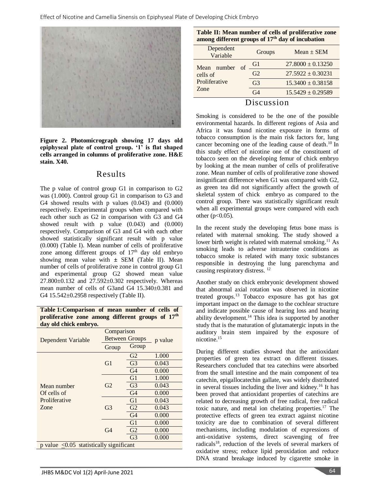

**Figure 2. Photomicrograph showing 17 days old epiphyseal plate of control group. '1' is flat shaped cells arranged in columns of proliferative zone. H&E stain. X40.** 

### Results

The p value of control group G1 in comparison to G2 was (1.000). Control group G1 in comparison to G3 and G4 showed results with p values (0.043) and (0.000) respectively. Experimental groups when compared with each other such as G2 in comparison with G3 and G4 showed result with p value (0.043) and (0.000) respectively. Comparison of G3 and G4 with each other showed statistically significant result with p value (0.000) (Table I). Mean number of cells of proliferative zone among different groups of  $17<sup>th</sup>$  day old embryo showing mean value with **±** SEM (Table II). Mean number of cells of proliferative zone in control group G1 and experimental group G2 showed mean value  $27.800 \pm 0.132$  and  $27.592 \pm 0.302$  respectively. Whereas mean number of cells of G3and G4 15.340±0.381 and G4 15.542±0.2958 respectively (Table II).

**Table 1:Comparison of mean number of cells of proliferative zone among different groups of 17th day old chick embryo.**

|                                                            | Comparison            |                |         |  |  |  |
|------------------------------------------------------------|-----------------------|----------------|---------|--|--|--|
| Dependent Variable                                         | <b>Between Groups</b> |                | p value |  |  |  |
|                                                            | Group                 | Group          |         |  |  |  |
|                                                            |                       | G2             | 1.000   |  |  |  |
|                                                            | G1                    | G <sub>3</sub> | 0.043   |  |  |  |
|                                                            |                       | G4             | 0.000   |  |  |  |
|                                                            | G2                    | G1             | 1.000   |  |  |  |
| Mean number                                                |                       | G <sub>3</sub> | 0.043   |  |  |  |
| Of cells of                                                |                       | G <sub>4</sub> | 0.000   |  |  |  |
| Proliferative                                              |                       | G1             | 0.043   |  |  |  |
| Zone                                                       | G <sub>3</sub>        | G <sub>2</sub> | 0.043   |  |  |  |
|                                                            |                       | G <sub>4</sub> | 0.000   |  |  |  |
|                                                            |                       | G1             | 0.000   |  |  |  |
|                                                            | G <sub>4</sub>        | G <sub>2</sub> | 0.000   |  |  |  |
|                                                            |                       | G <sub>3</sub> | 0.000   |  |  |  |
| $p$ value $\langle 0.05 \rangle$ statistically significant |                       |                |         |  |  |  |

| Table II: Mean number of cells of proliferative zone |
|------------------------------------------------------|
| among different groups of $17th$ day of incubation   |

| Dependent<br>Variable                            |          | Groups         | $Mean \pm SEM$        |
|--------------------------------------------------|----------|----------------|-----------------------|
| Mean number<br>cells of<br>Proliferative<br>Zone | $\alpha$ | Gl             | $27.8000 \pm 0.13250$ |
|                                                  |          | G <sub>2</sub> | $27.5922 \pm 0.30231$ |
|                                                  |          | G <sub>3</sub> | $15.3400 \pm 0.38158$ |
|                                                  |          | G <sub>4</sub> | $15.5429 \pm 0.29589$ |
|                                                  |          |                |                       |

### Discussion

Smoking is considered to be the one of the possible environmental hazards. In different regions of Asia and Africa it was found nicotine exposure in forms of tobacco consumption is the main risk factors for, lung cancer becoming one of the leading cause of death. <sup>10</sup> In this study effect of nicotine one of the constituent of tobacco seen on the developing femur of chick embryo by looking at the mean number of cells of proliferative zone. Mean number of cells of proliferative zone showed insignificant difference when G1 was compared with G2, as green tea did not significantly affect the growth of skeletal system of chick embryo as compared to the control group. There was statistically significant result when all experimental groups were compared with each other  $(p<0.05)$ .

In the recent study the developing fetus bone mass is related with maternal smoking. The study showed a lower birth weight is related with maternal smoking.<sup>11</sup> As smoking leads to adverse intrauterine conditions as tobacco smoke is related with many toxic substances responsible in destroying the lung parenchyma and causing respiratory distress. 12

Another study on chick embryonic development showed that abnormal axial rotation was observed in nicotine treated groups. <sup>13</sup> Tobacco exposure has got has got important impact on the damage to the cochlear structure and indicate possible cause of hearing loss and hearing ability development. <sup>14</sup> This idea is supported by another study that is the maturation of glutamatergic inputs in the auditory brain stem impaired by the exposure of nicotine. 15

During different studies showed that the antioxidant properties of green tea extract on different tissues. Researchers concluded that tea catechins were absorbed from the small intestine and the main component of tea catechin, epigallocatechin gallate, was widely distributed in several tissues including the liver and kidney. <sup>16</sup> It has been proved that antioxidant properties of catechins are related to decreasing growth of free radical, free radical toxic nature, and metal ion chelating properties. <sup>17</sup> The protective effects of green tea extract against nicotine toxicity are due to combination of several different mechanisms, including modulation of expressions of anti-oxidative systems, direct scavenging of free radicals<sup>18</sup>, reduction of the levels of several markers of oxidative stress; reduce lipid peroxidation and reduce DNA strand breakage induced by cigarette smoke in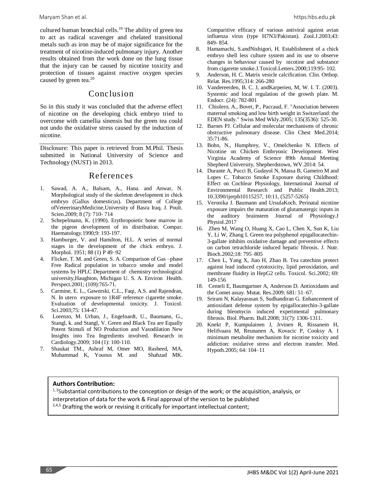cultured human bronchial cells. <sup>19</sup> The ability of green tea to act as radical scavenger and chelated transitional metals such as iron may be of major significance for the treatment of nicotine-induced pulmonary injury. Another results obtained from the work done on the lung tissue that the injury can be caused by nicotine toxicity and protection of tissues against reactive oxygen species caused by green tea. 20

### Conclusion

So in this study it was concluded that the adverse effect of nicotine on the developing chick embryo tried to overcome with camellia sinensis but the green tea could not undo the oxidative stress caused by the induction of nicotine.

Disclosure: This paper is retrieved from M.Phil. Thesis submitted in National University of Science and Technology (NUST) in 2013.

# References

- 1. Sawad, A. A., Balsam, A., Hana. and Anwar, N. Morphological study of the skeleton development in chick embryo (Gallus domesticus). Department of College ofVeteerinaryMedicine,University of Basra Iraq. J. Poult. Scien.2009; 8 (7): 710- 714
- Schepelmann, K. (1990). Erythropoietic bone marrow in the pigeon development of its distribution. Compar. Haematology.1990;9: 193-197.
- 3. Hamburger, V. and Hamilton, H.L. A series of normal stages in the development of the chick embryo. J. Morphol. 1951; 88 (1) P 49–92
- 4. Flicker, T. M. and Green, S. A. Comparison of Gas –phase Free Radical population in tobacco smoke and model systems by HPLC Department of chemistry technological university,Haughton, Michigan U. S. A. Environ Health. Perspect.2001; (109):765-71.
- 5. Carmine, E. L., Gaworski, C.L., Faqi, A.S. and Rajendran, N. In utero exposure to 1R4F reference cigarette smoke. Evaluation of developmental toxicity. J. Toxicol. Sci.2003;75: 134-47.
- Lorenzo, M. Urban, J., Engelnardt, U., Baumann, G., Stangl, k. and Stangl, V. Green and Black Tea are Equally Potent Stimuli of NO Production and Vasodilation New Insights into Tea Ingredients involved. Research in Cardiology.2009; 104 (1): 100-110.
- 7. Shaukat TM., Ashraf M, Omer MO, Rasheed, MA, Muhammad K, Younus M. and Shahzad MK.

Comparitive efficacy of various antiviral against avian influenza virus (type H7N3/Pakistan). Zool.J.2003;43: 849- 854.

- 8. Hamamachi, S.andNishigori, H. Establishment of a chick embryo shell less culture system and its use to observe changes in behaviour caused by nicotine and substance from cigarette smoke.J.Toxicol.Letters.2000;119:95- 102.
- 9. Anderson, H. C. Matrix vesicle calcification. Clin. Orthop. Relat. Res.1995;314: 266-280
- 10. Vandereerden, B. C. J, andKarperien, M, W. I. T. (2003). Systemic and local regulation of the growth plate. M. Endocr. (24): 782-801
- 11. Chiolero, A., Bovet, P., Paccaud, F. "Association between maternal smoking and low birth weight in Switzerland: the EDEN study." Swiss Med Wkly.2005; 135(3536): 525-30.
- 12. Barnes PJ. Cellular and molecular mechanisms of chronic obstructive pulmonary disease. Clin Chest Med.2014; 35:71-86.
- 13. Bohn, N., Humphrey, V., Omelchenko N. Effects of Nicotine on Chicken Embryonic Development. West Virginia Academy of Science 89th Annual Meeting Shepherd University, Shepherdstown, WV.2014: 54.
- 14. Durante A, Pucci B, Gudayol N, Massa B, Gameiro M and Lopes C. Tobacco Smoke Exposure during Childhood: Effect on Cochlear Physiology, International Journal of Environmental Research and Public Health.2013; 10.3390/ijerph10115257, 10:11, (5257-5265)
- 15. [Veronika J. Baumann](https://www.researchgate.net/profile/Veronika_Baumann) and [UrsulaKoch.](https://www.researchgate.net/scientific-contributions/2122526490_Ursula_Koch) Perinatal nicotine exposure impairs the maturation of glutamatergic inputs in the auditory brainstem Journal of Physiolog[y.J](https://www.researchgate.net/journal/1469-7793_The_Journal_of_Physiology) [Physiol.](https://www.researchgate.net/journal/1469-7793_The_Journal_of_Physiology)2017
- 16. Zhen M, Wang O, Huang X, Cao L, Chen X, Sun K, Liu Y, Li W, Zhang L Green tea polyphenol epigallocatechin-3-gallate inhibits oxidative damage and preventive effects on carbon tetrachloride induced hepatic fibrosis. J. Nutr. Bioch.2002;18: 795–805
- 17. Chen L, Yang X, Jiao H, Zhao B. Tea catechins protect against lead induced cytotoxicity, lipid peroxidation, and membrane fluidity in HepG2 cells. Toxicol. Sci.2002; 69: 149-156
- 18. Cemeli E, Baumgartner A, Anderson D. Antioxidants and the Comet assay. Mutat. Res.2009; 681: 51–67.
- 19. Sriram N, Kalayarasan S, Sudhandiran G. Enhancement of antioxidant defense system by epigallocatechin-3-gallate during bleomycin induced experimental pulmonary fibrosis. Biol. Pharm. Bull.2008; 31(7): 1306-1311.
- 20. Knekt P, Kumpulainen J, Jrvinen R, Rissanem H, Helifvaara M, Reunanen A, Kovacic P, Cooksy A. I minimum metabolite mechanism for nicotine toxicity and addiction: oxidative stress and electron transfer. Med. Hypoth.2005; 64: 104–11

### **Authors Contribution:**

<sup>1,3</sup>Substantial contributions to the conception or design of the work; or the acquisition, analysis, or interpretation of data for the work & Final approval of the version to be published  $2,4,5$  Drafting the work or revising it critically for important intellectual content;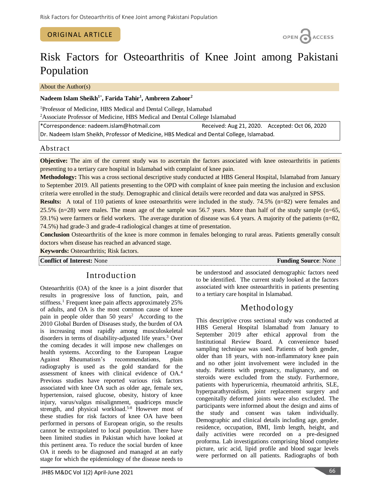### ORIGINAL ARTICLE



# Risk Factors for Osteoarthritis of Knee Joint among Pakistani Population

About the Author(s)

### **Nadeem Islam Sheikh<sup>1</sup>**\* **, Farida Tahir<sup>1</sup> , Ambreen Zahoor<sup>2</sup>**

<sup>1</sup>Professor of Medicine, HBS Medical and Dental College, Islamabad <sup>2</sup>Associate Professor of Medicine, HBS Medical and Dental College Islamabad

| *Correspondence: nadeem.islam@hotmail.com                                                  | Received: Aug 21, 2020. Accepted: Oct 06, 2020 |  |  |  |  |
|--------------------------------------------------------------------------------------------|------------------------------------------------|--|--|--|--|
| Dr. Nadeem Islam Sheikh, Professor of Medicine, HBS Medical and Dental College, Islamabad. |                                                |  |  |  |  |

### Abstract

**Objective:** The aim of the current study was to ascertain the factors associated with knee osteoarthritis in patients presenting to a tertiary care hospital in Islamabad with complaint of knee pain.

**Methodology:** This was a cross sectional descriptive study conducted at HBS General Hospital, Islamabad from January to September 2019. All patients presenting to the OPD with complaint of knee pain meeting the inclusion and exclusion criteria were enrolled in the study. Demographic and clinical details were recorded and data was analyzed in SPSS.

**Results:** A total of 110 patients of knee osteoarthritis were included in the study. 74.5% (n=82) were females and 25.5% (n=28) were males. The mean age of the sample was 56.7 years. More than half of the study sample (n=65, 59.1%) were farmers or field workers. The average duration of disease was 6.4 years. A majority of the patients (n=82, 74.5%) had grade-3 and grade-4 radiological changes at time of presentation.

**Conclusion** Osteoarthritis of the knee is more common in females belonging to rural areas. Patients generally consult doctors when disease has reached an advanced stage.

**Keywords:** Osteoarthritis; Risk factors.

#### **Conflict of Interest:** None **Funding Source**: None

# Introduction

Osteoarthritis (OA) of the knee is a joint disorder that results in progressive loss of function, pain, and stiffness. <sup>1</sup> Frequent knee pain affects approximately 25% of adults, and OA is the most common cause of knee pain in people older than  $50 \text{ years}^2$  According to the 2010 Global Burden of Diseases study, the burden of OA is increasing most rapidly among musculoskeletal disorders in terms of disability-adjusted life years. <sup>3</sup> Over the coming decades it will impose new challenges on health systems. According to the European League Against Rheumatism's recommendations, plain radiography is used as the gold standard for the assessment of knees with clinical evidence of OA. 4 Previous studies have reported various risk factors associated with knee OA such as older age, female sex, hypertension, raised glucose, obesity, history of knee injury, varus/valgus misalignment, quadriceps muscle strength, and physical workload. 5-8 However most of these studies for risk factors of knee OA have been performed in persons of European origin, so the results cannot be extrapolated to local population. There have been limited studies in Pakistan which have looked at this pertinent area. To reduce the social burden of knee OA it needs to be diagnosed and managed at an early stage for which the epidemiology of the disease needs to

JHBS M&DC Vol 1(2) April-June 2021 66

be understood and associated demographic factors need to be identified. The current study looked at the factors associated with knee osteoarthritis in patients presenting to a tertiary care hospital in Islamabad.

# Methodology

This descriptive cross sectional study was conducted at HBS General Hospital Islamabad from January to September 2019 after ethical approval from the Institutional Review Board. A convenience based sampling technique was used. Patients of both gender, older than 18 years, with non-inflammatory knee pain and no other joint involvement were included in the study. Patients with pregnancy, malignancy, and on steroids were excluded from the study. Furthermore, patients with hyperuricemia, rheumatoid arthritis, SLE, hyperparathyroidism, joint replacement surgery and congenitally deformed joints were also excluded. The participants were informed about the design and aims of the study and consent was taken individually. Demographic and clinical details including age, gender, residence, occupation, BMI, limb length, height, and daily activities were recorded on a pre-designed proforma. Lab investigations comprising blood complete picture, uric acid, lipid profile and blood sugar levels were performed on all patients. Radiographs of both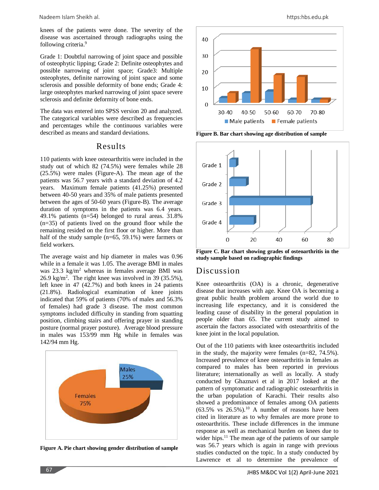Nadeem Islam Sheikh al. https:hbs.edu.pk

knees of the patients were done. The severity of the disease was ascertained through radiographs using the following criteria.<sup>9</sup>

Grade 1: Doubtful narrowing of joint space and possible of osteophytic lipping; Grade 2: Definite osteophytes and possible narrowing of joint space; Grade3: Multiple osteophytes, definite narrowing of joint space and some sclerosis and possible deformity of bone ends; Grade 4: large osteophytes marked narrowing of joint space severe sclerosis and definite deformity of bone ends.

The data was entered into SPSS version 20 and analyzed. The categorical variables were described as frequencies and percentages while the continuous variables were described as means and standard deviations.

### Results

110 patients with knee osteoarthritis were included in the study out of which 82 (74.5%) were females while 28 (25.5%) were males (Figure-A). The mean age of the patients was 56.7 years with a standard deviation of 4.2 years. Maximum female patients (41.25%) presented between 40-50 years and 35% of male patients presented between the ages of 50-60 years (Figure-B). The average duration of symptoms in the patients was 6.4 years. 49.1% patients (n=54) belonged to rural areas. 31.8% (n=35) of patients lived on the ground floor while the remaining resided on the first floor or higher. More than half of the study sample (n=65, 59.1%) were farmers or field workers.

The average waist and hip diameter in males was 0.96 while in a female it was 1.05. The average BMI in males was  $23.3 \text{ kg/m}^2$  whereas in females average BMI was  $26.9 \text{ kg/m}^2$ . The right knee was involved in 39 (35.5%), left knee in 47 (42.7%) and both knees in 24 patients (21.8%). Radiological examination of knee joints indicated that 59% of patients (70% of males and 56.3% of females) had grade 3 disease. The most common symptoms included difficulty in standing from squatting position, climbing stairs and offering prayer in standing posture (normal prayer posture). Average blood pressure in males was 153/99 mm Hg while in females was 142/94 mm Hg.



**Figure A. Pie chart showing gender distribution of sample**



**Figure B. Bar chart showing age distribution of sample**



**Figure C. Bar chart showing grades of osteoarthritis in the study sample based on radiographic findings**

# Discussion

Knee osteoarthritis (OA) is a chronic, degenerative disease that increases with age. Knee OA is becoming a great public health problem around the world due to increasing life expectancy, and it is considered the leading cause of disability in the general population in people older than 65. The current study aimed to ascertain the factors associated with osteoarthritis of the knee joint in the local population.

Out of the 110 patients with knee osteoarthritis included in the study, the majority were females (n=82, 74.5%). Increased prevalence of knee osteoarthritis in females as compared to males has been reported in previous literature; internationally as well as locally. A study conducted by Ghaznavi et al in 2017 looked at the pattern of symptomatic and radiographic osteoarthritis in the urban population of Karachi. Their results also showed a predominance of females among OA patients  $(63.5\%$  vs  $26.5\%$ ).<sup>10</sup> A number of reasons have been cited in literature as to why females are more prone to osteoarthritis. These include differences in the immune response as well as mechanical burden on knees due to wider hips.<sup>11</sup> The mean age of the patients of our sample was 56.7 years which is again in range with previous studies conducted on the topic. In a study conducted by Lawrence et al to determine the prevalence of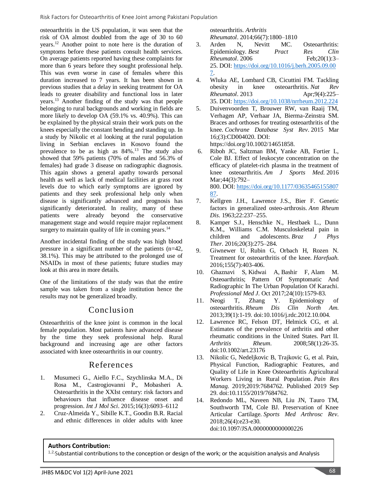osteoarthritis in the US population, it was seen that the risk of OA almost doubled from the age of 30 to 60 years. <sup>12</sup> Another point to note here is the duration of symptoms before these patients consult health services. On average patients reported having these complaints for more than 6 years before they sought professional help. This was even worse in case of females where this duration increased to 7 years. It has been shown in previous studies that a delay in seeking treatment for OA leads to greater disability and functional loss in later years. <sup>13</sup> Another finding of the study was that people belonging to rural backgrounds and working in fields are more likely to develop OA (59.1% vs. 40.9%). This can be explained by the physical strain their work puts on the knees especially the constant bending and standing up. In a study by Nikolic et al looking at the rural population living in Serbian enclaves in Kosovo found the prevalence to be as high as 84%. <sup>13</sup> The study also showed that 59% patients (70% of males and 56.3% of females) had grade 3 disease on radiographic diagnosis. This again shows a general apathy towards personal health as well as lack of medical facilities at grass root levels due to which early symptoms are ignored by patients and they seek professional help only when disease is significantly advanced and prognosis has significantly deteriorated. In reality, many of these patients were already beyond the conservative management stage and would require major replacement surgery to maintain quality of life in coming years.<sup>14</sup>

Another incidental finding of the study was high blood pressure in a significant number of the patients (n=42, 38.1%). This may be attributed to the prolonged use of NSAIDs in most of these patients; future studies may look at this area in more details.

One of the limitations of the study was that the entire sample was taken from a single institution hence the results may not be generalized broadly.

# Conclusion

Osteoarthritis of the knee joint is common in the local female population. Most patients have advanced disease by the time they seek professional help. Rural background and increasing age are other factors associated with knee osteoarthritis in our country.

# References

- 1. Musumeci G., Aiello F.C., Szychlinska M.A., Di Rosa M., Castrogiovanni P., Mobasheri A. Osteoarthritis in the XXIst century: risk factors and behaviours that influence disease onset and progression. *Int J Mol Sci*. 2015;16(3):6093–6112
- 2. Cruz-Almeida Y., Sibille K.T., Goodin B.R. Racial and ethnic differences in older adults with knee

osteoarthritis. *Arthritis* 

*Rheumatol*. 2014;66(7):1800–1810

- 3. Arden N, Nevitt MC. Osteoarthritis: Epidemiology. *Best Pract Res Clin Rheumatol*. 2006 Feb;20(1):3– 25. DOI: [https://doi.org/10.1016/j.berh.2005.09.00](https://doi.org/10.1016/j.berh.2005.09.007) [7.](https://doi.org/10.1016/j.berh.2005.09.007)
- 4. Wluka AE, Lombard CB, Cicuttini FM. Tackling obesity in knee osteoarthritis. *Nat Rev Rheumatol*. 2013 Apr;9(4):225– 35. DOI: <https://doi.org/10.1038/nrrheum.2012.224>
- 5. Duivenvoorden T, Brouwer RW, van Raaij TM, Verhagen AP, Verhaar JA, Bierma-Zeinstra SM. Braces and orthoses for treating osteoarthritis of the knee. *Cochrane Database Syst Rev*. 2015 Mar 16;(3):CD004020. DOI:

https://doi.org/10.1002/14651858.

- 6. Riboh JC, Saltzman BM, Yanke AB, Fortier L, Cole BJ. Effect of leukocyte concentration on the efficacy of platelet-rich plasma in the treatment of knee osteoarthritis. *Am J Sports Med*. 2016 Mar;44(3):792– 800. DOI: [https://doi.org/10.1177/03635465155807](https://doi.org/10.1177/0363546515580787) [87.](https://doi.org/10.1177/0363546515580787)
- 7. Kellgren J.H., Lawrence J.S., Bier F. Genetic factors in generalized osteo-arthrosis. *Ann Rheum Dis*. 1963;22:237–255.
- 8. Kamper S.J., Henschke N., Hestbaek L., Dunn K.M., Williams C.M. Musculoskeletal pain in children and adolescents. *Braz J Phys Ther*. 2016;20(3):275–284.
- 9. Giwnewer U, Rubin G, Orbach H, Rozen N. Treatment for osteoarthritis of the knee. *Harefuah*. 2016;155(7):403-406.
- 10. [Ghaznavi](https://www.pakmedinet.com/author/Samina+Ghaznavi) S, [Kidwai](https://www.pakmedinet.com/author/Aneela+Altaf+Kidwai) A, [Bashir](https://www.pakmedinet.com/author/Farhat+Bashir) F, [Alam](https://www.pakmedinet.com/author/Mahfooz+Alam) M. Osteoarthritis; Pattern Of Symptomatic And Radiographic In The Urban Population Of Karachi. *[Professional Med J](https://www.pakmedinet.com/Professional)*. Oct 2017;24(10):1579-83.
- 11. Neogi T, Zhang Y. Epidemiology of osteoarthritis. *Rheum Dis Clin North Am*. 2013;39(1):1-19. doi:10.1016/j.rdc.2012.10.004.
- 12. Lawrence RC, Felson DT, Helmick CG, et al. Estimates of the prevalence of arthritis and other rheumatic conditions in the United States. Part II. *Arthritis Rheum*. 2008;58(1):26-35. doi:10.1002/art.23176
- 13. Nikolic G, Nedeljkovic B, Trajkovic G, et al. Pain, Physical Function, Radiographic Features, and Quality of Life in Knee Osteoarthritis Agricultural Workers Living in Rural Population. *Pain Res Manag*. 2019;2019:7684762. Published 2019 Sep 29. doi:10.1155/2019/7684762.
- 14. Redondo ML, Naveen NB, Liu JN, Tauro TM, Southworth TM, Cole BJ. Preservation of Knee Articular Cartilage. *Sports Med Arthrosc Rev*. 2018;26(4):e23-e30. doi:10.1097/JSA.0000000000000226

# **Authors Contribution:**

<sup>1,2,</sup>Substantial contributions to the conception or design of the work; or the acquisition analysis and Analysis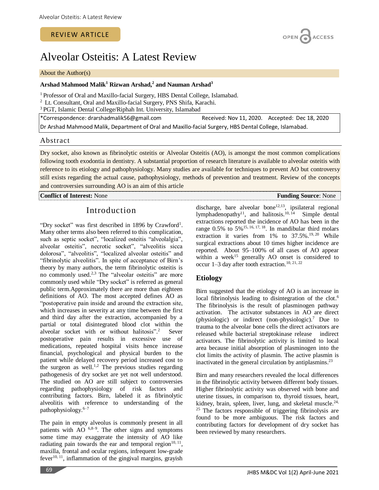# Alveolar Osteitis: A Latest Review

#### About the Author(s)

### **Arshad Mahmood Malik<sup>1</sup> Rizwan Arshad,<sup>2</sup> and Nauman Arshad<sup>3</sup>**

<sup>1</sup> Professor of Oral and Maxillo-facial Surgery, HBS Dental College, Islamabad.

<sup>2</sup> Lt. Consultant, Oral and Maxillo-facial Surgery, PNS Shifa, Karachi.

<sup>3</sup> PGT, Islamic Dental College/Riphah Int. University, Islamabad

\*Correspondence: drarshadmalik56@gmail.com Received: Nov 11, 2020. Accepted: Dec 18, 2020 Dr Arshad Mahmood Malik, Department of Oral and Maxillo-facial Surgery, HBS Dental College, Islamabad.

### Abstract

Dry socket, also known as fibrinolytic osteitis or Alveolar Osteitis (AO), is amongst the most common complications following tooth exodontia in dentistry. A substantial proportion of research literature is available to alveolar osteitis with reference to its etiology and pathophysiology. Many studies are available for techniques to prevent AO but controversy still exists regarding the actual cause, pathophysiology, methods of prevention and treatment. Review of the concepts and controversies surrounding AO is an aim of this article

**Conflict of Interest:** None **Funding Source**: None **Funding Source**: None

# Introduction

"Dry socket" was first described in 1896 by Crawford<sup>1</sup>. Many other terms also been referred to this complication, such as septic socket", "localized osteitis "alveolalgia", alveolar osteitis", necrotic socket", "alveolitis sicca dolorosa", "alveolitis", "localized alveolar osteitis" and "fibrinolytic alveolitis". In spite of acceptance of Birn's theory by many authors, the term fibrinolytic osteitis is no commonly used. 2,3 The "alveolar osteitis" are more commonly used while "Dry socket" is referred as general public term.Approximately there are more than eighteen definitions of AO. The most accepted defines AO as "postoperative pain inside and around the extraction site, which increases in severity at any time between the first and third day after the extraction, accompanied by a partial or total disintegrated blood clot within the alveolar socket with or without halitosis". 2 Sever postoperative pain results in excessive use of medications, repeated hospital visits hence increase financial, psychological and physical burden to the patient while delayed recovery period increased cost to the surgeon as well.<sup>1,2</sup> The previous studies regarding pathogenesis of dry socket are yet not well understood. The studied on AO are still subject to controversies regarding pathophysiology of risk factors and contributing factors. Birn, labeled it as fibrinolytic alveolitis with reference to understanding of the pathophysiology. 6–7

The pain in empty alveolus is commonly present in all patients with AO  $6,8-9$ . The other signs and symptoms some time may exaggerate the intensity of AO like radiating pain towards the ear and temporal region $10, 11$ , maxilla, frontal and ocular regions, infrequent low-grade fever $10$ ,  $11$ , inflammation of the gingival margins, grayish

discharge, bare alveolar bone<sup>12,13</sup>, ipsilateral regional lymphadenopathy<sup>11</sup>, and halitosis.<sup>10, 14</sup> Simple dental extractions reported the incidence of AO has been in the range  $0.5\%$  to  $5\%$ <sup>15, 16, 17, 18</sup>. In mandibular third molars extraction it varies from  $1\%$  to  $37.5\%$ .<sup>19, 20</sup> While surgical extractions about 10 times higher incidence are reported. About 95–100% of all cases of AO appear within a week<sup>15</sup> generally AO onset is considered to occur 1–3 day after tooth extraction. 10, 21, 22

### **Etiology**

Birn suggested that the etiology of AO is an increase in local fibrinolysis leading to disintegration of the clot. 6 The fibrinolysis is the result of plasminogen pathway activation. The activator substances in AO are direct (physiologic) or indirect (non-physiologic). <sup>7</sup> Due to trauma to the alveolar bone cells the direct activators are released while bacterial streptokinase release indirect activators. The fibrinolytic activity is limited to local area because initial absorption of plasminogen into the clot limits the activity of plasmin. The active plasmin is inactivated in the general circulation by antiplasmins. 23

Birn and many researchers revealed the local differences in the fibrinolytic activity between different body tissues. Higher fibrinolytic activity was observed with bone and uterine tissues, in comparison to, thyroid tissues, heart, kidney, brain, spleen, liver, lung, and skeletal muscle.<sup>24,</sup> <sup>25</sup> The factors responsible of triggering fibrinolysis are found to be more ambiguous. The risk factors and contributing factors for development of dry socket has been reviewed by many researchers.

69

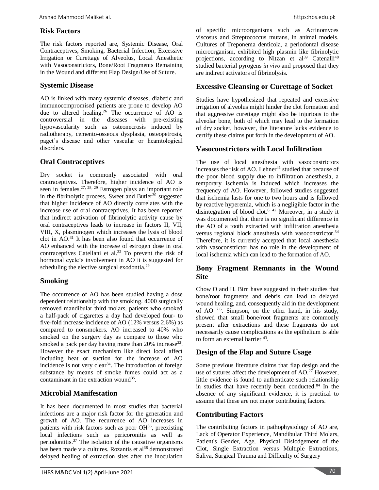# **Risk Factors**

The risk factors reported are, Systemic Disease, Oral Contraceptives, Smoking, Bacterial Infection, Excessive Irrigation or Curettage of Alveolus, Local Anesthetic with Vasoconstrictors, Bone/Root Fragments Remaining in the Wound and different Flap Design/Use of Suture.

### **Systemic Disease**

AO is linked with many systemic diseases, diabetic and immunocompromised patients are prone to develop AO due to altered healing. <sup>26</sup> The occurrence of AO is controversial in the diseases with pre-existing hypovascularity such as osteonecrosis induced by radiotherapy, cemento-osseous dysplasia, osteopetrosis, paget's disease and other vascular or heamtological disorders.

# **Oral Contraceptives**

Dry socket is commonly associated with oral contraceptives. Therefore, higher incidence of AO is seen in females.<sup>27, 28, 29</sup> Estrogen plays an important role in the fibrinolytic process, Sweet and Butler<sup>30</sup> suggested that higher incidence of AO directly correlates with the increase use of oral contraceptives. It has been reported that indirect activation of fibrinolytic activity cause by oral contraceptives leads to increase in factors II, VII, VIII, X, plasminogen which increases the lysis of blood clot in AO. <sup>31</sup> It has been also found that occurrence of AO enhanced with the increase of estrogen dose in oral contraceptives Catellani et al.<sup>32</sup> To prevent the risk of hormonal cycle's involvement in AO it is suggested for scheduling the elective surgical exodontia.<sup>29</sup>

# **Smoking**

The occurrence of AO has been studied having a dose dependent relationship with the smoking. 4000 surgically removed mandibular third molars, patients who smoked a half-pack of cigarettes a day had developed four- to five-fold increase incidence of AO (12% versus 2.6%) as compared to nonsmokers. AO increased to 40% who smoked on the surgery day as compare to those who smoked a pack per day having more than  $20\%$  increase<sup>33</sup>. However the exact mechanism like direct local affect including heat or suction for the increase of AO incidence is not very clear<sup>34</sup>. The introduction of foreign substance by means of smoke fumes could act as a contaminant in the extraction wound<sup>35</sup>.

# **Microbial Manifestation**

It has been documented in most studies that bacterial infections are a major risk factor for the generation and growth of AO. The recurrence of AO increases in patients with risk factors such as poor OH<sup>36</sup>, preexisting local infections such as pericoronitis as well as periodontitis. <sup>37</sup> The isolation of the causative organisms has been made via cultures. Rozantis et al<sup>38</sup> demonstrated delayed healing of extraction sites after the inoculation

of specific microorganisms such as Actinomyces viscosus and Streptococcus mutans, in animal models. Cultures of Treponema denticola, a periodontal disease microorganism, exhibited high plasmin like fibrinolytic projections, according to Nitzan et  $al^{39}$  Catenalli<sup>40</sup> studied bacterial pyrogens *in vivo* and proposed that they are indirect activators of fibrinolysis.

### **Excessive Cleansing or Curettage of Socket**

Studies have hypothesized that repeated and excessive irrigation of alveolus might hinder the clot formation and that aggressive curettage might also be injurious to the alveolar bone, both of which may lead to the formation of dry socket, however, the literature lacks evidence to certify these claims put forth in the development of AO.

### **Vasoconstrictors with Local Infiltration**

The use of local anesthesia with vasoconstrictors increases the risk of AO. Lehner $41$  studied that because of the poor blood supply due to infiltration anesthesia, a temporary ischemia is induced which increases the frequency of AO. However, followed studies suggested that ischemia lasts for one to two hours and is followed by reactive hyperemia, which is a negligible factor in the disintegration of blood clot. 6, 42 Moreover, in a study it was documented that there is no significant difference in the AO of a tooth extracted with infiltration anesthesia versus regional block anesthesia with vasoconstrictor.<sup>34</sup> Therefore, it is currently accepted that local anesthesia with vasoconstrictor has no role in the development of local ischemia which can lead to the formation of AO.

# **Bony Fragment Remnants in the Wound Site**

Chow O and H. Birn have suggested in their studies that bone/root fragments and debris can lead to delayed wound healing, and, consequently aid in the development of AO  $2.6$ . Simpson, on the other hand, in his study, showed that small bone/root fragments are commonly present after extractions and these fragments do not necessarily cause complications as the epithelium is able to form an external barrier <sup>43</sup>.

# **Design of the Flap and Suture Usage**

Some previous literature claims that flap design and the use of sutures affect the development of AO.<sup>27</sup> However, little evidence is found to authenticate such relationship in studies that have recently been conducted.<sup>84</sup> In the absence of any significant evidence, it is practical to assume that these are not major contributing factors.

### **Contributing Factors**

The contributing factors in pathophysiology of AO are, Lack of Operator Experience, Mandibular Third Molars, Patient's Gender, Age, Physical Dislodgement of the Clot, Single Extraction versus Multiple Extractions, Saliva, Surgical Trauma and Difficulty of Surgery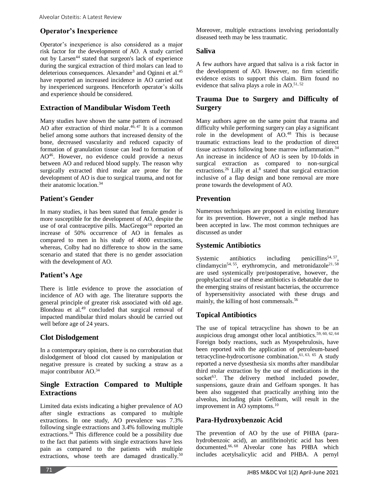# **Operator's Inexperience**

Operator's inexperience is also considered as a major risk factor for the development of AO. A study carried out by Larsen<sup>44</sup> stated that surgeon's lack of experience during the surgical extraction of third molars can lead to deleterious consequences. Alexander<sup>3</sup> and Oginni et al.<sup>45</sup> have reported an increased incidence in AO carried out by inexperienced surgeons. Henceforth operator's skills and experience should be considered.

# **Extraction of Mandibular Wisdom Teeth**

Many studies have shown the same pattern of increased AO after extraction of third molar. 46, <sup>47</sup> It is a common belief among some authors that increased density of the bone, decreased vascularity and reduced capacity of formation of granulation tissue can lead to formation of  $AO^{46}$ . However, no evidence could provide a nexus between AO and reduced blood supply. The reason why surgically extracted third molar are prone for the development of AO is due to surgical trauma, and not for their anatomic location. 34

# **Patient's Gender**

In many studies, it has been stated that female gender is more susceptible for the development of AO, despite the use of oral contraceptive pills. MacGregor<sup>16</sup> reported an increase of 50% occurrence of AO in females as compared to men in his study of 4000 extractions, whereas, Colby had no difference to show in the same scenario and stated that there is no gender association with the development of AO.

# **Patient's Age**

There is little evidence to prove the association of incidence of AO with age. The literature supports the general principle of greater risk associated with old age. Blondeau et al.<sup>49</sup> concluded that surgical removal of impacted mandibular third molars should be carried out well before age of 24 years.

# **Clot Dislodgement**

In a contemporary opinion, there is no corroboration that dislodgement of blood clot caused by manipulation or negative pressure is created by sucking a straw as a major contributor AO.<sup>34</sup>

# **Single Extraction Compared to Multiple Extractions**

Limited data exists indicating a higher prevalence of AO after single extractions as compared to multiple extractions. In one study, AO prevalence was 7.3% following single extractions and 3.4% following multiple extractions. <sup>34</sup> This difference could be a possibility due to the fact that patients with single extractions have less pain as compared to the patients with multiple extractions, whose teeth are damaged drastically.<sup>50</sup>

Moreover, multiple extractions involving periodontally diseased teeth may be less traumatic.

### **Saliva**

A few authors have argued that saliva is a risk factor in the development of AO. However, no firm scientific evidence exists to support this claim. Birn found no evidence that saliva plays a role in AO.<sup>51,52</sup>

# **Trauma Due to Surgery and Difficulty of Surgery**

Many authors agree on the same point that trauma and difficulty while performing surgery can play a significant role in the development of AO. <sup>48</sup> This is because traumatic extractions lead to the production of direct tissue activators following bone marrow inflammation. 34 An increase in incidence of AO is seen by 10-folds in surgical extraction as compared to non-surgical extractions.<sup>26</sup> Lilly et al.<sup>8</sup> stated that surgical extraction inclusive of a flap design and bone removal are more prone towards the development of AO.

# **Prevention**

Numerous techniques are proposed in existing literature for its prevention. However, not a single method has been accepted in law. The most common techniques are discussed as under

### **Systemic Antibiotics**

Systemic antibiotics including penicillins<sup>54, 57</sup>, clindamycin<sup>54, 55</sup>, erythromycin, and metronidazole<sup>21, 58</sup> are used systemically pre/postoperative, however, the prophylactical use of these antibiotics is debatable due to the emerging strains of resistant bacterias, the occurrence of hypersensitivity associated with these drugs and mainly, the killing of host commensals. 56

# **Topical Antibiotics**

The use of topical tetracycline has shown to be an auspicious drug amongst other local antibiotics.<sup>59, 60, 62, 64</sup> Foreign body reactions, such as Myospehrulosis, have been reported with the application of petroleum-based tetracycline-hydrocortisone combination. 61, 63, 65 A study reported a nerve dysesthesia six months after mandibular third molar extraction by the use of medications in the socket $63$ . The delivery method included powder, suspensions, gauze drain and Gelfoam sponges. It has been also suggested that practically anything into the alveolus, including plain Gelfoam, will result in the improvement in AO symptoms.<sup>10</sup>

# **Para-Hydroxybenzoic Acid**

The prevention of AO by the use of PHBA (parahydrobenzoic acid), an antifibrinolytic acid has been documented. 66, <sup>68</sup> Alveolar cone has PHBA which includes acetylsalicylic acid and PHBA. A pernyl

71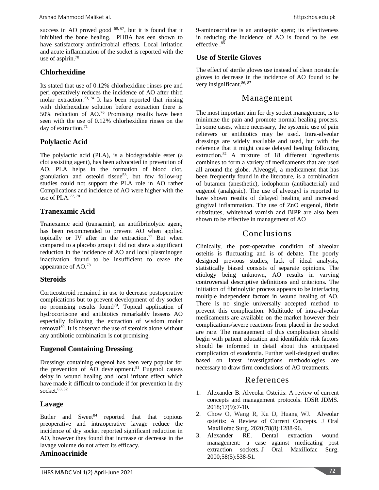success in AO proved good  $69, 67$ , but it is found that it inhibited the bone healing. PHBA has een shown to have satisfactory antimicrobial effects. Local irritation and acute inflammation of the socket is reported with the use of aspirin. 70

# **Chlorhexidine**

Its stated that use of 0.12% chlorhexidine rinses pre and peri operatively reduces the incidence of AO after third molar extraction.<sup>73, 74</sup> It has been reported that rinsing with chlorhexidine solution before extraction there is 50% reduction of AO. <sup>76</sup> Promising results have been seen with the use of 0.12% chlorhexidine rinses on the day of extraction. 71

# **Polylactic Acid**

The polylactic acid (PLA), is a biodegradable ester (a clot assisting agent), has been advocated in prevention of AO. PLA helps in the formation of blood clot, granulation and osteoid tissue<sup>53</sup>, but few follow-up studies could not support the PLA role in AO rather Complications and incidence of AO were higher with the use of PLA. 77, 78

# **Tranexamic Acid**

Tranexamic acid (transamin), an antifibrinolytic agent, has been recommended to prevent AO when applied topically or IV after in the extraction.<sup>77</sup> But when compared to a placebo group it did not show a significant reduction in the incidence of AO and local plasminogen inactivation found to be insufficient to cease the appearance of AO.<sup>78</sup>

### **Steroids**

Corticosteroid remained in use to decrease postoperative complications but to prevent development of dry socket no promising results found<sup>79</sup>. Topical application of hydrocortisone and antibiotics remarkably lessens AO especially following the extraction of wisdom molar removal<sup>80</sup>. It is observed the use of steroids alone without any antibiotic combination is not promising.

# **Eugenol Containing Dressing**

Dressings containing eugenol has been very popular for the prevention of AO development. <sup>81</sup> Eugenol causes delay in wound healing and local irritant effect which have made it difficult to conclude if for prevention in dry socket. 83, 82

# **Lavage**

Butler and  $Sweet^{84}$  reported that that copious preoperative and intraoperative lavage reduce the incidence of dry socket reported significant reduction in AO, however they found that increase or decrease in the lavage volume do not affect its efficacy.

### **Aminoacrinide**

9-aminoacridine is an antiseptic agent; its effectiveness in reducing the incidence of AO is found to be less effective . 85

# **Use of Sterile Gloves**

The effect of sterile gloves use instead of clean nonsterile gloves to decrease in the incidence of AO found to be very insignificant.<sup>86, 87</sup>

# Management

The most important aim for dry socket management, is to minimize the pain and promote normal healing process. In some cases, where necessary, the systemic use of pain relievers or antibiotics may be used. Intra-alveolar dressings are widely available and used, but with the reference that it might cause delayed healing following extraction.<sup>82</sup> A mixture of 18 different ingredients combines to form a variety of medicaments that are used all around the globe. Alveogyl, a medicament that has been frequently found in the literature, is a combination of butamen (anesthetic), iodophorm (antibacterial) and eugenol (analgesic). The use of alveogyl is reported to have shown results of delayed healing and increased gingival inflammation. The use of ZnO eugenol, fibrin substitutes, whitehead varnish and BIPP are also been shown to be effective in management of AO

# Conclusions

Clinically, the post-operative condition of alveolar osteitis is fluctuating and is of debate. The poorly designed previous studies, lack of ideal analysis, statistically biased consists of separate opinions. The etiology being unknown, AO results in varying controversial descriptive definitions and criterions. The initiation of fibrinolytic process appears to be interfacing multiple independent factors in wound healing of AO. There is no single universally accepted method to prevent this complication. Multitude of intra-alveolar medicaments are available on the market however their complications/severe reactions from placed in the socket are rare. The management of this complication should begin with patient education and identifiable risk factors should be informed in detail about this anticipated complication of exodontia. Further well-designed studies based on latest investigations methodologies are necessary to draw firm conclusions of AO treatments.

# References

- 1. Alexander B. Alveolar Osteitis: A review of current concepts and management protocols. IOSR JDMS. 2018;17(9):7-10.
- 2. Chow O, Wang R, Ku D, Huang WJ. Alveolar osteitis: A Review of Current Concepts. J Oral Maxillofac Surg. 2020;78(8):1288-96.
- 3. Alexander RE. Dental extraction wound management: a case against medicating post extraction sockets. J Oral Maxillofac Surg. 2000;58(5):538-51.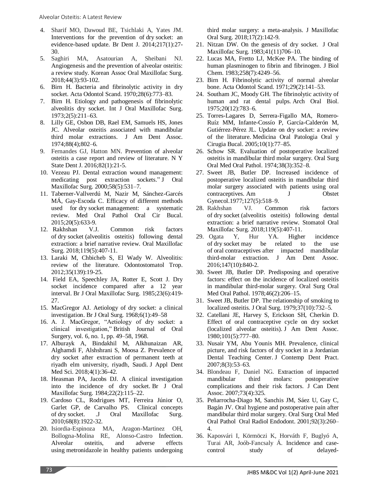- 4. Sharif MO, Dawoud BE, Tsichlaki A, Yates JM. Interventions for the prevention of dry socket: an evidence-based update. Br Dent J. 2014;217(1):27- 30.
- 5. Saghiri MA, Asatourian A, Sheibani NJ. Angiogenesis and the prevention of alveolar osteitis: a review study. Korean Assoc Oral Maxillofac Surg. 2018;44(3):93-102.
- 6. Birn H. Bacteria and fibrinolytic activity in dry socket. Acta Odontol Scand. 1970;28(6):773–83.
- 7. Birn H. Etiology and pathogenesis of fibrinolytic alveolitis dry socket. Int J Oral Maxillofac Surg. 1973;2(5):211–63.
- 8. Lilly GE, Osbon DB, Rael EM, Samuels HS, Jones JC. Alveolar osteitis associated with mandibular third molar extractions. J Am Dent Assoc. 1974;88(4);802–6.
- 9. Fernandes GJ, Hatton MN. Prevention of alveolar osteitis a case report and review of literature. N Y State Dent J. 2016;82(1):21-5.
- 10. Vezeau PJ. Dental extraction wound management: medicating post extraction sockets." J Oral Maxillofac Surg. 2000;58(5):531–7.
- 11. Taberner-Vallverdú M, Nazir M, Sánchez-Garcés MÁ, Gay-Escoda C. Efficacy of different methods used for dry socket management: a systematic review. Med Oral Pathol Oral Cir Bucal. 2015;20(5):633-9.
- 12. Rakhshan V.J. Common risk factors of dry socket (alveolitis osteitis) following dental extraction: a brief narrative review. Oral Maxillofac Surg. 2018;119(5):407-11.
- 13. Laraki M, Chbicheb S, El Wady W. Alveolitis: review of the literature. Odontostomatol Trop. 2012;35(139):19-25.
- 14. Field EA, Speechley JA, Rotter E, Scott J. Dry socket incidence compared after a 12 year interval. Br J Oral Maxillofac Surg. 1985;23(6):419- 27.
- 15. MacGregor AJ. Aetiology of dry socket: a clinical investigation. Br J Oral Surg. 1968;6(1):49–58
- 16. A. J. MacGregor, "Aetiology of dry socket: a clinical investigation," British Journal of Oral Surgery, vol. 6, no. 1, pp. 49–58, 1968.
- 17. Alburayk A, Bindakhil M, Alkhunaizan AR, Alghamdi F, Alshshrani S, Moosa Z. Prevalence of dry socket after extraction of permanent teeth at riyadh elm university, riyadh, Saudi. J Appl Dent Med Sci. 2018;4(1):36-42.
- 18. Heasman PA, Jacobs DJ. A clinical investigation into the incidence of dry socket. Br J Oral Maxillofac Surg. 1984;22(2):115–22.
- 19. Cardoso CL, Rodrigues MT, Ferreira Júnior O, Garlet GP, de Carvalho PS. Clinical concepts of dry socket. .J Oral Maxillofac Surg. 2010;68(8):1922-32.
- 20. Isiordia-Espinoza MA, Aragon-Martinez OH, Bollogna-Molina RE, Alonso-Castro Infection. Alveolar osteitis, and adverse effects using metronidazole in healthy patients undergoing

third molar surgery: a meta-analysis. J Maxillofac Oral Surg. 2018;17(2):142-9.

- 21. Nitzan DW. On the genesis of dry socket. J Oral Maxillofac Surg. 1983;41(11)706–10.
- 22. Lucas MA, Fretto LJ, McKee PA. The binding of human plasminogen to fibrin and fibrinogen. J Biol Chem. 1983;258(7):4249–56.
- 23. Birn H. Fibrinolytic activity of normal alveolar bone. Acta Odontol Scand. 1971;29(2):141–53.
- 24. Southam JC, Moody GH. The fibrinolytic activity of human and rat dental pulps. Arch Oral Biol. 1975;20(12):783–6.
- 25. Torres-Lagares D, Serrera-Figallo MA, Romero-Ruíz MM, Infante-Cossío P, García-Calderón M, Gutiérrez-Pérez JL. Update on dry socket: a review of the literature. Medicina Oral Patologia Oral y Cirugia Bucal. 2005;10(1):77–85.
- 26. Schow SR. Evaluation of postoperative localized osteitis in mandibular third molar surgery. Oral Surg Oral Med Oral Pathol. 1974;38(3):352–8.
- 27. Sweet JB, Butler DP. Increased incidence of postoperative localized osteitis in mandibular third molar surgery associated with patients using oral contraceptives. Am J Obstet Gynecol.1977;127(5):518–9.
- 28. Rakhshan VJ. Common risk factors of dry socket (alveolitis osteitis) following dental extraction: a brief narrative review. Stomatol Oral Maxillofac Surg. 2018;119(5):407-11.
- 29. Ogata Y, Hur YA. Higher incidence of dry socket may be related to the use of oral contraceptives after impacted mandibular third-molar extraction. J Am Dent Assoc. 2016;147(10):840-2.
- 30. Sweet JB, Butler DP. Predisposing and operative factors: effect on the incidence of localized osteitis in mandibular third-molar surgery. Oral Surg Oral Med Oral Pathol. 1978;46(2):206–15.
- 31. Sweet JB, Butler DP. The relationship of smoking to localized osteitis. J Oral Surg. 1979;37(10):732–5.
- 32. Catellani JE, Harvey S, Erickson SH, Cherkin D. Effect of oral contraceptive cycle on dry socket (localized alveolar osteitis). J Am Dent Assoc. 1980;101(5):777–80.
- 33. Nusair YM, Abu Younis MH. Prevalence, clinical picture, and risk factors of dry socket in a Jordanian Dental Teaching Center. J Contemp Dent Pract. 2007;8(3):53–63.
- 34. Blondeau F, Daniel NG. Extraction of impacted mandibular third molars: postoperative complications and their risk factors. J Can Dent Assoc. 2007;73(4):325.
- 35. Peñarrocha-Diago M, Sanchis JM, Sáez U, Gay C, Bagán JV. Oral hygiene and postoperative pain after mandibular third molar surgery. Oral Surg Oral Med Oral Pathol Oral Radiol Endodont. 2001;92(3):260– 4.
- 36. Kaposvári I, Körmöczi K, Horváth F, Buglyó A, Turai AR, Joób-Fancsaly Á. Incidence and casecontrol study of delayed-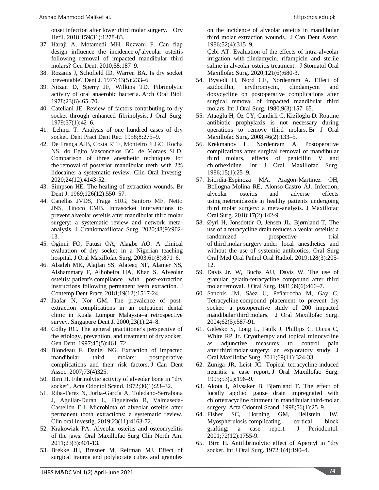onset infection after lower third molar surgery. Orv Hetil. 2018;159(31):1278-83.

- 37. Haraji A, Motamedi MH, Rezvani F. Can flap design influence the incidence *of* alveolar osteitis following removal of impacted mandibular third molars? Gen Dent. 2010;58:187–9.
- 38. Rozanis J, Schofield ID, Warren BA. Is dry socket preventable? Dent J. 1977;43(5):233–6.
- 39. Nitzan D, Sperry JF, Wilkins TD. Fibrinolytic activity of oral anaerobic bacteria. Arch Oral Biol. 1978;23(6)465–70.
- 40. Catellani JE. Review of factors contributing to dry socket through enhanced fibrinolysis. J Oral Surg. 1979;37(1):42–6.
- 41. Lehner T. Analysis of one hundred cases of dry socket. Dent Pract Dent Rec. 1958;8:275–9.
- 42. De França AJB, Costa RTF, Monteiro JLGC, Rocha NS, do Egito Vasconcelos BC, de Moraes SLD. Comparison of three anesthetic techniques for the removal of posterior mandibular teeth with 2% lidocaine: a systematic review. Clin Oral Investig. 2020;24(12):4143-52.
- 43. Simpson HE. The healing of extraction wounds. Br Dent J. 1969;126(12):550–57.
- 44. Canellas JVDS, Fraga SRG, Santoro MF, Netto JNS, Tinoco EMB. Intrasocket interventions to prevent alveolar osteitis after mandibular third molar surgery: a systematic review and network metaanalysis. J Craniomaxillofac Surg. 2020;48(9):902- 13.
- 45. Oginni FO, Fatusi OA, Alagbe AO. A clinical evaluation of dry socket in a Nigerian teaching hospital. J Oral Maxillofac Surg. 2003;61(8):871–6.
- 46. Alsaleh MK, Alajlan SS, Alateeq NF, Alamer NS, Alshammary F, Alhobeira HA, Khan S. Alveolar osteitis: patient's compliance with post-extraction instructions following permanent teeth extraction. J Contemp Dent Pract. 2018;19(12):1517-24.
- 47. Jaafar N, Nor GM. The prevalence of postextraction complications in an outpatient dental clinic in Kuala Lumpur Malaysia–a retrospective survey. Singapore Dent J. 2000;23(1):24–8.
- 48. Colby RC. The general practitioner's perspective of the etiology, prevention, and treatment of dry socket. Gen Dent. 1997;45(5):461–72.
- 49. Blondeau F, Daniel NG. Extraction of impacted mandibular third molars: postoperative complications and their risk factors. J Can Dent Assoc. 2007;73(4)325.
- 50. Birn H. Fibrinolytic activity of alveolar bone in "dry socket". Acta Odontol Scand. 1972;30(1):23–32.
- 51. Riba-Terés N, Jorba-García A, Toledano-Serrabona J, Aguilar-Durán L, Figueiredo R, Valmaseda-Castellón E.J. Microbiota of alveolar osteitis after permanent tooth extractions: a systematic review. Clin oral Investig. 2019;23(11):4163-72.
- 52. Krakowiak PA. Alveolar osteitis and osteomyelitis of the jaws. Oral Maxillofac Surg Clin North Am. 2011;23(3):401-13.
- 53. Brekke JH, Bresner M, Reitman MJ. Effect of surgical trauma and polylactate cubes and granules

on the incidence of alveolar osteitis in mandibular third molar extraction wounds. J Can Dent Assoc. 1986;52(4):315–9.

Çebi AT. Evaluation of the effects of intra-alveolar irrigation with clindamycin, rifampicin and sterile saline in alveolar osteitis treatment. J Stomatol Oral Maxillofac Surg. 2020;121(6):680-3.

- 54. Bystedt H, Nord CE, Nordenram A. Effect of azidocillin, erythromycin, clindamycin and doxycycline on postoperative complications after surgical removal of impacted mandibular third molars. Int J Oral Surg. 1980;9(3):157–65.
- 55. Ataoǧlu H, Öz GY, Çandirli C, Kiziloǧlu D. Routine antibiotic prophylaxis is not necessary during operations to remove third molars. Br J Oral Maxillofac Surg. 2008;46(2):133–5.
- 56. Krekmanov L, Nordenram A. Postoperative complications after surgical removal of mandibular third molars, effects of penicillin V and chlorhexidine. Int J Oral Maxillofac Surg. 1986;15(1):25–9.
- 57. Isiordia-Espinoza MA, Aragon-Martinez OH, Bollogna-Molina RE, Alonso-Castro ÁJ. Infection, alveolar osteitis and adverse effects using metronidazole in healthy patients undergoing third molar surgery: a meta-analysis. J Maxillofac Oral Surg. 2018;17(2):142-9.
- 58. Øyri H, Jonsdottir O, Jensen JL, Bjørnland T, The use of a tetracycline drain reduces alveolar osteitis: a randomized prospective trial of third molar surgery under local anesthetics and without the use of systemic antibiotics. Oral Surg Oral Med Oral Pathol Oral Radiol. 2019;128(3):205- 12.
- 59. Davis Jr. W, Buchs AU, Davis W. The use of granular gelatin-tetracycline compound after third molar removal. J Oral Surg. 1981;39(6):466–7.
- 60. Sanchis JM, Sáez U, Peñarrocha M, Gay C, Tetracycline compound placement to prevent dry socket: a postoperative study of 200 impacted mandibular third molars. J Oral Maxillofac Surg. 2004;62(5):587-91.
- 61. Gelesko S, Long L, Faulk J, Phillips C, Dicus C, White RP Jr. Cryotherapy and topical minocycline as adjunctive measures to control pain after third molar surgery: an exploratory study. J Oral Maxillofac Surg. 2011;69(11):324-33.
- 62. Zuniga JR, Leist JC. Topical tetracycline-induced neuritis: a case report. J Oral Maxillofac Surg. 1995;53(2):196–9.
- 63. Akota I, Alvsaker B, Bjørnland T. The effect of locally applied gauze drain impregnated with chlortetracycline ointment in mandibular third-molar surgery. Acta Odontol Scand. 1998;56(1):25–9.
- 64. Fisher SC, Horning GM, Hellstein JW. Myospherulosis complicating cortical block grafting: a case report. .J Periodontol. 2001;72(12):1755-9.
- 65. Birn H. Antifibrinolytic effect of Apernyl in "dry socket. Int J Oral Surg. 1972;1(4):190–4.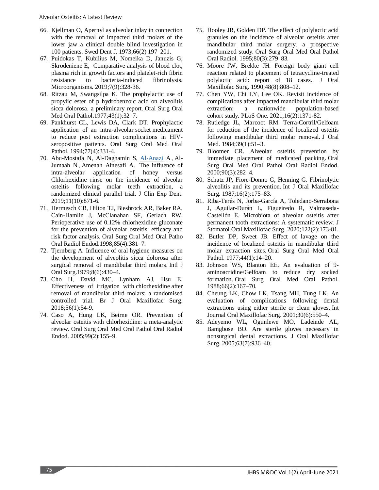- 66. Kjellman O, Apernyl as alveolar inlay in connection with the removal of impacted third molars of the lower jaw a clinical double blind investigation in 100 patients. Swed Dent J. 1973;66(2) 197–201.
- 67. Puidokas T, Kubilius M, Nomeika D, Januzis G, Skrodeniene E, Comparative analysis of blood clot, plasma rich in growth factors and platelet-rich fibrin resistance to bacteria-induced fibrinolysis. Microorganisms. 2019;7(9):328-36.
- 68. Ritzau M, Swangsilpa K. The prophylactic use of propylic ester of p hydrobenzoic acid on alveolitis sicca dolorosa. a preliminary report. Oral Surg Oral Med Oral Pathol.1977;43(1):32–7.
- 69. Pankhurst CL, Lewis DA, Clark DT. Prophylactic application of an intra-alveolar socket medicament to reduce post extraction complications in HIVseropositive patients. Oral Surg Oral Med Oral Pathol. 1994;77(4):331-4.
- 70. Abu-Mostafa N, Al-Daghamin S, [Al-Anazi](https://pubmed.ncbi.nlm.nih.gov/?term=Al-Anazi+A&cauthor_id=31636855) A, Al-Jumaah N, Amenah Alnesafi A. The influence of intra-alveolar application of honey versus Chlorhexidine rinse on the incidence of alveolar osteitis following molar teeth extraction, a randomized clinical parallel trial. J Clin Exp Dent. 2019;11(10):871-6.
- 71. Hermesch CB, Hilton TJ, Biesbrock AR, Baker RA, Cain-Hamlin J, McClanahan SF, Gerlach RW. Perioperative use of 0.12% chlorhexidine gluconate for the prevention of alveolar osteitis: efficacy and risk factor analysis. Oral Surg Oral Med Oral Patho Oral Radiol Endod.1998;85(4):381–7.
- 72. Tjernberg A. Influence of oral hygiene measures on the development of alveolitis sicca dolorosa after surgical removal of mandibular third molars. Intl J Oral Surg.1979;8(6):430–4.
- 73. Cho H, David MC, Lynham AJ, Hsu E. Effectiveness of irrigation with chlorhexidine after removal of mandibular third molars: a randomised controlled trial. Br J Oral Maxillofac Surg. 2018;56(1):54-9.
- 74. Caso A, Hung LK, Beirne OR. Prevention of alveolar osteitis with chlorhexidine: a meta-analytic review. Oral Surg Oral Med Oral Pathol Oral Radiol Endod. 2005;99(2):155–9.
- 75. Hooley JR, Golden DP. The effect of polylactic acid granules on the incidence of alveolar osteitis after mandibular third molar surgery. a prospective randomized study. Oral Surg Oral Med Oral Pathol Oral Radiol. 1995;80(3):279–83.
- 76. Moore JW, Brekke JH. Foreign body giant cell reaction related to placement of tetracycline-treated polylactic acid: report of 18 cases. J Oral Maxillofac Surg. 1990;48(8):808–12.
- 77. Chen YW, Chi LY, Lee OK. Revisit incidence of complications after impacted mandibular third molar extraction: a nationwide population-based cohort study. PLoS One. 2021;16(2):1371-82.
- 78. Rutledge JL, Marcoot RM. Terra-Cortril/Gelfoam for reduction of the incidence of localized osteitis following mandibular third molar removal. J Oral Med. 1984;39(1):51–3.
- 79. Bloomer CR. Alveolar osteitis prevention by immediate placement of medicated packing. Oral Surg Oral Med Oral Pathol Oral Radiol Endod. 2000;90(3):282–4.
- 80. Schatz JP, Fiore-Donno G, Henning G. Fibrinolytic alveolitis and its prevention. Int J Oral Maxillofac Surg. 1987;16(2):175–83.
- 81. Riba-Terés N, Jorba-García A, Toledano-Serrabona J, Aguilar-Durán L, Figueiredo R, Valmaseda-Castellón E. Microbiota of alveolar osteitis after permanent tooth extractions: A systematic review. J Stomatol Oral Maxillofac Surg. 2020;122(2):173-81.
- 82. Butler DP, Sweet JB. Effect of lavage on the incidence of localized osteitis in mandibular third molar extraction sites. Oral Surg Oral Med Oral Pathol. 1977;44(1):14-20.
- 83. Johnson WS, Blanton EE. An evaluation of 9 aminoacridine/Gelfoam to reduce dry socked formation. Oral Surg Oral Med Oral Pathol. 1988;66(2):167–70.
- 84. Cheung LK, Chow LK, Tsang MH, Tung LK. An evaluation of complications following dental extractions using either sterile or clean gloves. Int Journal Oral Maxillofac Surg. 2001;30(6):550–4.
- 85. Adeyemo WL, Ogunlewe MO, Ladeinde AL, Bamgbose BO. Are sterile gloves necessary in nonsurgical dental extractions. J Oral Maxillofac Surg. 2005;63(7):936–40.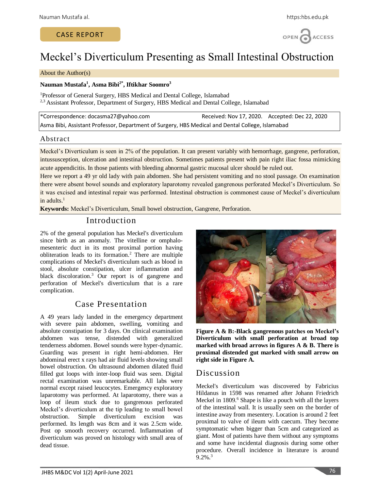# CASE REPORT



# Meckel's Diverticulum Presenting as Small Intestinal Obstruction

#### About the Author(s)

### **Nauman Mustafa<sup>1</sup> , Asma Bibi2\* , Iftikhar Soomro<sup>3</sup>**

<sup>1</sup>Professor of General Surgery, HBS Medical and Dental College, Islamabad <sup>2,3</sup> Assistant Professor, Department of Surgery, HBS Medical and Dental College, Islamabad

\*Correspondence: docasma27@yahoo.com Received: Nov 17, 2020. Accepted: Dec 22, 2020 Asma Bibi, Assistant Professor, Department of Surgery, HBS Medical and Dental College, Islamabad

### Abstract

Meckel's Diverticulum is seen in 2% of the population. It can present variably with hemorrhage, gangrene, perforation, intussusception, ulceration and intestinal obstruction. Sometimes patients present with pain right iliac fossa mimicking acute appendicitis. In those patients with bleeding abnormal gastric mucosal ulcer should be ruled out.

Here we report a 49 yr old lady with pain abdomen. She had persistent vomiting and no stool passage. On examination there were absent bowel sounds and exploratory laparotomy revealed gangrenous perforated Meckel's Diverticulum. So it was excised and intestinal repair was performed. Intestinal obstruction is commonest cause of Meckel's diverticulum in adults. 1

**Keywords:** Meckel's Diverticulum, Small bowel obstruction, Gangrene, Perforation.

# Introduction

2% of the general population has Meckel's diverticulum since birth as an anomaly. The vitelline or omphalomesenteric duct in its most proximal portion having obliteration leads to its formation. <sup>2</sup> There are multiple complications of Meckel's diverticulum such as blood in stool, absolute constipation, ulcer inflammation and black discoloration. <sup>3</sup> Our report is of gangrene and perforation of Meckel's diverticulum that is a rare complication.

# Case Presentation

A 49 years lady landed in the emergency department with severe pain abdomen, swelling, vomiting and absolute constipation for 3 days. On clinical examination abdomen was tense, distended with generalized tenderness abdomen. Bowel sounds were hyper-dynamic. Guarding was present in right hemi-abdomen. Her abdominal erect x rays had air fluid levels showing small bowel obstruction. On ultrasound abdomen dilated fluid filled gut loops with inter-loop fluid was seen. Digital rectal examination was unremarkable. All labs were normal except raised leucocytes. Emergency exploratory laparotomy was performed. At laparotomy, there was a loop of ileum stuck due to gangrenous perforated Meckel's diverticulum at the tip leading to small bowel obstruction. Simple diverticulum excision was performed. Its length was 8cm and it was 2.5cm wide. Post op smooth recovery occurred. Inflammation of diverticulum was proved on histology with small area of dead tissue.



**Figure A & B:-Black gangrenous patches on Meckel's Diverticulum with small perforation at broad top marked with broad arrows in figures A & B. There is proximal distended gut marked with small arrow on right side in Figure A.**

# Discussion

Meckel's diverticulum was discovered by Fabricius Hildanus in 1598 was renamed after Johann Friedrich Meckel in 1809. <sup>6</sup> Shape is like a pouch with all the layers of the intestinal wall. It is usually seen on the border of intestine away from mesentery. Location is around 2 feet proximal to valve of ileum with caecum. They become symptomatic when bigger than 5cm and categorized as giant. Most of patients have them without any symptoms and some have incidental diagnosis during some other procedure. Overall incidence in literature is around  $9.2\%$ <sup>3</sup>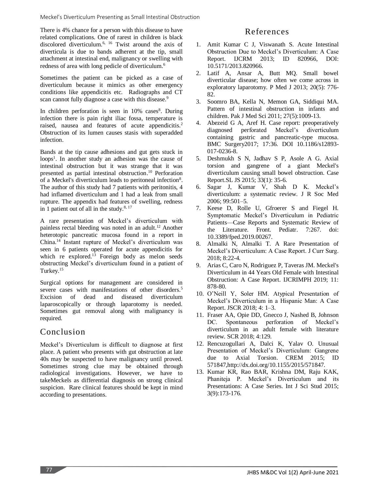There is 4% chance for a person with this disease to have related complications. One of rarest in children is black discolored diverticulum. 6, 16 Twist around the axis of diverticula is due to bands adherent at the tip, small attachment at intestinal end, malignancy or swelling with redness of area with long pedicle of diverticulum. 6

Sometimes the patient can be picked as a case of diverticulum because it mimics as other emergency conditions like appendicitis etc. Radiographs and CT scan cannot fully diagnose a case with this disease.<sup>9</sup>

In children perforation is seen in 10% cases<sup>8</sup>. During infection there is pain right iliac fossa, temperature is raised, nausea and features of acute appendicitis.<sup>2</sup> Obstruction of its lumen causes stasis with superadded infection.

Bands at the tip cause adhesions and gut gets stuck in loops<sup>1</sup>. In another study an adhesion was the cause of intestinal obstruction but it was strange that it was presented as partial intestinal obstruction. <sup>10</sup> Perforation of a Meckel's diverticulum leads to peritoneal infection<sup>8</sup>. The author of this study had 7 patients with peritonitis, 4 had inflamed diverticulum and 1 had a leak from small rupture. The appendix had features of swelling, redness in 1 patient out of all in the study. $8,17$ 

A rare presentation of Meckel's diverticulum with painless rectal bleeding was noted in an adult. <sup>12</sup> Another heterotopic pancreatic mucosa found in a report in China. <sup>14</sup> Instant rupture of Meckel's diverticulum was seen in 6 patients operated for acute appendicitis for which re explored.<sup>13</sup> Foreign body as melon seeds obstructing Meckel's diverticulum found in a patient of Turkey. 15

Surgical options for management are considered in severe cases with manifestations of other disorders. 5 Excision of dead and diseased diverticulum laparoscopically or through laparotomy is needed. Sometimes gut removal along with malignancy is required.

# Conclusion

Meckel's Diverticulum is difficult to diagnose at first place. A patient who presents with gut obstruction at late 40s may be suspected to have malignancy until proved. Sometimes strong clue may be obtained through radiological investigations. However, we have to takeMeckels as differential diagnosis on strong clinical suspicion. Rare clinical features should be kept in mind according to presentations.

# References

- 1. Amit Kumar C J, Viswanath S. Acute Intestinal Obstruction Due to Meckel's Diverticulum: A Case Report. IJCRM 2013; ID 820966, DOI: 10.5171/2013.820966.
- 2. Latif A, Ansar A, Butt MQ. Small bowel diverticular disease; how often we come across in exploratory laparotomy. P Med J 2013; 20(5): 776- 82.
- 3. Soomro BA, Kella N, Memon GA, Siddiqui MA. Pattern of intestinal obstruction in infants and children. Pak J Med Sci 2011; 27(5):1009-13.
- 4. Abezeid G A, Aref H. Case report: preoperatively diagnosed perforated Meckel's diverticulum containing gastric and pancreatic-type mucosa. BMC Surgery2017; 17:36. DOI 10.1186/s12893- 017-0236-8.
- 5. Deshmukh S N, Jadhav S P, Asole A G. Axial torsion and gangrene of a giant Meckel's diverticulum causing small bowel obstruction. Case Report.SL JS 2015; 33(1): 35-6.
- 6. Sagar J, Kumar V, Shah D K. Meckel's diverticulum: a systematic review. J R Soc Med 2006; 99:501–5.
- 7. Keese D, Rolle U, Gfroerer S and Fiegel H. Symptomatic Meckel's Diverticulum in Pediatric Patients—Case Reports and Systematic Review of the Literature. Front. Pediatr. 7:267. doi: 10.3389/fped.2019.00267.
- 8. Almalki N, Almalki T. A Rare Presentation of Meckel's Diverticulum: A Case Report. J Curr Surg. 2018; 8:22-4.
- 9. Arias C, Caro N, Rodriguez P, Taveras JM. Meckel's Diverticulum in 44 Years Old Female with Intestinal Obstruction: A Case Report. IJCRIMPH 2019; 11: 878-80.
- 10. O'Neill Y, Soler HM. Atypical Presentation of Meckel's Diverticulum in a Hispanic Man: A Case Report. JSCR 2018; 4: 1–3.
- 11. Fraser AA, Opie DD, Gnecco J, Nashed B, Johnson DC. Spontaneous perforation of Meckel's diverticulum in an adult female with literature review. SCR 2018; 4:129.
- 12. Rencuzogullari A, Dalci K, Yalav O. Unusual Presentation of Meckel's Diverticulum: Gangrene due to Axial Torsion. CREM 2015; ID 571847,http://dx.doi.org/10.1155/2015/571847.
- 13. Kumar KR, Rao BAR, Krishna DM, Raju KAK, Phaniteja P. Meckel's Diverticulum and its Presentations: A Case Series. Int J Sci Stud 2015; 3(9):173-176.